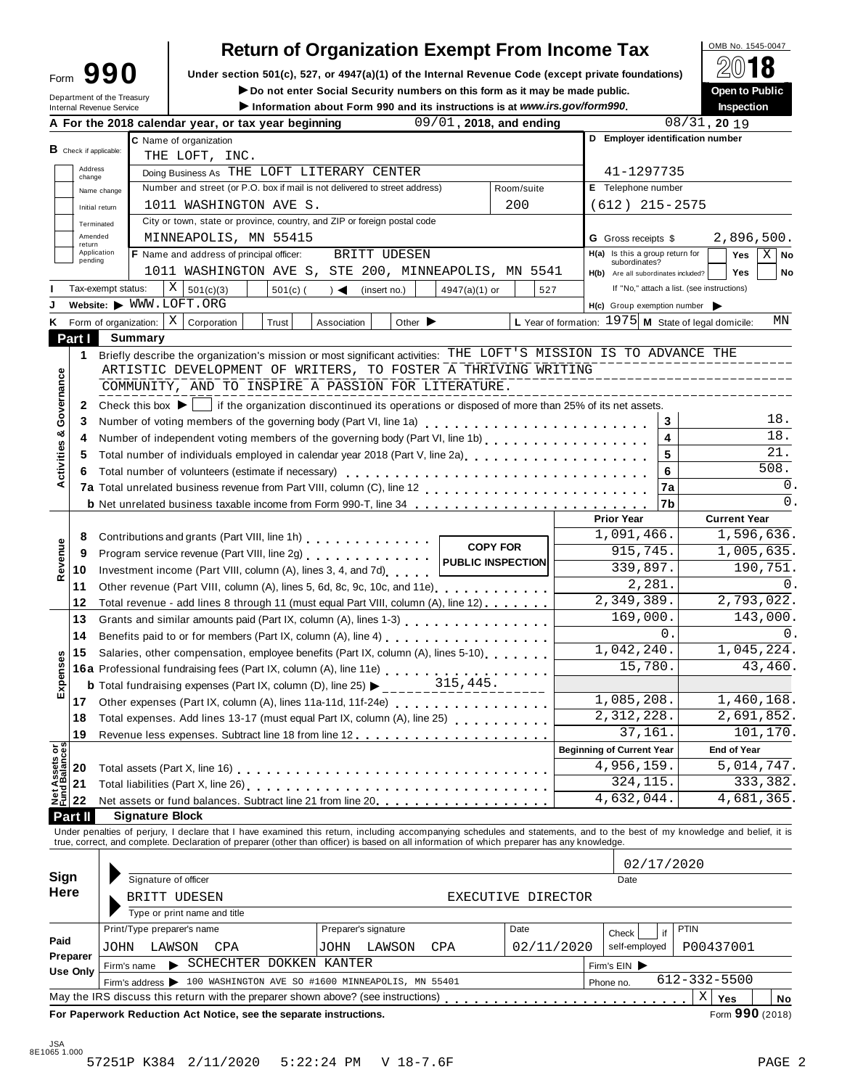| ∙orm | 990 |  |
|------|-----|--|
|      |     |  |

# **Return of Organization Exempt From Income Tax**<br> **Exergion 501(c)** 527 or 4947(a)(1) of the Internal Beyenue Code (except private foundations)

**Under section 501(c), 527, or 4947(a)(1) of the Internal Revenue Code (except private foundations) <b>Form 990 E** internal **Revenue** Code (except private foundations) **Form 30 E** internal Revenue Code (except private f

I**Do not enter Social Security numbers on this form as it may be made public. Open to Public**

| <b>B</b> Check if applicable: | Internal Revenue Service                                                                                                | A For the 2018 calendar year, or tax year beginning<br>C Name of organization                                                                           | Information about Form 990 and its instructions is at www.irs.gov/form990.                                                                                                                                                                | 09/01, 2018, and ending                                                                                               |                                                                                                                                                                                                                                                                                                                                                                                                                                                               |                                                                                                                                                                             |                                                                                                                                                                                                                                                                                                                                                                                                                                                                                                                                                                                                                                                                                                | Inspection<br>08/31, 2019                                                                                                                                                                                                                                                                                                                                                                                                                                                                                                                                                                                                                                                                                                                                                                                                                                                                                                                                                                                                            |
|-------------------------------|-------------------------------------------------------------------------------------------------------------------------|---------------------------------------------------------------------------------------------------------------------------------------------------------|-------------------------------------------------------------------------------------------------------------------------------------------------------------------------------------------------------------------------------------------|-----------------------------------------------------------------------------------------------------------------------|---------------------------------------------------------------------------------------------------------------------------------------------------------------------------------------------------------------------------------------------------------------------------------------------------------------------------------------------------------------------------------------------------------------------------------------------------------------|-----------------------------------------------------------------------------------------------------------------------------------------------------------------------------|------------------------------------------------------------------------------------------------------------------------------------------------------------------------------------------------------------------------------------------------------------------------------------------------------------------------------------------------------------------------------------------------------------------------------------------------------------------------------------------------------------------------------------------------------------------------------------------------------------------------------------------------------------------------------------------------|--------------------------------------------------------------------------------------------------------------------------------------------------------------------------------------------------------------------------------------------------------------------------------------------------------------------------------------------------------------------------------------------------------------------------------------------------------------------------------------------------------------------------------------------------------------------------------------------------------------------------------------------------------------------------------------------------------------------------------------------------------------------------------------------------------------------------------------------------------------------------------------------------------------------------------------------------------------------------------------------------------------------------------------|
|                               |                                                                                                                         |                                                                                                                                                         |                                                                                                                                                                                                                                           |                                                                                                                       |                                                                                                                                                                                                                                                                                                                                                                                                                                                               |                                                                                                                                                                             |                                                                                                                                                                                                                                                                                                                                                                                                                                                                                                                                                                                                                                                                                                |                                                                                                                                                                                                                                                                                                                                                                                                                                                                                                                                                                                                                                                                                                                                                                                                                                                                                                                                                                                                                                      |
|                               |                                                                                                                         |                                                                                                                                                         |                                                                                                                                                                                                                                           |                                                                                                                       |                                                                                                                                                                                                                                                                                                                                                                                                                                                               |                                                                                                                                                                             |                                                                                                                                                                                                                                                                                                                                                                                                                                                                                                                                                                                                                                                                                                | D Employer identification number                                                                                                                                                                                                                                                                                                                                                                                                                                                                                                                                                                                                                                                                                                                                                                                                                                                                                                                                                                                                     |
|                               |                                                                                                                         | THE LOFT, INC.                                                                                                                                          |                                                                                                                                                                                                                                           |                                                                                                                       |                                                                                                                                                                                                                                                                                                                                                                                                                                                               |                                                                                                                                                                             |                                                                                                                                                                                                                                                                                                                                                                                                                                                                                                                                                                                                                                                                                                |                                                                                                                                                                                                                                                                                                                                                                                                                                                                                                                                                                                                                                                                                                                                                                                                                                                                                                                                                                                                                                      |
| Address<br>change             |                                                                                                                         | Doing Business As THE LOFT LITERARY CENTER                                                                                                              |                                                                                                                                                                                                                                           |                                                                                                                       |                                                                                                                                                                                                                                                                                                                                                                                                                                                               |                                                                                                                                                                             | 41-1297735                                                                                                                                                                                                                                                                                                                                                                                                                                                                                                                                                                                                                                                                                     |                                                                                                                                                                                                                                                                                                                                                                                                                                                                                                                                                                                                                                                                                                                                                                                                                                                                                                                                                                                                                                      |
| Name change                   |                                                                                                                         | Number and street (or P.O. box if mail is not delivered to street address)                                                                              |                                                                                                                                                                                                                                           |                                                                                                                       | Room/suite                                                                                                                                                                                                                                                                                                                                                                                                                                                    |                                                                                                                                                                             | E Telephone number                                                                                                                                                                                                                                                                                                                                                                                                                                                                                                                                                                                                                                                                             |                                                                                                                                                                                                                                                                                                                                                                                                                                                                                                                                                                                                                                                                                                                                                                                                                                                                                                                                                                                                                                      |
| Initial return                |                                                                                                                         | 1011 WASHINGTON AVE S.                                                                                                                                  |                                                                                                                                                                                                                                           |                                                                                                                       | 200                                                                                                                                                                                                                                                                                                                                                                                                                                                           |                                                                                                                                                                             | $(612)$ 215-2575                                                                                                                                                                                                                                                                                                                                                                                                                                                                                                                                                                                                                                                                               |                                                                                                                                                                                                                                                                                                                                                                                                                                                                                                                                                                                                                                                                                                                                                                                                                                                                                                                                                                                                                                      |
|                               |                                                                                                                         |                                                                                                                                                         |                                                                                                                                                                                                                                           |                                                                                                                       |                                                                                                                                                                                                                                                                                                                                                                                                                                                               |                                                                                                                                                                             |                                                                                                                                                                                                                                                                                                                                                                                                                                                                                                                                                                                                                                                                                                |                                                                                                                                                                                                                                                                                                                                                                                                                                                                                                                                                                                                                                                                                                                                                                                                                                                                                                                                                                                                                                      |
|                               |                                                                                                                         |                                                                                                                                                         |                                                                                                                                                                                                                                           |                                                                                                                       |                                                                                                                                                                                                                                                                                                                                                                                                                                                               |                                                                                                                                                                             | <b>G</b> Gross receipts \$                                                                                                                                                                                                                                                                                                                                                                                                                                                                                                                                                                                                                                                                     | 2,896,500.                                                                                                                                                                                                                                                                                                                                                                                                                                                                                                                                                                                                                                                                                                                                                                                                                                                                                                                                                                                                                           |
|                               |                                                                                                                         |                                                                                                                                                         |                                                                                                                                                                                                                                           |                                                                                                                       |                                                                                                                                                                                                                                                                                                                                                                                                                                                               |                                                                                                                                                                             | H(a) Is this a group return for                                                                                                                                                                                                                                                                                                                                                                                                                                                                                                                                                                                                                                                                | Yes<br>$X \mid$ No                                                                                                                                                                                                                                                                                                                                                                                                                                                                                                                                                                                                                                                                                                                                                                                                                                                                                                                                                                                                                   |
|                               |                                                                                                                         |                                                                                                                                                         |                                                                                                                                                                                                                                           |                                                                                                                       |                                                                                                                                                                                                                                                                                                                                                                                                                                                               |                                                                                                                                                                             | H(b) Are all subordinates included?                                                                                                                                                                                                                                                                                                                                                                                                                                                                                                                                                                                                                                                            | <b>Yes</b><br>No                                                                                                                                                                                                                                                                                                                                                                                                                                                                                                                                                                                                                                                                                                                                                                                                                                                                                                                                                                                                                     |
|                               |                                                                                                                         | Χ<br>501(c)(3)<br>$501(c)$ (                                                                                                                            | $\rightarrow$ $\blacktriangleleft$                                                                                                                                                                                                        |                                                                                                                       |                                                                                                                                                                                                                                                                                                                                                                                                                                                               | 527                                                                                                                                                                         |                                                                                                                                                                                                                                                                                                                                                                                                                                                                                                                                                                                                                                                                                                | If "No," attach a list. (see instructions)                                                                                                                                                                                                                                                                                                                                                                                                                                                                                                                                                                                                                                                                                                                                                                                                                                                                                                                                                                                           |
|                               |                                                                                                                         |                                                                                                                                                         |                                                                                                                                                                                                                                           |                                                                                                                       |                                                                                                                                                                                                                                                                                                                                                                                                                                                               |                                                                                                                                                                             | $H(c)$ Group exemption number                                                                                                                                                                                                                                                                                                                                                                                                                                                                                                                                                                                                                                                                  |                                                                                                                                                                                                                                                                                                                                                                                                                                                                                                                                                                                                                                                                                                                                                                                                                                                                                                                                                                                                                                      |
|                               |                                                                                                                         | Corporation<br>Trust                                                                                                                                    | Association                                                                                                                                                                                                                               |                                                                                                                       |                                                                                                                                                                                                                                                                                                                                                                                                                                                               |                                                                                                                                                                             |                                                                                                                                                                                                                                                                                                                                                                                                                                                                                                                                                                                                                                                                                                | ΜN                                                                                                                                                                                                                                                                                                                                                                                                                                                                                                                                                                                                                                                                                                                                                                                                                                                                                                                                                                                                                                   |
|                               |                                                                                                                         |                                                                                                                                                         |                                                                                                                                                                                                                                           |                                                                                                                       |                                                                                                                                                                                                                                                                                                                                                                                                                                                               |                                                                                                                                                                             |                                                                                                                                                                                                                                                                                                                                                                                                                                                                                                                                                                                                                                                                                                |                                                                                                                                                                                                                                                                                                                                                                                                                                                                                                                                                                                                                                                                                                                                                                                                                                                                                                                                                                                                                                      |
| 1                             |                                                                                                                         |                                                                                                                                                         |                                                                                                                                                                                                                                           |                                                                                                                       |                                                                                                                                                                                                                                                                                                                                                                                                                                                               |                                                                                                                                                                             |                                                                                                                                                                                                                                                                                                                                                                                                                                                                                                                                                                                                                                                                                                |                                                                                                                                                                                                                                                                                                                                                                                                                                                                                                                                                                                                                                                                                                                                                                                                                                                                                                                                                                                                                                      |
|                               |                                                                                                                         |                                                                                                                                                         |                                                                                                                                                                                                                                           |                                                                                                                       |                                                                                                                                                                                                                                                                                                                                                                                                                                                               |                                                                                                                                                                             |                                                                                                                                                                                                                                                                                                                                                                                                                                                                                                                                                                                                                                                                                                |                                                                                                                                                                                                                                                                                                                                                                                                                                                                                                                                                                                                                                                                                                                                                                                                                                                                                                                                                                                                                                      |
|                               |                                                                                                                         |                                                                                                                                                         |                                                                                                                                                                                                                                           |                                                                                                                       |                                                                                                                                                                                                                                                                                                                                                                                                                                                               |                                                                                                                                                                             |                                                                                                                                                                                                                                                                                                                                                                                                                                                                                                                                                                                                                                                                                                |                                                                                                                                                                                                                                                                                                                                                                                                                                                                                                                                                                                                                                                                                                                                                                                                                                                                                                                                                                                                                                      |
| 2                             |                                                                                                                         |                                                                                                                                                         |                                                                                                                                                                                                                                           |                                                                                                                       |                                                                                                                                                                                                                                                                                                                                                                                                                                                               |                                                                                                                                                                             |                                                                                                                                                                                                                                                                                                                                                                                                                                                                                                                                                                                                                                                                                                |                                                                                                                                                                                                                                                                                                                                                                                                                                                                                                                                                                                                                                                                                                                                                                                                                                                                                                                                                                                                                                      |
| 3                             |                                                                                                                         |                                                                                                                                                         |                                                                                                                                                                                                                                           |                                                                                                                       |                                                                                                                                                                                                                                                                                                                                                                                                                                                               |                                                                                                                                                                             |                                                                                                                                                                                                                                                                                                                                                                                                                                                                                                                                                                                                                                                                                                | 18.<br>3                                                                                                                                                                                                                                                                                                                                                                                                                                                                                                                                                                                                                                                                                                                                                                                                                                                                                                                                                                                                                             |
| 4                             |                                                                                                                         |                                                                                                                                                         |                                                                                                                                                                                                                                           |                                                                                                                       |                                                                                                                                                                                                                                                                                                                                                                                                                                                               |                                                                                                                                                                             |                                                                                                                                                                                                                                                                                                                                                                                                                                                                                                                                                                                                                                                                                                | 18.<br>4                                                                                                                                                                                                                                                                                                                                                                                                                                                                                                                                                                                                                                                                                                                                                                                                                                                                                                                                                                                                                             |
| 5                             |                                                                                                                         |                                                                                                                                                         |                                                                                                                                                                                                                                           |                                                                                                                       |                                                                                                                                                                                                                                                                                                                                                                                                                                                               |                                                                                                                                                                             |                                                                                                                                                                                                                                                                                                                                                                                                                                                                                                                                                                                                                                                                                                | 21.<br>5                                                                                                                                                                                                                                                                                                                                                                                                                                                                                                                                                                                                                                                                                                                                                                                                                                                                                                                                                                                                                             |
| 6                             |                                                                                                                         |                                                                                                                                                         |                                                                                                                                                                                                                                           |                                                                                                                       |                                                                                                                                                                                                                                                                                                                                                                                                                                                               |                                                                                                                                                                             |                                                                                                                                                                                                                                                                                                                                                                                                                                                                                                                                                                                                                                                                                                | 508.<br>6                                                                                                                                                                                                                                                                                                                                                                                                                                                                                                                                                                                                                                                                                                                                                                                                                                                                                                                                                                                                                            |
|                               |                                                                                                                         |                                                                                                                                                         |                                                                                                                                                                                                                                           |                                                                                                                       |                                                                                                                                                                                                                                                                                                                                                                                                                                                               |                                                                                                                                                                             |                                                                                                                                                                                                                                                                                                                                                                                                                                                                                                                                                                                                                                                                                                | $\mathbf 0$ .<br>7a                                                                                                                                                                                                                                                                                                                                                                                                                                                                                                                                                                                                                                                                                                                                                                                                                                                                                                                                                                                                                  |
|                               |                                                                                                                         |                                                                                                                                                         |                                                                                                                                                                                                                                           |                                                                                                                       |                                                                                                                                                                                                                                                                                                                                                                                                                                                               |                                                                                                                                                                             |                                                                                                                                                                                                                                                                                                                                                                                                                                                                                                                                                                                                                                                                                                | 0.<br>7b                                                                                                                                                                                                                                                                                                                                                                                                                                                                                                                                                                                                                                                                                                                                                                                                                                                                                                                                                                                                                             |
|                               |                                                                                                                         |                                                                                                                                                         |                                                                                                                                                                                                                                           |                                                                                                                       |                                                                                                                                                                                                                                                                                                                                                                                                                                                               |                                                                                                                                                                             | <b>Prior Year</b>                                                                                                                                                                                                                                                                                                                                                                                                                                                                                                                                                                                                                                                                              | <b>Current Year</b>                                                                                                                                                                                                                                                                                                                                                                                                                                                                                                                                                                                                                                                                                                                                                                                                                                                                                                                                                                                                                  |
|                               |                                                                                                                         |                                                                                                                                                         |                                                                                                                                                                                                                                           |                                                                                                                       |                                                                                                                                                                                                                                                                                                                                                                                                                                                               |                                                                                                                                                                             | 1,091,466.                                                                                                                                                                                                                                                                                                                                                                                                                                                                                                                                                                                                                                                                                     | 1,596,636.                                                                                                                                                                                                                                                                                                                                                                                                                                                                                                                                                                                                                                                                                                                                                                                                                                                                                                                                                                                                                           |
|                               |                                                                                                                         |                                                                                                                                                         |                                                                                                                                                                                                                                           |                                                                                                                       |                                                                                                                                                                                                                                                                                                                                                                                                                                                               |                                                                                                                                                                             | 915,745.                                                                                                                                                                                                                                                                                                                                                                                                                                                                                                                                                                                                                                                                                       | 1,005,635.                                                                                                                                                                                                                                                                                                                                                                                                                                                                                                                                                                                                                                                                                                                                                                                                                                                                                                                                                                                                                           |
|                               |                                                                                                                         |                                                                                                                                                         |                                                                                                                                                                                                                                           |                                                                                                                       |                                                                                                                                                                                                                                                                                                                                                                                                                                                               |                                                                                                                                                                             | 339,897.                                                                                                                                                                                                                                                                                                                                                                                                                                                                                                                                                                                                                                                                                       | 190,751.                                                                                                                                                                                                                                                                                                                                                                                                                                                                                                                                                                                                                                                                                                                                                                                                                                                                                                                                                                                                                             |
|                               |                                                                                                                         |                                                                                                                                                         |                                                                                                                                                                                                                                           |                                                                                                                       |                                                                                                                                                                                                                                                                                                                                                                                                                                                               |                                                                                                                                                                             | 2,281.                                                                                                                                                                                                                                                                                                                                                                                                                                                                                                                                                                                                                                                                                         |                                                                                                                                                                                                                                                                                                                                                                                                                                                                                                                                                                                                                                                                                                                                                                                                                                                                                                                                                                                                                                      |
|                               |                                                                                                                         |                                                                                                                                                         |                                                                                                                                                                                                                                           |                                                                                                                       |                                                                                                                                                                                                                                                                                                                                                                                                                                                               |                                                                                                                                                                             | 2,349,389.                                                                                                                                                                                                                                                                                                                                                                                                                                                                                                                                                                                                                                                                                     | 2,793,022.                                                                                                                                                                                                                                                                                                                                                                                                                                                                                                                                                                                                                                                                                                                                                                                                                                                                                                                                                                                                                           |
|                               |                                                                                                                         |                                                                                                                                                         |                                                                                                                                                                                                                                           |                                                                                                                       |                                                                                                                                                                                                                                                                                                                                                                                                                                                               |                                                                                                                                                                             |                                                                                                                                                                                                                                                                                                                                                                                                                                                                                                                                                                                                                                                                                                | 143,000.                                                                                                                                                                                                                                                                                                                                                                                                                                                                                                                                                                                                                                                                                                                                                                                                                                                                                                                                                                                                                             |
|                               |                                                                                                                         |                                                                                                                                                         |                                                                                                                                                                                                                                           |                                                                                                                       |                                                                                                                                                                                                                                                                                                                                                                                                                                                               |                                                                                                                                                                             |                                                                                                                                                                                                                                                                                                                                                                                                                                                                                                                                                                                                                                                                                                | 0.                                                                                                                                                                                                                                                                                                                                                                                                                                                                                                                                                                                                                                                                                                                                                                                                                                                                                                                                                                                                                                   |
|                               |                                                                                                                         |                                                                                                                                                         |                                                                                                                                                                                                                                           |                                                                                                                       |                                                                                                                                                                                                                                                                                                                                                                                                                                                               |                                                                                                                                                                             | 1,042,240.                                                                                                                                                                                                                                                                                                                                                                                                                                                                                                                                                                                                                                                                                     | 1,045,224.                                                                                                                                                                                                                                                                                                                                                                                                                                                                                                                                                                                                                                                                                                                                                                                                                                                                                                                                                                                                                           |
|                               |                                                                                                                         |                                                                                                                                                         |                                                                                                                                                                                                                                           | 15,780.                                                                                                               | 43,460.                                                                                                                                                                                                                                                                                                                                                                                                                                                       |                                                                                                                                                                             |                                                                                                                                                                                                                                                                                                                                                                                                                                                                                                                                                                                                                                                                                                |                                                                                                                                                                                                                                                                                                                                                                                                                                                                                                                                                                                                                                                                                                                                                                                                                                                                                                                                                                                                                                      |
|                               |                                                                                                                         |                                                                                                                                                         |                                                                                                                                                                                                                                           |                                                                                                                       |                                                                                                                                                                                                                                                                                                                                                                                                                                                               |                                                                                                                                                                             |                                                                                                                                                                                                                                                                                                                                                                                                                                                                                                                                                                                                                                                                                                |                                                                                                                                                                                                                                                                                                                                                                                                                                                                                                                                                                                                                                                                                                                                                                                                                                                                                                                                                                                                                                      |
|                               |                                                                                                                         |                                                                                                                                                         |                                                                                                                                                                                                                                           |                                                                                                                       |                                                                                                                                                                                                                                                                                                                                                                                                                                                               |                                                                                                                                                                             | 1,085,208.                                                                                                                                                                                                                                                                                                                                                                                                                                                                                                                                                                                                                                                                                     | 1,460,168.                                                                                                                                                                                                                                                                                                                                                                                                                                                                                                                                                                                                                                                                                                                                                                                                                                                                                                                                                                                                                           |
|                               |                                                                                                                         |                                                                                                                                                         |                                                                                                                                                                                                                                           |                                                                                                                       |                                                                                                                                                                                                                                                                                                                                                                                                                                                               |                                                                                                                                                                             |                                                                                                                                                                                                                                                                                                                                                                                                                                                                                                                                                                                                                                                                                                | 2,691,852.                                                                                                                                                                                                                                                                                                                                                                                                                                                                                                                                                                                                                                                                                                                                                                                                                                                                                                                                                                                                                           |
|                               |                                                                                                                         |                                                                                                                                                         |                                                                                                                                                                                                                                           |                                                                                                                       |                                                                                                                                                                                                                                                                                                                                                                                                                                                               |                                                                                                                                                                             | 37,161.                                                                                                                                                                                                                                                                                                                                                                                                                                                                                                                                                                                                                                                                                        | 101,170.                                                                                                                                                                                                                                                                                                                                                                                                                                                                                                                                                                                                                                                                                                                                                                                                                                                                                                                                                                                                                             |
|                               |                                                                                                                         |                                                                                                                                                         |                                                                                                                                                                                                                                           |                                                                                                                       |                                                                                                                                                                                                                                                                                                                                                                                                                                                               |                                                                                                                                                                             |                                                                                                                                                                                                                                                                                                                                                                                                                                                                                                                                                                                                                                                                                                | <b>End of Year</b>                                                                                                                                                                                                                                                                                                                                                                                                                                                                                                                                                                                                                                                                                                                                                                                                                                                                                                                                                                                                                   |
|                               |                                                                                                                         |                                                                                                                                                         |                                                                                                                                                                                                                                           |                                                                                                                       |                                                                                                                                                                                                                                                                                                                                                                                                                                                               |                                                                                                                                                                             |                                                                                                                                                                                                                                                                                                                                                                                                                                                                                                                                                                                                                                                                                                | 5,014,747.                                                                                                                                                                                                                                                                                                                                                                                                                                                                                                                                                                                                                                                                                                                                                                                                                                                                                                                                                                                                                           |
|                               |                                                                                                                         |                                                                                                                                                         |                                                                                                                                                                                                                                           |                                                                                                                       |                                                                                                                                                                                                                                                                                                                                                                                                                                                               |                                                                                                                                                                             |                                                                                                                                                                                                                                                                                                                                                                                                                                                                                                                                                                                                                                                                                                | 333,382.                                                                                                                                                                                                                                                                                                                                                                                                                                                                                                                                                                                                                                                                                                                                                                                                                                                                                                                                                                                                                             |
|                               |                                                                                                                         |                                                                                                                                                         |                                                                                                                                                                                                                                           |                                                                                                                       |                                                                                                                                                                                                                                                                                                                                                                                                                                                               |                                                                                                                                                                             |                                                                                                                                                                                                                                                                                                                                                                                                                                                                                                                                                                                                                                                                                                | 4,681,365.                                                                                                                                                                                                                                                                                                                                                                                                                                                                                                                                                                                                                                                                                                                                                                                                                                                                                                                                                                                                                           |
|                               |                                                                                                                         |                                                                                                                                                         |                                                                                                                                                                                                                                           |                                                                                                                       |                                                                                                                                                                                                                                                                                                                                                                                                                                                               |                                                                                                                                                                             |                                                                                                                                                                                                                                                                                                                                                                                                                                                                                                                                                                                                                                                                                                |                                                                                                                                                                                                                                                                                                                                                                                                                                                                                                                                                                                                                                                                                                                                                                                                                                                                                                                                                                                                                                      |
|                               |                                                                                                                         |                                                                                                                                                         |                                                                                                                                                                                                                                           |                                                                                                                       |                                                                                                                                                                                                                                                                                                                                                                                                                                                               |                                                                                                                                                                             |                                                                                                                                                                                                                                                                                                                                                                                                                                                                                                                                                                                                                                                                                                |                                                                                                                                                                                                                                                                                                                                                                                                                                                                                                                                                                                                                                                                                                                                                                                                                                                                                                                                                                                                                                      |
|                               |                                                                                                                         |                                                                                                                                                         |                                                                                                                                                                                                                                           |                                                                                                                       |                                                                                                                                                                                                                                                                                                                                                                                                                                                               |                                                                                                                                                                             |                                                                                                                                                                                                                                                                                                                                                                                                                                                                                                                                                                                                                                                                                                |                                                                                                                                                                                                                                                                                                                                                                                                                                                                                                                                                                                                                                                                                                                                                                                                                                                                                                                                                                                                                                      |
|                               |                                                                                                                         |                                                                                                                                                         |                                                                                                                                                                                                                                           |                                                                                                                       |                                                                                                                                                                                                                                                                                                                                                                                                                                                               |                                                                                                                                                                             |                                                                                                                                                                                                                                                                                                                                                                                                                                                                                                                                                                                                                                                                                                |                                                                                                                                                                                                                                                                                                                                                                                                                                                                                                                                                                                                                                                                                                                                                                                                                                                                                                                                                                                                                                      |
|                               |                                                                                                                         |                                                                                                                                                         |                                                                                                                                                                                                                                           | Date                                                                                                                  |                                                                                                                                                                                                                                                                                                                                                                                                                                                               |                                                                                                                                                                             |                                                                                                                                                                                                                                                                                                                                                                                                                                                                                                                                                                                                                                                                                                |                                                                                                                                                                                                                                                                                                                                                                                                                                                                                                                                                                                                                                                                                                                                                                                                                                                                                                                                                                                                                                      |
|                               |                                                                                                                         |                                                                                                                                                         |                                                                                                                                                                                                                                           |                                                                                                                       |                                                                                                                                                                                                                                                                                                                                                                                                                                                               |                                                                                                                                                                             |                                                                                                                                                                                                                                                                                                                                                                                                                                                                                                                                                                                                                                                                                                |                                                                                                                                                                                                                                                                                                                                                                                                                                                                                                                                                                                                                                                                                                                                                                                                                                                                                                                                                                                                                                      |
|                               |                                                                                                                         |                                                                                                                                                         |                                                                                                                                                                                                                                           |                                                                                                                       |                                                                                                                                                                                                                                                                                                                                                                                                                                                               |                                                                                                                                                                             |                                                                                                                                                                                                                                                                                                                                                                                                                                                                                                                                                                                                                                                                                                |                                                                                                                                                                                                                                                                                                                                                                                                                                                                                                                                                                                                                                                                                                                                                                                                                                                                                                                                                                                                                                      |
|                               |                                                                                                                         | Print/Type preparer's name                                                                                                                              | Preparer's signature                                                                                                                                                                                                                      |                                                                                                                       | Date                                                                                                                                                                                                                                                                                                                                                                                                                                                          |                                                                                                                                                                             |                                                                                                                                                                                                                                                                                                                                                                                                                                                                                                                                                                                                                                                                                                | PTIN                                                                                                                                                                                                                                                                                                                                                                                                                                                                                                                                                                                                                                                                                                                                                                                                                                                                                                                                                                                                                                 |
|                               | JOHN                                                                                                                    |                                                                                                                                                         |                                                                                                                                                                                                                                           |                                                                                                                       |                                                                                                                                                                                                                                                                                                                                                                                                                                                               |                                                                                                                                                                             | Check<br>if                                                                                                                                                                                                                                                                                                                                                                                                                                                                                                                                                                                                                                                                                    | P00437001                                                                                                                                                                                                                                                                                                                                                                                                                                                                                                                                                                                                                                                                                                                                                                                                                                                                                                                                                                                                                            |
|                               |                                                                                                                         | LAWSON<br>CPA                                                                                                                                           | LAWSON<br>JOHN                                                                                                                                                                                                                            | CPA                                                                                                                   |                                                                                                                                                                                                                                                                                                                                                                                                                                                               | 02/11/2020                                                                                                                                                                  | self-employed                                                                                                                                                                                                                                                                                                                                                                                                                                                                                                                                                                                                                                                                                  |                                                                                                                                                                                                                                                                                                                                                                                                                                                                                                                                                                                                                                                                                                                                                                                                                                                                                                                                                                                                                                      |
| Preparer                      |                                                                                                                         |                                                                                                                                                         |                                                                                                                                                                                                                                           |                                                                                                                       |                                                                                                                                                                                                                                                                                                                                                                                                                                                               |                                                                                                                                                                             |                                                                                                                                                                                                                                                                                                                                                                                                                                                                                                                                                                                                                                                                                                |                                                                                                                                                                                                                                                                                                                                                                                                                                                                                                                                                                                                                                                                                                                                                                                                                                                                                                                                                                                                                                      |
| Use Only                      | Firm's name                                                                                                             | SCHECHTER DOKKEN KANTER                                                                                                                                 |                                                                                                                                                                                                                                           |                                                                                                                       |                                                                                                                                                                                                                                                                                                                                                                                                                                                               |                                                                                                                                                                             | Firm's EIN                                                                                                                                                                                                                                                                                                                                                                                                                                                                                                                                                                                                                                                                                     |                                                                                                                                                                                                                                                                                                                                                                                                                                                                                                                                                                                                                                                                                                                                                                                                                                                                                                                                                                                                                                      |
|                               |                                                                                                                         | Firm's address > 100 WASHINGTON AVE SO #1600 MINNEAPOLIS, MN 55401<br>May the IRS discuss this return with the preparer shown above? (see instructions) |                                                                                                                                                                                                                                           |                                                                                                                       |                                                                                                                                                                                                                                                                                                                                                                                                                                                               |                                                                                                                                                                             | Phone no.                                                                                                                                                                                                                                                                                                                                                                                                                                                                                                                                                                                                                                                                                      | 612-332-5500<br>Χ<br>Yes<br>No                                                                                                                                                                                                                                                                                                                                                                                                                                                                                                                                                                                                                                                                                                                                                                                                                                                                                                                                                                                                       |
|                               | return<br>Part I<br>8<br>9<br>10<br>11<br>12<br>13<br>14<br>15<br>18<br>19<br>20<br>21<br>22<br>Part II<br>Sign<br>Here | Terminated<br>Amended<br>Application<br>pending<br>Tax-exempt status:                                                                                   | MINNEAPOLIS, MN 55415<br>F Name and address of principal officer:<br>Website: WWW.LOFT.ORG<br>Form of organization: $\mid$ X<br>Summary<br><b>Signature Block</b><br>Signature of officer<br>BRITT UDESEN<br>Type or print name and title | Total number of volunteers (estimate if necessary)<br>17 Other expenses (Part IX, column (A), lines 11a-11d, 11f-24e) | City or town, state or province, country, and ZIP or foreign postal code<br>BRITT UDESEN<br>(insert no.)<br>Other $\blacktriangleright$<br>Contributions and grants (Part VIII, line 1h) [19] Contributions and grants (Part VIII, line 1h)<br>Program service revenue (Part VIII, line 2g)<br>Investment income (Part VIII, column (A), lines 3, 4, and 7d)<br><b>b</b> Total fundraising expenses (Part IX, column (D), line 25) $\blacktriangleright$ ____ | $4947(a)(1)$ or<br>COMMUNITY, AND TO INSPIRE A PASSION FOR LITERATURE.<br><b>COPY FOR</b><br>315,445.<br>Net assets or fund balances. Subtract line 21 from line 20 <b></b> | 1011 WASHINGTON AVE S, STE 200, MINNEAPOLIS, MN 5541<br><b>PUBLIC INSPECTION</b><br>Other revenue (Part VIII, column (A), lines 5, 6d, 8c, 9c, 10c, and 11e)<br>Total revenue - add lines 8 through 11 (must equal Part VIII, column (A), line 12)<br>Grants and similar amounts paid (Part IX, column (A), lines 1-3) [10] Canada and similar and similar and similar $($<br>Benefits paid to or for members (Part IX, column (A), line 4) [10] cases is a contract to paid to or for members (Part IX, column (A), line 4)<br>Salaries, other compensation, employee benefits (Part IX, column (A), lines 5-10)<br>Total expenses. Add lines 13-17 (must equal Part IX, column (A), line 25) | subordinates?<br>L Year of formation: $1975$ M State of legal domicile:<br>Briefly describe the organization's mission or most significant activities: THE LOFT'S MISSION IS TO ADVANCE THE<br>ARTISTIC DEVELOPMENT OF WRITERS, TO FOSTER A THRIVING WRITING<br>Check this box $\blacktriangleright$   if the organization discontinued its operations or disposed of more than 25% of its net assets.<br>Number of independent voting members of the governing body (Part VI, line 1b)<br>Total number of individuals employed in calendar year 2018 (Part V, line 2a)<br>Total number of individuals employed in calendar year 2018 (Part V, line 2a)<br>169,000.<br>2,312,228.<br><b>Beginning of Current Year</b><br>4,956,159.<br>324, 115.<br>4,632,044.<br>Under penalties of perjury, I declare that I have examined this return, including accompanying schedules and statements, and to the best of my knowledge and belief, it is true, correct, and complete. Declaration of prepare<br>02/17/2020<br>EXECUTIVE DIRECTOR |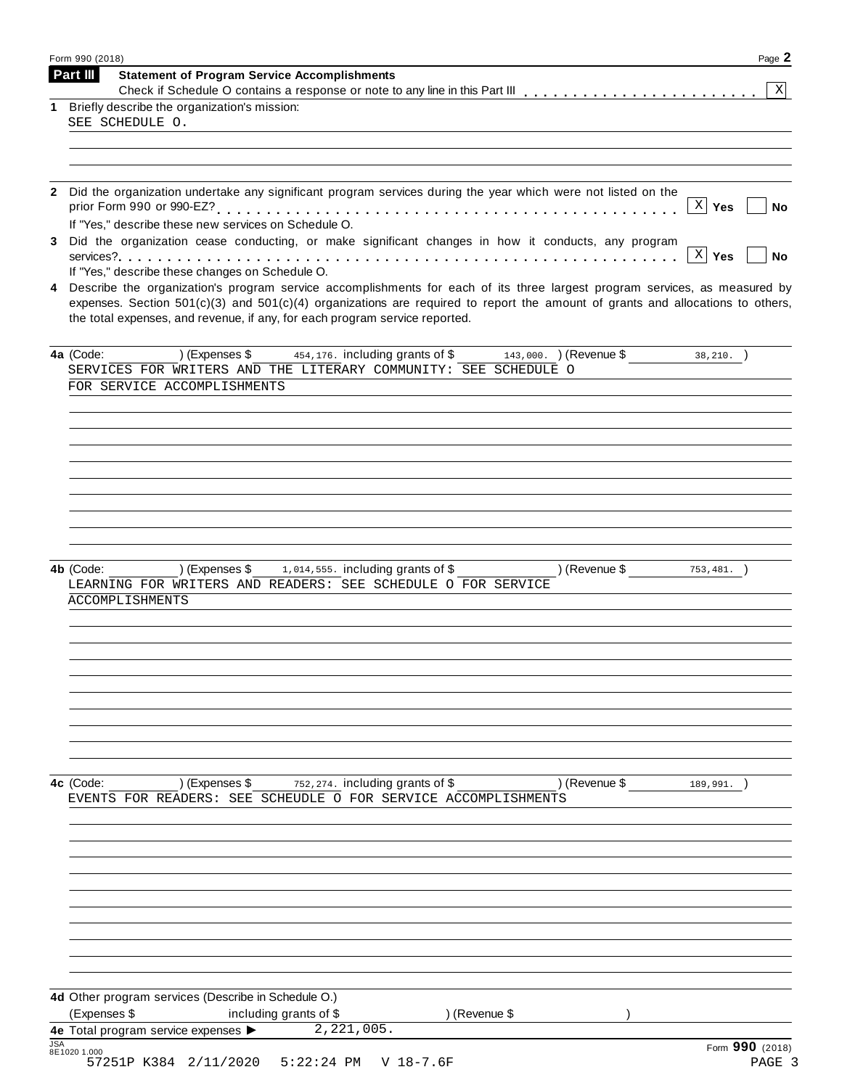| Form 990 (2018)                                                                                                                                                                                                                                                                                                                                      | Page 2                     |
|------------------------------------------------------------------------------------------------------------------------------------------------------------------------------------------------------------------------------------------------------------------------------------------------------------------------------------------------------|----------------------------|
| <b>Statement of Program Service Accomplishments</b><br><b>Part III</b>                                                                                                                                                                                                                                                                               | $\mathbf{x}$               |
| Briefly describe the organization's mission:<br>1<br>SEE SCHEDULE O.                                                                                                                                                                                                                                                                                 |                            |
|                                                                                                                                                                                                                                                                                                                                                      |                            |
|                                                                                                                                                                                                                                                                                                                                                      |                            |
| Did the organization undertake any significant program services during the year which were not listed on the<br>$\mathbf{2}$                                                                                                                                                                                                                         | $X \mid Y$ es<br><b>No</b> |
| If "Yes," describe these new services on Schedule O.<br>Did the organization cease conducting, or make significant changes in how it conducts, any program<br>3                                                                                                                                                                                      | $X \mid Y$ es<br><b>No</b> |
| If "Yes," describe these changes on Schedule O.                                                                                                                                                                                                                                                                                                      |                            |
| Describe the organization's program service accomplishments for each of its three largest program services, as measured by<br>4<br>expenses. Section $501(c)(3)$ and $501(c)(4)$ organizations are required to report the amount of grants and allocations to others,<br>the total expenses, and revenue, if any, for each program service reported. |                            |
| ) (Expenses \$<br>454,176. including grants of \$143,000. ) (Revenue \$<br>4a (Code:<br>SERVICES FOR WRITERS AND THE LITERARY COMMUNITY: SEE SCHEDULE O                                                                                                                                                                                              | $38, 210.$ )               |
| FOR SERVICE ACCOMPLISHMENTS                                                                                                                                                                                                                                                                                                                          |                            |
|                                                                                                                                                                                                                                                                                                                                                      |                            |
|                                                                                                                                                                                                                                                                                                                                                      |                            |
|                                                                                                                                                                                                                                                                                                                                                      |                            |
|                                                                                                                                                                                                                                                                                                                                                      |                            |
|                                                                                                                                                                                                                                                                                                                                                      |                            |
|                                                                                                                                                                                                                                                                                                                                                      |                            |
| ) (Expenses $\frac{1}{2}$ , 014, 555. including grants of \$<br>4b (Code:                                                                                                                                                                                                                                                                            | ) (Revenue \$<br>753, 481. |
| LEARNING FOR WRITERS AND READERS: SEE SCHEDULE O FOR SERVICE<br>ACCOMPLISHMENTS                                                                                                                                                                                                                                                                      |                            |
|                                                                                                                                                                                                                                                                                                                                                      |                            |
|                                                                                                                                                                                                                                                                                                                                                      |                            |
|                                                                                                                                                                                                                                                                                                                                                      |                            |
|                                                                                                                                                                                                                                                                                                                                                      |                            |
|                                                                                                                                                                                                                                                                                                                                                      |                            |
|                                                                                                                                                                                                                                                                                                                                                      |                            |
| 4c (Code:<br>) (Expenses \$<br>752, 274. including grants of \$                                                                                                                                                                                                                                                                                      | ) (Revenue \$              |
| EVENTS FOR READERS: SEE SCHEUDLE O FOR SERVICE ACCOMPLISHMENTS                                                                                                                                                                                                                                                                                       | 189,991.                   |
|                                                                                                                                                                                                                                                                                                                                                      |                            |
|                                                                                                                                                                                                                                                                                                                                                      |                            |
|                                                                                                                                                                                                                                                                                                                                                      |                            |
|                                                                                                                                                                                                                                                                                                                                                      |                            |
|                                                                                                                                                                                                                                                                                                                                                      |                            |
|                                                                                                                                                                                                                                                                                                                                                      |                            |
|                                                                                                                                                                                                                                                                                                                                                      |                            |
| 4d Other program services (Describe in Schedule O.)                                                                                                                                                                                                                                                                                                  |                            |
| (Expenses \$<br>) (Revenue \$<br>including grants of \$<br>2, 221, 005.<br>4e Total program service expenses >                                                                                                                                                                                                                                       |                            |
| <b>JSA</b><br>8E1020 1.000                                                                                                                                                                                                                                                                                                                           | Form 990 (2018)            |
| 57251P K384 2/11/2020<br>$5:22:24$ PM<br>$V$ 18-7.6F                                                                                                                                                                                                                                                                                                 | PAGE 3                     |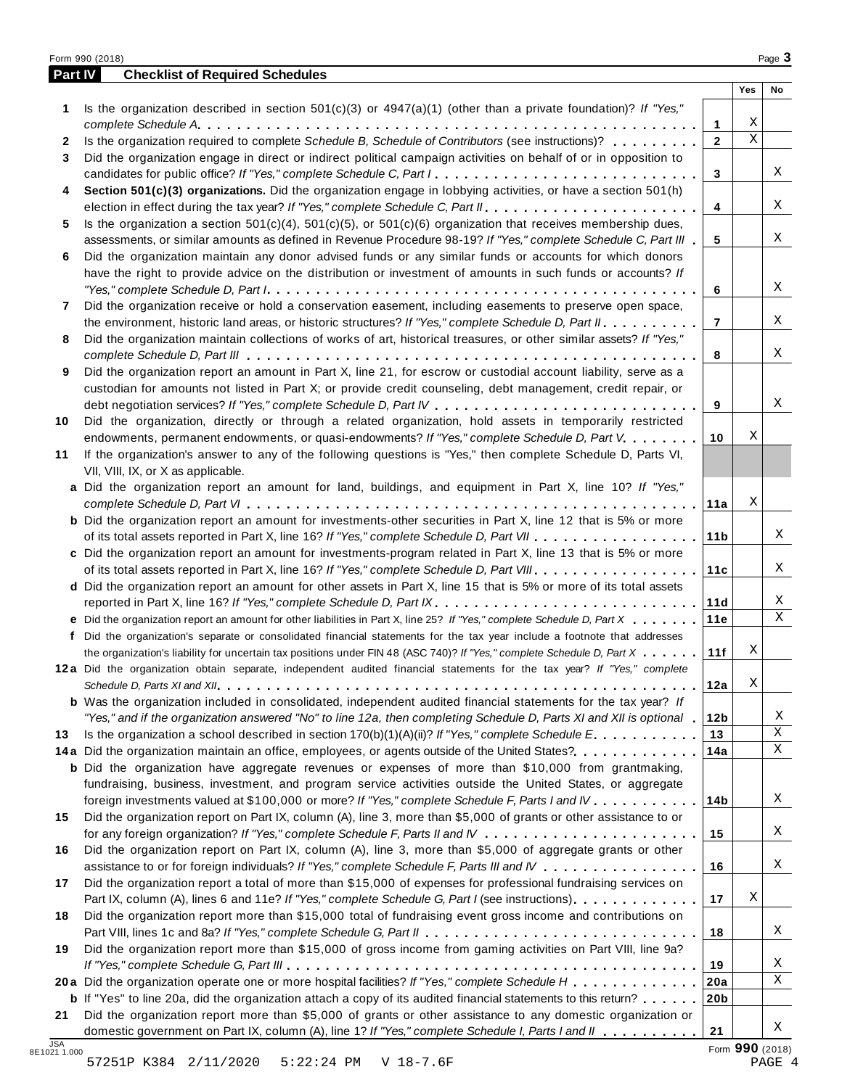| Part IV      | <b>Checklist of Required Schedules</b>                                                                                  |                 |             |    |
|--------------|-------------------------------------------------------------------------------------------------------------------------|-----------------|-------------|----|
|              |                                                                                                                         |                 | Yes         | No |
| 1            | Is the organization described in section $501(c)(3)$ or $4947(a)(1)$ (other than a private foundation)? If "Yes,"       |                 |             |    |
|              |                                                                                                                         | 1               | Χ           |    |
| $\mathbf{2}$ | Is the organization required to complete Schedule B, Schedule of Contributors (see instructions)?                       | $\overline{2}$  | $\mathbf X$ |    |
| 3            | Did the organization engage in direct or indirect political campaign activities on behalf of or in opposition to        |                 |             |    |
|              | candidates for public office? If "Yes," complete Schedule C, Part I.                                                    | 3               |             | Χ  |
| 4            | Section 501(c)(3) organizations. Did the organization engage in lobbying activities, or have a section 501(h)           |                 |             |    |
|              |                                                                                                                         | 4               |             | X  |
| 5            | Is the organization a section $501(c)(4)$ , $501(c)(5)$ , or $501(c)(6)$ organization that receives membership dues,    |                 |             |    |
|              | assessments, or similar amounts as defined in Revenue Procedure 98-19? If "Yes," complete Schedule C, Part III          | 5               |             | Χ  |
| 6            | Did the organization maintain any donor advised funds or any similar funds or accounts for which donors                 |                 |             |    |
|              | have the right to provide advice on the distribution or investment of amounts in such funds or accounts? If             |                 |             | X  |
|              |                                                                                                                         | 6               |             |    |
| 7            | Did the organization receive or hold a conservation easement, including easements to preserve open space,               |                 |             | Χ  |
|              | the environment, historic land areas, or historic structures? If "Yes," complete Schedule D, Part II.                   | $\overline{7}$  |             |    |
| 8            | Did the organization maintain collections of works of art, historical treasures, or other similar assets? If "Yes,"     |                 |             | Χ  |
|              | Did the organization report an amount in Part X, line 21, for escrow or custodial account liability, serve as a         | 8               |             |    |
| 9            | custodian for amounts not listed in Part X; or provide credit counseling, debt management, credit repair, or            |                 |             |    |
|              |                                                                                                                         | 9               |             | X  |
| 10           | Did the organization, directly or through a related organization, hold assets in temporarily restricted                 |                 |             |    |
|              | endowments, permanent endowments, or quasi-endowments? If "Yes," complete Schedule D, Part V.                           | 10              | Χ           |    |
| 11           | If the organization's answer to any of the following questions is "Yes," then complete Schedule D, Parts VI,            |                 |             |    |
|              | VII, VIII, IX, or X as applicable.                                                                                      |                 |             |    |
|              | a Did the organization report an amount for land, buildings, and equipment in Part X, line 10? If "Yes,"                |                 |             |    |
|              |                                                                                                                         | 11a             | Χ           |    |
|              | <b>b</b> Did the organization report an amount for investments-other securities in Part X, line 12 that is 5% or more   |                 |             |    |
|              |                                                                                                                         | 11 <sub>b</sub> |             | Χ  |
|              | c Did the organization report an amount for investments-program related in Part X, line 13 that is 5% or more           |                 |             |    |
|              |                                                                                                                         | 11c             |             | Χ  |
|              | d Did the organization report an amount for other assets in Part X, line 15 that is 5% or more of its total assets      |                 |             |    |
|              | reported in Part X, line 16? If "Yes," complete Schedule D, Part IX.                                                    | 11d             |             | Χ  |
|              | e Did the organization report an amount for other liabilities in Part X, line 25? If "Yes," complete Schedule D, Part X | 11e             |             | X  |
| f            | Did the organization's separate or consolidated financial statements for the tax year include a footnote that addresses |                 |             |    |
|              | the organization's liability for uncertain tax positions under FIN 48 (ASC 740)? If "Yes," complete Schedule D, Part X  | 11f             | Χ           |    |
|              | 12a Did the organization obtain separate, independent audited financial statements for the tax year? If "Yes," complete |                 |             |    |
|              |                                                                                                                         | 12a             | Χ           |    |
|              | <b>b</b> Was the organization included in consolidated, independent audited financial statements for the tax year? If   |                 |             |    |
|              | "Yes," and if the organization answered "No" to line 12a, then completing Schedule D, Parts XI and XII is optional      | 12 <sub>b</sub> |             | Χ  |
| 13           | Is the organization a school described in section $170(b)(1)(A)(ii)?$ If "Yes," complete Schedule E.                    | 13              |             | Χ  |
|              | 14a Did the organization maintain an office, employees, or agents outside of the United States?                         | 14a             |             | Χ  |
|              | <b>b</b> Did the organization have aggregate revenues or expenses of more than \$10,000 from grantmaking,               |                 |             |    |
|              | fundraising, business, investment, and program service activities outside the United States, or aggregate               |                 |             |    |
|              | foreign investments valued at \$100,000 or more? If "Yes," complete Schedule F, Parts I and IV                          | 14b             |             | Χ  |
| 15           | Did the organization report on Part IX, column (A), line 3, more than \$5,000 of grants or other assistance to or       |                 |             |    |
|              |                                                                                                                         | 15              |             | Χ  |
| 16           | Did the organization report on Part IX, column (A), line 3, more than \$5,000 of aggregate grants or other              |                 |             |    |
|              | assistance to or for foreign individuals? If "Yes," complete Schedule F, Parts III and IV                               | 16              |             | Χ  |
| 17           | Did the organization report a total of more than \$15,000 of expenses for professional fundraising services on          |                 |             |    |
|              | Part IX, column (A), lines 6 and 11e? If "Yes," complete Schedule G, Part I (see instructions)                          | 17              | Χ           |    |
| 18           | Did the organization report more than \$15,000 total of fundraising event gross income and contributions on             |                 |             |    |
|              |                                                                                                                         | 18              |             | Χ  |
| 19           | Did the organization report more than \$15,000 of gross income from gaming activities on Part VIII, line 9a?            |                 |             |    |
|              |                                                                                                                         | 19              |             | Χ  |
|              | 20a Did the organization operate one or more hospital facilities? If "Yes," complete Schedule H                         | 20a             |             | Χ  |
|              | <b>b</b> If "Yes" to line 20a, did the organization attach a copy of its audited financial statements to this return?   | 20 <sub>b</sub> |             |    |
| 21           | Did the organization report more than \$5,000 of grants or other assistance to any domestic organization or             |                 |             |    |
|              | domestic government on Part IX, column (A), line 1? If "Yes," complete Schedule I, Parts I and II                       | 21              |             | X  |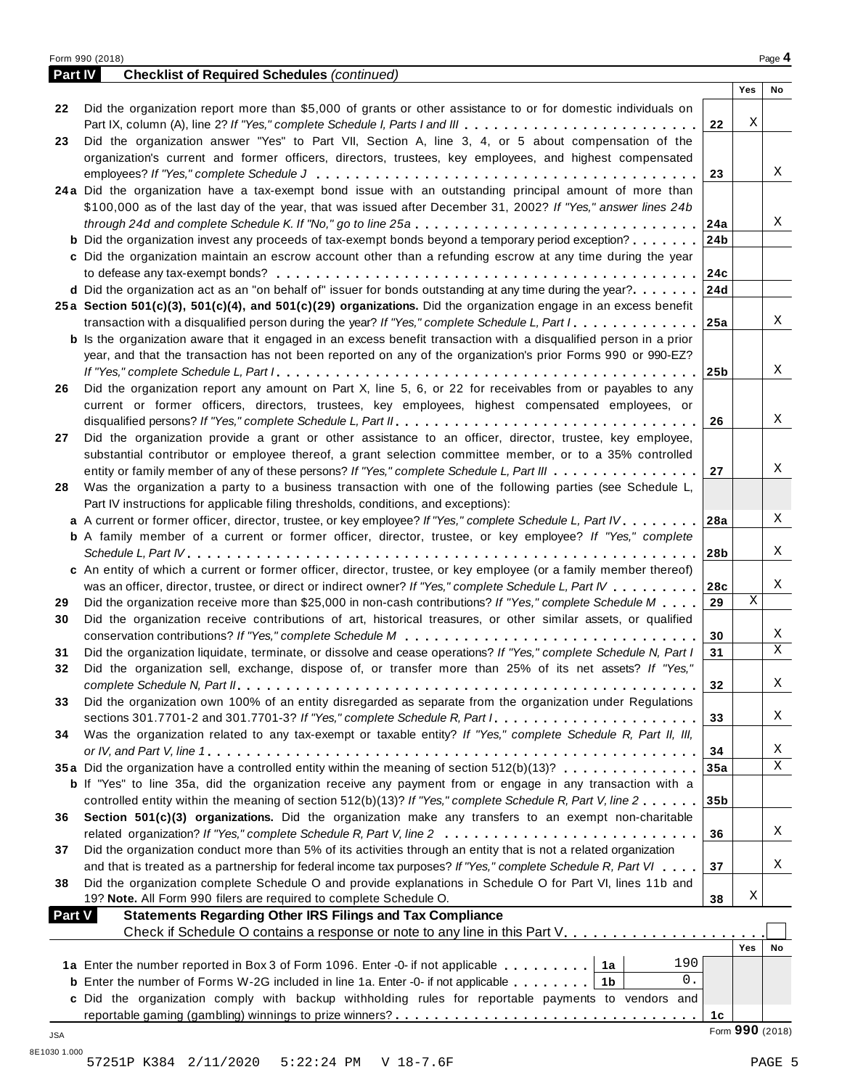| Part IV       | <b>Checklist of Required Schedules (continued)</b>                                                                        |                |                 |    |
|---------------|---------------------------------------------------------------------------------------------------------------------------|----------------|-----------------|----|
|               |                                                                                                                           |                | Yes             | No |
| 22            | Did the organization report more than \$5,000 of grants or other assistance to or for domestic individuals on             |                |                 |    |
|               |                                                                                                                           | 22             | Χ               |    |
| 23            | Did the organization answer "Yes" to Part VII, Section A, line 3, 4, or 5 about compensation of the                       |                |                 |    |
|               | organization's current and former officers, directors, trustees, key employees, and highest compensated                   |                |                 |    |
|               |                                                                                                                           | 23             |                 | X  |
|               |                                                                                                                           |                |                 |    |
|               | 24a Did the organization have a tax-exempt bond issue with an outstanding principal amount of more than                   |                |                 |    |
|               | \$100,000 as of the last day of the year, that was issued after December 31, 2002? If "Yes," answer lines 24b             |                |                 |    |
|               |                                                                                                                           |                |                 | Χ  |
|               | <b>b</b> Did the organization invest any proceeds of tax-exempt bonds beyond a temporary period exception?                | 24b            |                 |    |
|               | c Did the organization maintain an escrow account other than a refunding escrow at any time during the year               |                |                 |    |
|               |                                                                                                                           | 24c            |                 |    |
|               | <b>d</b> Did the organization act as an "on behalf of" issuer for bonds outstanding at any time during the year?          | 24d            |                 |    |
|               | 25a Section 501(c)(3), 501(c)(4), and 501(c)(29) organizations. Did the organization engage in an excess benefit          |                |                 |    |
|               |                                                                                                                           |                |                 | X  |
|               | <b>b</b> Is the organization aware that it engaged in an excess benefit transaction with a disqualified person in a prior |                |                 |    |
|               | year, and that the transaction has not been reported on any of the organization's prior Forms 990 or 990-EZ?              |                |                 |    |
|               |                                                                                                                           | 25b            |                 | X  |
|               |                                                                                                                           |                |                 |    |
| 26            | Did the organization report any amount on Part X, line 5, 6, or 22 for receivables from or payables to any                |                |                 |    |
|               | current or former officers, directors, trustees, key employees, highest compensated employees, or                         |                |                 |    |
|               |                                                                                                                           | 26             |                 | Χ  |
| 27            | Did the organization provide a grant or other assistance to an officer, director, trustee, key employee,                  |                |                 |    |
|               | substantial contributor or employee thereof, a grant selection committee member, or to a 35% controlled                   |                |                 |    |
|               | entity or family member of any of these persons? If "Yes," complete Schedule L, Part III                                  | 27             |                 | Χ  |
| 28            | Was the organization a party to a business transaction with one of the following parties (see Schedule L,                 |                |                 |    |
|               | Part IV instructions for applicable filing thresholds, conditions, and exceptions):                                       |                |                 |    |
|               | a A current or former officer, director, trustee, or key employee? If "Yes," complete Schedule L, Part IV                 | 28a            |                 | Χ  |
|               | <b>b</b> A family member of a current or former officer, director, trustee, or key employee? If "Yes," complete           |                |                 |    |
|               |                                                                                                                           | 28b            |                 | X  |
|               | c An entity of which a current or former officer, director, trustee, or key employee (or a family member thereof)         |                |                 |    |
|               | was an officer, director, trustee, or direct or indirect owner? If "Yes," complete Schedule L, Part IV                    | 28c            |                 | X  |
|               |                                                                                                                           |                | $\mathbf X$     |    |
| 29            | Did the organization receive more than \$25,000 in non-cash contributions? If "Yes," complete Schedule M                  | 29             |                 |    |
| 30            | Did the organization receive contributions of art, historical treasures, or other similar assets, or qualified            |                |                 |    |
|               |                                                                                                                           | 30             |                 | X  |
| 31            | Did the organization liquidate, terminate, or dissolve and cease operations? If "Yes," complete Schedule N, Part I        | 31             |                 | X  |
| 32            | Did the organization sell, exchange, dispose of, or transfer more than 25% of its net assets? If "Yes,"                   |                |                 |    |
|               |                                                                                                                           | 32             |                 | Χ  |
| 33            | Did the organization own 100% of an entity disregarded as separate from the organization under Regulations                |                |                 |    |
|               |                                                                                                                           | 33             |                 | Χ  |
| 34            | Was the organization related to any tax-exempt or taxable entity? If "Yes," complete Schedule R, Part II, III,            |                |                 |    |
|               |                                                                                                                           | 34             |                 | X  |
|               | 35a Did the organization have a controlled entity within the meaning of section 512(b)(13)?                               | 35a            |                 | X  |
|               | <b>b</b> If "Yes" to line 35a, did the organization receive any payment from or engage in any transaction with a          |                |                 |    |
|               |                                                                                                                           |                |                 |    |
|               | controlled entity within the meaning of section 512(b)(13)? If "Yes," complete Schedule R, Part V, line 2                 | 35b            |                 |    |
| 36            | Section 501(c)(3) organizations. Did the organization make any transfers to an exempt non-charitable                      |                |                 |    |
|               | related organization? If "Yes," complete Schedule R, Part V, line 2                                                       | 36             |                 | Χ  |
| 37            | Did the organization conduct more than 5% of its activities through an entity that is not a related organization          |                |                 |    |
|               | and that is treated as a partnership for federal income tax purposes? If "Yes," complete Schedule R, Part VI              | 37             |                 | Χ  |
| 38            | Did the organization complete Schedule O and provide explanations in Schedule O for Part VI, lines 11b and                |                |                 |    |
|               | 19? Note. All Form 990 filers are required to complete Schedule O.                                                        | 38             | Χ               |    |
| <b>Part V</b> | <b>Statements Regarding Other IRS Filings and Tax Compliance</b>                                                          |                |                 |    |
|               | Check if Schedule O contains a response or note to any line in this Part V.                                               |                |                 |    |
|               |                                                                                                                           |                | Yes             | No |
|               | 190<br>1a Enter the number reported in Box 3 of Form 1096. Enter -0- if not applicable 1a                                 |                |                 |    |
|               | $0$ .<br><b>b</b> Enter the number of Forms W-2G included in line 1a. Enter -0- if not applicable $\ldots \ldots$ ,       |                |                 |    |
|               |                                                                                                                           |                |                 |    |
|               | c Did the organization comply with backup withholding rules for reportable payments to vendors and                        |                |                 |    |
|               |                                                                                                                           | 1 <sub>c</sub> |                 |    |
| JSA           |                                                                                                                           |                | Form 990 (2018) |    |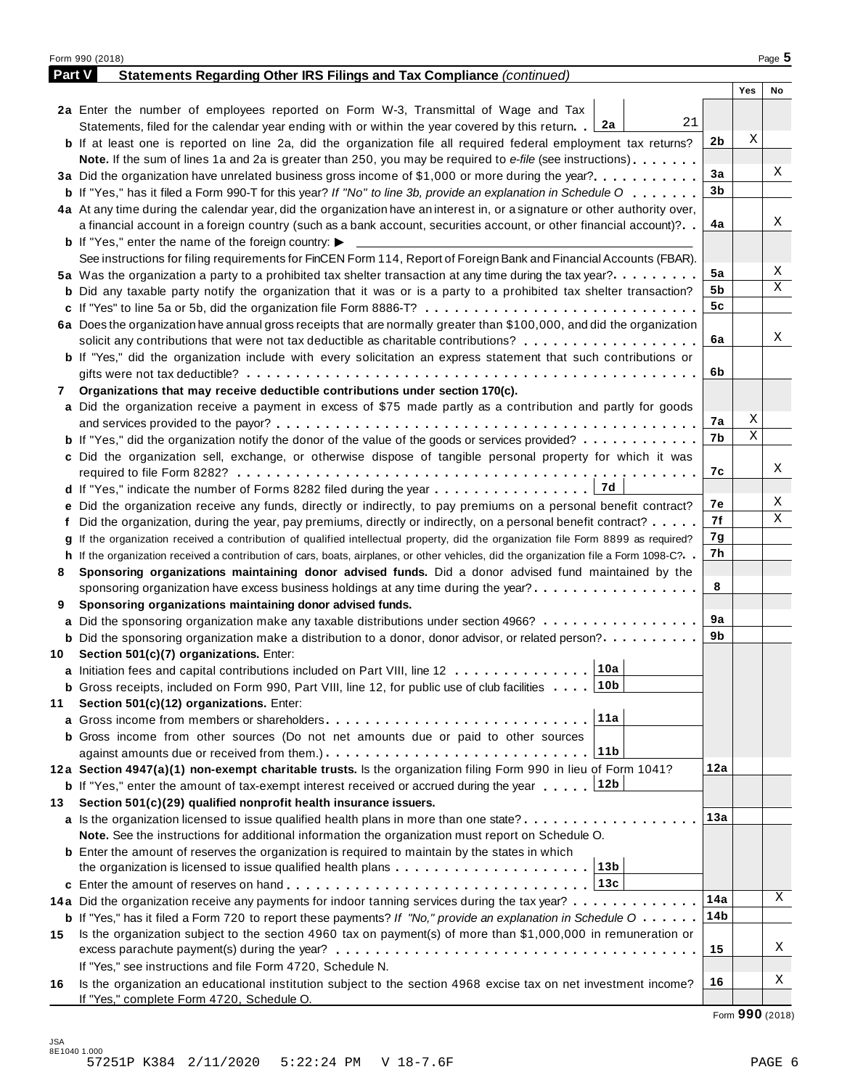|        | Form 990 (2018)                                                                                                                              |     |     | Page 5 |
|--------|----------------------------------------------------------------------------------------------------------------------------------------------|-----|-----|--------|
| Part V | Statements Regarding Other IRS Filings and Tax Compliance (continued)                                                                        |     |     |        |
|        |                                                                                                                                              |     | Yes | No     |
|        | 2a Enter the number of employees reported on Form W-3, Transmittal of Wage and Tax                                                           |     |     |        |
|        | 21<br>Statements, filed for the calendar year ending with or within the year covered by this return. $2a$                                    |     |     |        |
|        | <b>b</b> If at least one is reported on line 2a, did the organization file all required federal employment tax returns?                      | 2b  | X   |        |
|        | <b>Note.</b> If the sum of lines 1a and 2a is greater than 250, you may be required to e-file (see instructions).                            |     |     |        |
|        | 3a Did the organization have unrelated business gross income of \$1,000 or more during the year?                                             | 3a  |     | Χ      |
|        | <b>b</b> If "Yes," has it filed a Form 990-T for this year? If "No" to line 3b, provide an explanation in Schedule O                         | 3b  |     |        |
|        | 4a At any time during the calendar year, did the organization have an interest in, or a signature or other authority over,                   |     |     |        |
|        | a financial account in a foreign country (such as a bank account, securities account, or other financial account)?                           | 4a  |     | Χ      |
|        | <b>b</b> If "Yes," enter the name of the foreign country: $\blacktriangleright$                                                              |     |     |        |
|        | See instructions for filing requirements for FinCEN Form 114, Report of Foreign Bank and Financial Accounts (FBAR).                          |     |     |        |
|        | 5a Was the organization a party to a prohibited tax shelter transaction at any time during the tax year?                                     | 5a  |     | Χ      |
|        | <b>b</b> Did any taxable party notify the organization that it was or is a party to a prohibited tax shelter transaction?                    | 5b  |     | Χ      |
|        | c If "Yes" to line 5a or 5b, did the organization file Form 8886-T?                                                                          | 5c  |     |        |
|        | 6a Does the organization have annual gross receipts that are normally greater than \$100,000, and did the organization                       |     |     |        |
|        |                                                                                                                                              | 6a  |     | Χ      |
|        | solicit any contributions that were not tax deductible as charitable contributions?                                                          |     |     |        |
|        | <b>b</b> If "Yes," did the organization include with every solicitation an express statement that such contributions or                      | 6b  |     |        |
|        |                                                                                                                                              |     |     |        |
| 7      | Organizations that may receive deductible contributions under section 170(c).                                                                |     |     |        |
|        | a Did the organization receive a payment in excess of \$75 made partly as a contribution and partly for goods                                |     | Χ   |        |
|        |                                                                                                                                              | 7а  | Χ   |        |
|        | <b>b</b> If "Yes," did the organization notify the donor of the value of the goods or services provided?                                     | 7b  |     |        |
|        | c Did the organization sell, exchange, or otherwise dispose of tangible personal property for which it was                                   |     |     |        |
|        |                                                                                                                                              | 7с  |     | Χ      |
|        | 17d<br><b>d</b> If "Yes," indicate the number of Forms 8282 filed during the year $\dots \dots \dots \dots \dots$                            |     |     |        |
|        | e Did the organization receive any funds, directly or indirectly, to pay premiums on a personal benefit contract?                            | 7е  |     | Χ      |
|        | f Did the organization, during the year, pay premiums, directly or indirectly, on a personal benefit contract?                               | 7f  |     | Χ      |
|        | If the organization received a contribution of qualified intellectual property, did the organization file Form 8899 as required?             | 7g  |     |        |
|        | h If the organization received a contribution of cars, boats, airplanes, or other vehicles, did the organization file a Form 1098-C?         | 7h  |     |        |
| 8      | Sponsoring organizations maintaining donor advised funds. Did a donor advised fund maintained by the                                         |     |     |        |
|        | sponsoring organization have excess business holdings at any time during the year?                                                           | 8   |     |        |
| 9      | Sponsoring organizations maintaining donor advised funds.                                                                                    |     |     |        |
|        | a Did the sponsoring organization make any taxable distributions under section 4966?                                                         | 9а  |     |        |
|        | <b>b</b> Did the sponsoring organization make a distribution to a donor, donor advisor, or related person?                                   | 9b  |     |        |
|        | 10 Section 501(c)(7) organizations. Enter:                                                                                                   |     |     |        |
|        | 10a <br>a Initiation fees and capital contributions included on Part VIII, line 12                                                           |     |     |        |
|        | ∣10b<br><b>b</b> Gross receipts, included on Form 990, Part VIII, line 12, for public use of club facilities $\ldots$ .                      |     |     |        |
| 11     | Section 501(c)(12) organizations. Enter:                                                                                                     |     |     |        |
|        | 11a                                                                                                                                          |     |     |        |
|        | b Gross income from other sources (Do not net amounts due or paid to other sources                                                           |     |     |        |
|        | 11b                                                                                                                                          |     |     |        |
|        | 12a Section 4947(a)(1) non-exempt charitable trusts. Is the organization filing Form 990 in lieu of Form 1041?                               | 12a |     |        |
|        | 12b                                                                                                                                          |     |     |        |
|        | <b>b</b> If "Yes," enter the amount of tax-exempt interest received or accrued during the year                                               |     |     |        |
| 13     | Section 501(c)(29) qualified nonprofit health insurance issuers.                                                                             |     |     |        |
|        | a Is the organization licensed to issue qualified health plans in more than one state?                                                       | 13а |     |        |
|        | Note. See the instructions for additional information the organization must report on Schedule O.                                            |     |     |        |
|        | <b>b</b> Enter the amount of reserves the organization is required to maintain by the states in which                                        |     |     |        |
|        | 13b<br>the organization is licensed to issue qualified health plans $\ldots \ldots \ldots \ldots \ldots \ldots \ldots$                       |     |     |        |
|        | 13c                                                                                                                                          |     |     |        |
|        | 14a Did the organization receive any payments for indoor tanning services during the tax year?                                               | 14a |     | Χ      |
|        | <b>b</b> If "Yes," has it filed a Form 720 to report these payments? If "No," provide an explanation in Schedule $0 \cdot \cdot \cdot \cdot$ | 14b |     |        |
| 15     | Is the organization subject to the section 4960 tax on payment(s) of more than \$1,000,000 in remuneration or                                |     |     |        |
|        |                                                                                                                                              | 15  |     | Χ      |
|        | If "Yes," see instructions and file Form 4720, Schedule N.                                                                                   |     |     |        |
| 16     | Is the organization an educational institution subject to the section 4968 excise tax on net investment income?                              | 16  |     | Χ      |
|        | If "Yes," complete Form 4720, Schedule O.                                                                                                    |     |     |        |

Form **990** (2018)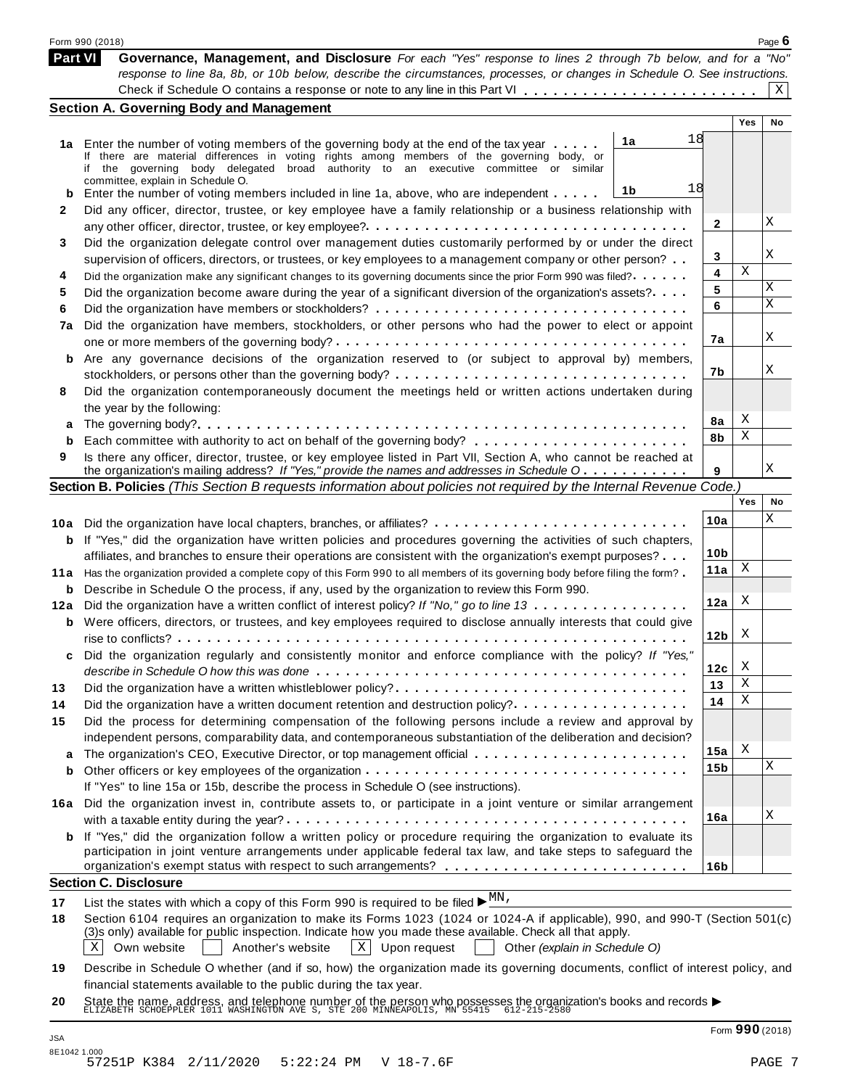|          | Form 990 (2018)                                                                                                                                                                      |                        |     | Page $6$ |
|----------|--------------------------------------------------------------------------------------------------------------------------------------------------------------------------------------|------------------------|-----|----------|
|          | Part VI<br>Governance, Management, and Disclosure For each "Yes" response to lines 2 through 7b below, and for a "No"                                                                |                        |     |          |
|          | response to line 8a, 8b, or 10b below, describe the circumstances, processes, or changes in Schedule O. See instructions.                                                            |                        |     | Χ        |
|          |                                                                                                                                                                                      |                        |     |          |
|          | <b>Section A. Governing Body and Management</b>                                                                                                                                      |                        | Yes | No       |
|          | 1a                                                                                                                                                                                   | 18                     |     |          |
|          | 1a Enter the number of voting members of the governing body at the end of the tax year<br>If there are material differences in voting rights among members of the governing body, or |                        |     |          |
|          | if the governing body delegated broad authority to an executive committee or similar                                                                                                 |                        |     |          |
|          | committee, explain in Schedule O.<br>1b<br>Enter the number of voting members included in line 1a, above, who are independent                                                        | 18                     |     |          |
| b<br>2   | Did any officer, director, trustee, or key employee have a family relationship or a business relationship with                                                                       |                        |     |          |
|          |                                                                                                                                                                                      | 2                      |     | Χ        |
| 3        | Did the organization delegate control over management duties customarily performed by or under the direct                                                                            |                        |     |          |
|          | supervision of officers, directors, or trustees, or key employees to a management company or other person?                                                                           | 3                      |     | Χ        |
| 4        | Did the organization make any significant changes to its governing documents since the prior Form 990 was filed?                                                                     | 4                      | Χ   |          |
| 5        | Did the organization become aware during the year of a significant diversion of the organization's assets?                                                                           | 5                      |     | Χ        |
|          |                                                                                                                                                                                      | 6                      |     | Χ        |
| 6<br>7a  | Did the organization have members, stockholders, or other persons who had the power to elect or appoint                                                                              |                        |     |          |
|          |                                                                                                                                                                                      | 7a                     |     | Χ        |
| b        | Are any governance decisions of the organization reserved to (or subject to approval by) members,                                                                                    |                        |     |          |
|          |                                                                                                                                                                                      | 7b                     |     | Χ        |
| 8        | Did the organization contemporaneously document the meetings held or written actions undertaken during                                                                               |                        |     |          |
|          | the year by the following:                                                                                                                                                           |                        |     |          |
| a        |                                                                                                                                                                                      | 8а                     | X   |          |
| b        |                                                                                                                                                                                      | 8b                     | Χ   |          |
| 9        | Is there any officer, director, trustee, or key employee listed in Part VII, Section A, who cannot be reached at                                                                     |                        |     |          |
|          | the organization's mailing address? If "Yes," provide the names and addresses in Schedule O                                                                                          | 9                      |     | Χ        |
|          | Section B. Policies (This Section B requests information about policies not required by the Internal Revenue Code.)                                                                  |                        | Yes |          |
|          |                                                                                                                                                                                      |                        |     | No<br>Χ  |
| 10a      | Did the organization have local chapters, branches, or affiliates?                                                                                                                   | 10a                    |     |          |
| b        | If "Yes," did the organization have written policies and procedures governing the activities of such chapters,                                                                       |                        |     |          |
|          | affiliates, and branches to ensure their operations are consistent with the organization's exempt purposes?                                                                          | 10 <sub>b</sub><br>11a | Χ   |          |
| 11 a     | Has the organization provided a complete copy of this Form 990 to all members of its governing body before filing the form?                                                          |                        |     |          |
| b        | Describe in Schedule O the process, if any, used by the organization to review this Form 990.                                                                                        | 12a                    | X   |          |
| 12a      | Did the organization have a written conflict of interest policy? If "No," go to line 13                                                                                              |                        |     |          |
| b        | Were officers, directors, or trustees, and key employees required to disclose annually interests that could give                                                                     | 12 <sub>b</sub>        | X   |          |
|          |                                                                                                                                                                                      |                        |     |          |
|          | Did the organization regularly and consistently monitor and enforce compliance with the policy? If "Yes,                                                                             | 12c                    | X   |          |
|          | Did the organization have a written whistleblower policy?                                                                                                                            | 13                     | х   |          |
| 13       | Did the organization have a written document retention and destruction policy?                                                                                                       | 14                     | Χ   |          |
| 14<br>15 | Did the process for determining compensation of the following persons include a review and approval by                                                                               |                        |     |          |
|          | independent persons, comparability data, and contemporaneous substantiation of the deliberation and decision?                                                                        |                        |     |          |
| a        | The organization's CEO, Executive Director, or top management official                                                                                                               | 15a                    | Χ   |          |
| b        |                                                                                                                                                                                      | 15b                    |     | Χ        |
|          | If "Yes" to line 15a or 15b, describe the process in Schedule O (see instructions).                                                                                                  |                        |     |          |
|          | 16a Did the organization invest in, contribute assets to, or participate in a joint venture or similar arrangement                                                                   |                        |     |          |
|          |                                                                                                                                                                                      | 16a                    |     | Χ        |
|          | <b>b</b> If "Yes," did the organization follow a written policy or procedure requiring the organization to evaluate its                                                              |                        |     |          |
|          | participation in joint venture arrangements under applicable federal tax law, and take steps to safeguard the                                                                        |                        |     |          |
|          |                                                                                                                                                                                      | 16 <sub>b</sub>        |     |          |
|          | <b>Section C. Disclosure</b>                                                                                                                                                         |                        |     |          |
|          | List the states with which a copy of this Form 990 is required to be filed $\blacktriangleright \frac{MN}{N}$ .                                                                      |                        |     |          |
| 18       | Section 6104 requires an organization to make its Forms 1023 (1024 or 1024-A if applicable), 990, and 990-T (Section 501(c)                                                          |                        |     |          |
|          | (3)s only) available for public inspection. Indicate how you made these available. Check all that apply.                                                                             |                        |     |          |
|          | Χ<br>Own website<br>Another's website<br>$ X $ Upon request<br>Other (explain in Schedule O)                                                                                         |                        |     |          |
|          | Describe in Schedule O whether (and if so, how) the organization made its governing documents, conflict of interest policy, and                                                      |                        |     |          |
|          | financial statements available to the public during the tax year.                                                                                                                    |                        |     |          |
|          |                                                                                                                                                                                      |                        |     |          |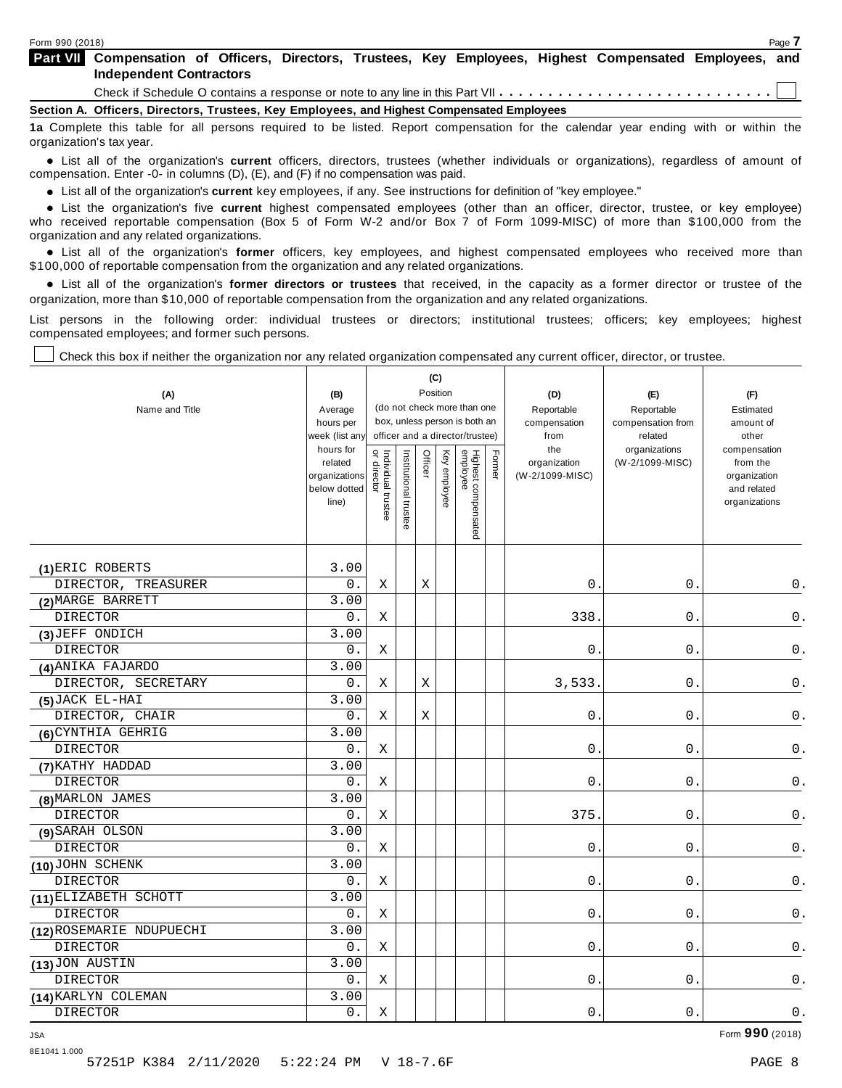| <b>Part VII</b> Compensation of Officers, Directors, Trustees, Key Employees, Highest Compensated Employees, and                  |  |  |  |  |  |
|-----------------------------------------------------------------------------------------------------------------------------------|--|--|--|--|--|
| <b>Independent Contractors</b>                                                                                                    |  |  |  |  |  |
|                                                                                                                                   |  |  |  |  |  |
| Section A. Officers, Directors, Trustees, Key Employees, and Highest Compensated Employees                                        |  |  |  |  |  |
| 1a Complete this table for all persons required to be listed. Report compensation for the calendar year ending with or within the |  |  |  |  |  |

**1a** Complete this table for all persons required to be listed. Report compensation for the calendar year ending with or within the organization's tax year.

anization's lax year.<br>● List all of the organization's **current** officers, directors, trustees (whether individuals or organizations), regardless of amount of<br>nnensation Enter -0- in columns (D) (E) and (E) if no compensa compensation. Enter -0- in columns (D), (E), and (F) if no compensation was paid.

• List all of the organization's **current** key employees, if any. See instructions for definition of "key employee."<br>● List the experientials five expect highest expressed explores (other than an efficer director of

**Example in the organization's current** key employees, if any. See instructions for definition of key employee.<br>• List the organization's five **current** highest compensated employees (other than an officer, director, trust who received reportable compensation (Box 5 of Form W-2 and/or Box 7 of Form 1099-MISC) of more than \$100,000 from the

organization and any related organizations.<br>• List all of the organization's **former** officers, key employees, and highest compensated employees who received more than<br>\$1.00.000 of reportable componention from the erganiza \$100,000 of reportable compensation from the organization and any related organizations.

% List all of the organization's **former directors or trustees** that received, in the capacity as a former director or trustee of the organization, more than \$10,000 of reportable compensation from the organization and any related organizations.

List persons in the following order: individual trustees or directors; institutional trustees; officers; key employees; highest compensated employees; and former such persons.

┰

Τ

Check this box if neither the organization nor any related organization compensated any current officer, director, or trustee.

Т

| (A)<br>Name and Title    | (B)<br>Average<br>hours per<br>week (list an <sup>,</sup><br>hours for<br>related |                                     |                       | Officer | (C)<br>Position | (do not check more than one<br>box, unless person is both an<br>officer and a director/trustee) | Former | (D)<br>Reportable<br>compensation<br>from<br>the<br>organization | (E)<br>Reportable<br>compensation from<br>related<br>organizations<br>(W-2/1099-MISC) | (F)<br>Estimated<br>amount of<br>other<br>compensation<br>from the |
|--------------------------|-----------------------------------------------------------------------------------|-------------------------------------|-----------------------|---------|-----------------|-------------------------------------------------------------------------------------------------|--------|------------------------------------------------------------------|---------------------------------------------------------------------------------------|--------------------------------------------------------------------|
|                          | organizations<br>below dotted<br>line)                                            | Individual trustee<br>  or director | Institutional trustee |         | Key employee    | Highest compensated<br>employee                                                                 |        | (W-2/1099-MISC)                                                  |                                                                                       | organization<br>and related<br>organizations                       |
| (1) ERIC ROBERTS         | 3.00                                                                              |                                     |                       |         |                 |                                                                                                 |        |                                                                  |                                                                                       |                                                                    |
| DIRECTOR, TREASURER      | 0.                                                                                | X                                   |                       | Χ       |                 |                                                                                                 |        | 0.                                                               | 0.                                                                                    | 0.                                                                 |
| (2) MARGE BARRETT        | 3.00                                                                              |                                     |                       |         |                 |                                                                                                 |        |                                                                  |                                                                                       |                                                                    |
| <b>DIRECTOR</b>          | 0.                                                                                | Χ                                   |                       |         |                 |                                                                                                 |        | 338                                                              | $0$ .                                                                                 | $\mathsf 0$ .                                                      |
| (3) JEFF ONDICH          | 3.00                                                                              |                                     |                       |         |                 |                                                                                                 |        |                                                                  |                                                                                       |                                                                    |
| <b>DIRECTOR</b>          | $0$ .                                                                             | Χ                                   |                       |         |                 |                                                                                                 |        | $\mathsf{O}$ .                                                   | $0$ .                                                                                 | $\mathsf 0$ .                                                      |
| (4) ANIKA FAJARDO        | 3.00                                                                              |                                     |                       |         |                 |                                                                                                 |        |                                                                  |                                                                                       |                                                                    |
| DIRECTOR, SECRETARY      | 0.                                                                                | Χ                                   |                       | Χ       |                 |                                                                                                 |        | 3,533.                                                           | 0.                                                                                    | $\mathsf 0$ .                                                      |
| $(5)$ JACK EL-HAI        | 3.00                                                                              |                                     |                       |         |                 |                                                                                                 |        |                                                                  |                                                                                       |                                                                    |
| DIRECTOR, CHAIR          | 0.                                                                                | X                                   |                       | Х       |                 |                                                                                                 |        | 0.                                                               | $\boldsymbol{0}$ .                                                                    | $\mathsf 0$ .                                                      |
| (6) CYNTHIA GEHRIG       | 3.00                                                                              |                                     |                       |         |                 |                                                                                                 |        |                                                                  |                                                                                       |                                                                    |
| <b>DIRECTOR</b>          | 0.                                                                                | Χ                                   |                       |         |                 |                                                                                                 |        | $\mathsf{O}$ .                                                   | $0$ .                                                                                 | 0.                                                                 |
| (7) KATHY HADDAD         | 3.00                                                                              |                                     |                       |         |                 |                                                                                                 |        |                                                                  |                                                                                       |                                                                    |
| <b>DIRECTOR</b>          | 0.                                                                                | Χ                                   |                       |         |                 |                                                                                                 |        | 0.                                                               | 0.                                                                                    | 0.                                                                 |
| (8) MARLON JAMES         | 3.00                                                                              |                                     |                       |         |                 |                                                                                                 |        |                                                                  |                                                                                       |                                                                    |
| <b>DIRECTOR</b>          | 0.                                                                                | Χ                                   |                       |         |                 |                                                                                                 |        | 375                                                              | 0.                                                                                    | 0.                                                                 |
| (9) SARAH OLSON          | 3.00                                                                              |                                     |                       |         |                 |                                                                                                 |        |                                                                  |                                                                                       |                                                                    |
| <b>DIRECTOR</b>          | $0$ .                                                                             | Χ                                   |                       |         |                 |                                                                                                 |        | $\mathsf{O}$                                                     | $0$ .                                                                                 | $\mathsf 0$ .                                                      |
| (10) JOHN SCHENK         | 3.00                                                                              |                                     |                       |         |                 |                                                                                                 |        |                                                                  |                                                                                       |                                                                    |
| <b>DIRECTOR</b>          | 0.                                                                                | Χ                                   |                       |         |                 |                                                                                                 |        | 0.                                                               | 0.                                                                                    | $0$ .                                                              |
| (11) ELIZABETH SCHOTT    | 3.00                                                                              |                                     |                       |         |                 |                                                                                                 |        |                                                                  |                                                                                       |                                                                    |
| <b>DIRECTOR</b>          | $0$ .                                                                             | Χ                                   |                       |         |                 |                                                                                                 |        | $0$ .                                                            | $0$ .                                                                                 | 0.                                                                 |
| (12) ROSEMARIE NDUPUECHI | 3.00                                                                              |                                     |                       |         |                 |                                                                                                 |        |                                                                  |                                                                                       |                                                                    |
| <b>DIRECTOR</b>          | 0.                                                                                | Χ                                   |                       |         |                 |                                                                                                 |        | 0.                                                               | 0.                                                                                    | 0.                                                                 |
| (13) JON AUSTIN          | 3.00                                                                              |                                     |                       |         |                 |                                                                                                 |        |                                                                  |                                                                                       |                                                                    |
| <b>DIRECTOR</b>          | $\mathsf 0$ .                                                                     | Χ                                   |                       |         |                 |                                                                                                 |        | $0\,$ .                                                          | $0$ .                                                                                 | 0.                                                                 |
| (14) KARLYN COLEMAN      | 3.00                                                                              |                                     |                       |         |                 |                                                                                                 |        |                                                                  |                                                                                       |                                                                    |
| <b>DIRECTOR</b>          | 0.                                                                                | Χ                                   |                       |         |                 |                                                                                                 |        | 0.                                                               | 0.                                                                                    | $0$ .                                                              |

JSA Form **990** (2018)

8E1041 1.000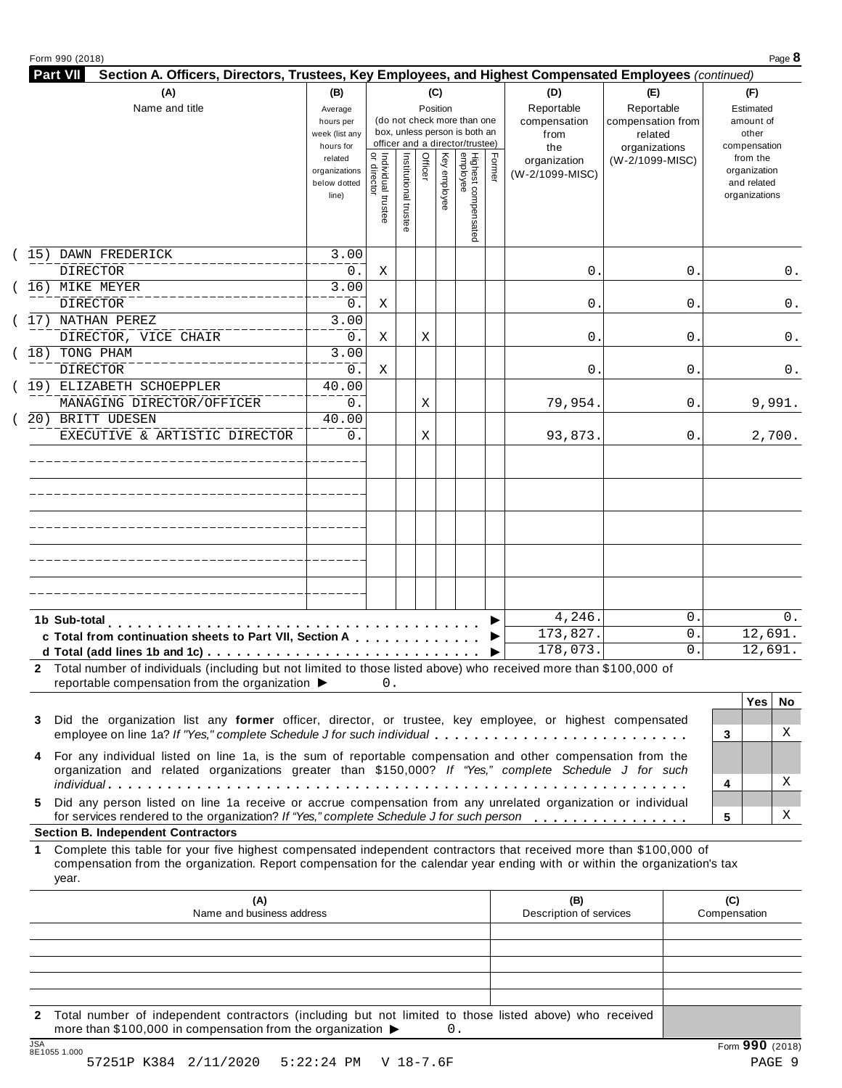| Reportable<br>Reportable<br>Name and title<br>Position<br>Estimated<br>Average<br>(do not check more than one<br>compensation<br>compensation from<br>amount of<br>hours per<br>box, unless person is both an<br>other<br>week (list any<br>from<br>related<br>officer and a director/trustee)<br>compensation<br>hours for<br>organizations<br>the<br>  Individual trustee<br>  or director<br>Highest compensated<br>employee<br>Institutional trustee<br>Officer<br>Key employee<br>Former<br>from the<br>related<br>(W-2/1099-MISC)<br>organization<br>organization<br>organizations<br>(W-2/1099-MISC)<br>and related<br>below dotted<br>organizations<br>line)<br>15) DAWN FREDERICK<br>3.00<br><b>DIRECTOR</b><br>0.<br>$0$ .<br>0<br>Χ<br>(16) MIKE MEYER<br>3.00<br><b>DIRECTOR</b><br>$0$ .<br>0.<br>0<br>Χ<br>(17) NATHAN PEREZ<br>3.00<br>DIRECTOR, VICE CHAIR<br>$0$ .<br>Χ<br>0.<br>0<br>Χ<br>$\overline{3.00}$<br>(18) TONG PHAM<br><b>DIRECTOR</b><br>0.<br>Χ<br>0.<br>0<br>(19) ELIZABETH SCHOEPPLER<br>40.00<br>MANAGING DIRECTOR/OFFICER<br>0.<br>79,954.<br>0.<br>Χ<br>20) BRITT UDESEN<br>40.00<br>EXECUTIVE & ARTISTIC DIRECTOR<br>0.<br>93,873.<br>0.<br>Χ<br>4,246.<br>$\mathbf 0$ .<br>1b Sub-total<br>173,827.<br>0.<br>c Total from continuation sheets to Part VII, Section A<br>178,073.<br>0<br>▶<br>2 Total number of individuals (including but not limited to those listed above) who received more than \$100,000 of<br>reportable compensation from the organization $\blacktriangleright$<br>$0$ . | (A) | (B) |  | (C) |  | (D) | (E) | (F)        |
|----------------------------------------------------------------------------------------------------------------------------------------------------------------------------------------------------------------------------------------------------------------------------------------------------------------------------------------------------------------------------------------------------------------------------------------------------------------------------------------------------------------------------------------------------------------------------------------------------------------------------------------------------------------------------------------------------------------------------------------------------------------------------------------------------------------------------------------------------------------------------------------------------------------------------------------------------------------------------------------------------------------------------------------------------------------------------------------------------------------------------------------------------------------------------------------------------------------------------------------------------------------------------------------------------------------------------------------------------------------------------------------------------------------------------------------------------------------------------------------------------------------------------------------|-----|-----|--|-----|--|-----|-----|------------|
|                                                                                                                                                                                                                                                                                                                                                                                                                                                                                                                                                                                                                                                                                                                                                                                                                                                                                                                                                                                                                                                                                                                                                                                                                                                                                                                                                                                                                                                                                                                                        |     |     |  |     |  |     |     |            |
|                                                                                                                                                                                                                                                                                                                                                                                                                                                                                                                                                                                                                                                                                                                                                                                                                                                                                                                                                                                                                                                                                                                                                                                                                                                                                                                                                                                                                                                                                                                                        |     |     |  |     |  |     |     |            |
|                                                                                                                                                                                                                                                                                                                                                                                                                                                                                                                                                                                                                                                                                                                                                                                                                                                                                                                                                                                                                                                                                                                                                                                                                                                                                                                                                                                                                                                                                                                                        |     |     |  |     |  |     |     | 0.         |
|                                                                                                                                                                                                                                                                                                                                                                                                                                                                                                                                                                                                                                                                                                                                                                                                                                                                                                                                                                                                                                                                                                                                                                                                                                                                                                                                                                                                                                                                                                                                        |     |     |  |     |  |     |     |            |
|                                                                                                                                                                                                                                                                                                                                                                                                                                                                                                                                                                                                                                                                                                                                                                                                                                                                                                                                                                                                                                                                                                                                                                                                                                                                                                                                                                                                                                                                                                                                        |     |     |  |     |  |     |     | 0.         |
|                                                                                                                                                                                                                                                                                                                                                                                                                                                                                                                                                                                                                                                                                                                                                                                                                                                                                                                                                                                                                                                                                                                                                                                                                                                                                                                                                                                                                                                                                                                                        |     |     |  |     |  |     |     |            |
|                                                                                                                                                                                                                                                                                                                                                                                                                                                                                                                                                                                                                                                                                                                                                                                                                                                                                                                                                                                                                                                                                                                                                                                                                                                                                                                                                                                                                                                                                                                                        |     |     |  |     |  |     |     | 0.         |
|                                                                                                                                                                                                                                                                                                                                                                                                                                                                                                                                                                                                                                                                                                                                                                                                                                                                                                                                                                                                                                                                                                                                                                                                                                                                                                                                                                                                                                                                                                                                        |     |     |  |     |  |     |     | 0.         |
|                                                                                                                                                                                                                                                                                                                                                                                                                                                                                                                                                                                                                                                                                                                                                                                                                                                                                                                                                                                                                                                                                                                                                                                                                                                                                                                                                                                                                                                                                                                                        |     |     |  |     |  |     |     | 9,991.     |
|                                                                                                                                                                                                                                                                                                                                                                                                                                                                                                                                                                                                                                                                                                                                                                                                                                                                                                                                                                                                                                                                                                                                                                                                                                                                                                                                                                                                                                                                                                                                        |     |     |  |     |  |     |     | 2,700.     |
|                                                                                                                                                                                                                                                                                                                                                                                                                                                                                                                                                                                                                                                                                                                                                                                                                                                                                                                                                                                                                                                                                                                                                                                                                                                                                                                                                                                                                                                                                                                                        |     |     |  |     |  |     |     |            |
|                                                                                                                                                                                                                                                                                                                                                                                                                                                                                                                                                                                                                                                                                                                                                                                                                                                                                                                                                                                                                                                                                                                                                                                                                                                                                                                                                                                                                                                                                                                                        |     |     |  |     |  |     |     |            |
|                                                                                                                                                                                                                                                                                                                                                                                                                                                                                                                                                                                                                                                                                                                                                                                                                                                                                                                                                                                                                                                                                                                                                                                                                                                                                                                                                                                                                                                                                                                                        |     |     |  |     |  |     |     |            |
|                                                                                                                                                                                                                                                                                                                                                                                                                                                                                                                                                                                                                                                                                                                                                                                                                                                                                                                                                                                                                                                                                                                                                                                                                                                                                                                                                                                                                                                                                                                                        |     |     |  |     |  |     |     | 0.         |
|                                                                                                                                                                                                                                                                                                                                                                                                                                                                                                                                                                                                                                                                                                                                                                                                                                                                                                                                                                                                                                                                                                                                                                                                                                                                                                                                                                                                                                                                                                                                        |     |     |  |     |  |     |     | 12,691.    |
|                                                                                                                                                                                                                                                                                                                                                                                                                                                                                                                                                                                                                                                                                                                                                                                                                                                                                                                                                                                                                                                                                                                                                                                                                                                                                                                                                                                                                                                                                                                                        |     |     |  |     |  |     |     | 12,691.    |
|                                                                                                                                                                                                                                                                                                                                                                                                                                                                                                                                                                                                                                                                                                                                                                                                                                                                                                                                                                                                                                                                                                                                                                                                                                                                                                                                                                                                                                                                                                                                        |     |     |  |     |  |     |     |            |
|                                                                                                                                                                                                                                                                                                                                                                                                                                                                                                                                                                                                                                                                                                                                                                                                                                                                                                                                                                                                                                                                                                                                                                                                                                                                                                                                                                                                                                                                                                                                        |     |     |  |     |  |     |     | Yes<br>No. |
| Did the organization list any former officer, director, or trustee, key employee, or highest compensated<br>3<br>employee on line 1a? If "Yes," complete Schedule J for such individual<br>3                                                                                                                                                                                                                                                                                                                                                                                                                                                                                                                                                                                                                                                                                                                                                                                                                                                                                                                                                                                                                                                                                                                                                                                                                                                                                                                                           |     |     |  |     |  |     |     | X          |
| 4 For any individual listed on line 1a, is the sum of reportable compensation and other compensation from the<br>organization and related organizations greater than \$150,000? If "Yes," complete Schedule J for such                                                                                                                                                                                                                                                                                                                                                                                                                                                                                                                                                                                                                                                                                                                                                                                                                                                                                                                                                                                                                                                                                                                                                                                                                                                                                                                 |     |     |  |     |  |     |     |            |
| 4                                                                                                                                                                                                                                                                                                                                                                                                                                                                                                                                                                                                                                                                                                                                                                                                                                                                                                                                                                                                                                                                                                                                                                                                                                                                                                                                                                                                                                                                                                                                      |     |     |  |     |  |     |     | Χ          |
| Did any person listed on line 1a receive or accrue compensation from any unrelated organization or individual<br>5.<br>for services rendered to the organization? If "Yes," complete Schedule J for such person<br>5                                                                                                                                                                                                                                                                                                                                                                                                                                                                                                                                                                                                                                                                                                                                                                                                                                                                                                                                                                                                                                                                                                                                                                                                                                                                                                                   |     |     |  |     |  |     |     | Χ          |

compensation from the organization. Report compensation for the calendar year ending with or within the organization's tax year.

|     | (A)<br>Name and business address                                                                                                                                                            | (B)<br>Description of services | (C)<br>Compensation |
|-----|---------------------------------------------------------------------------------------------------------------------------------------------------------------------------------------------|--------------------------------|---------------------|
|     |                                                                                                                                                                                             |                                |                     |
|     |                                                                                                                                                                                             |                                |                     |
|     |                                                                                                                                                                                             |                                |                     |
|     |                                                                                                                                                                                             |                                |                     |
|     |                                                                                                                                                                                             |                                |                     |
|     | 2 Total number of independent contractors (including but not limited to those listed above) who received<br>more than \$100,000 in compensation from the organization $\blacktriangleright$ |                                |                     |
| 10A |                                                                                                                                                                                             |                                | $\sim$              |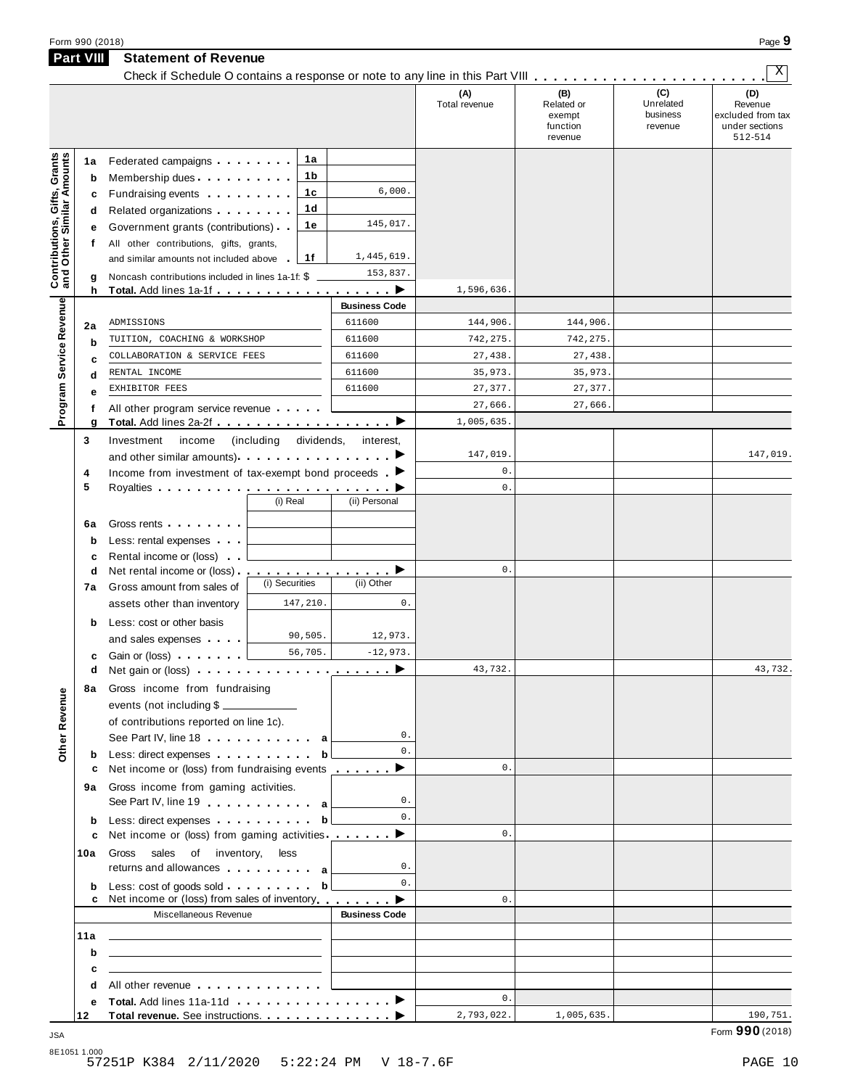| Form 990 (2018) | Page $\sim$ |
|-----------------|-------------|
|                 |             |

|                                                                  | Part VIII   | <b>Statement of Revenue</b>                                                                                                                                                                                                                            |                           |                      |                      |                                                    |                                         |                                                                  |
|------------------------------------------------------------------|-------------|--------------------------------------------------------------------------------------------------------------------------------------------------------------------------------------------------------------------------------------------------------|---------------------------|----------------------|----------------------|----------------------------------------------------|-----------------------------------------|------------------------------------------------------------------|
|                                                                  |             | Check if Schedule O contains a response or note to any line in this Part VIII                                                                                                                                                                          |                           |                      |                      |                                                    |                                         | Χ                                                                |
|                                                                  |             |                                                                                                                                                                                                                                                        |                           |                      | (A)<br>Total revenue | (B)<br>Related or<br>exempt<br>function<br>revenue | (C)<br>Unrelated<br>business<br>revenue | (D)<br>Revenue<br>excluded from tax<br>under sections<br>512-514 |
|                                                                  | 1a          | Federated campaigns                                                                                                                                                                                                                                    | 1a                        |                      |                      |                                                    |                                         |                                                                  |
|                                                                  | b           | Membership dues                                                                                                                                                                                                                                        | 1 b                       |                      |                      |                                                    |                                         |                                                                  |
|                                                                  | c           | Fundraising events <b>Fundraising</b>                                                                                                                                                                                                                  | 1c                        | 6,000.               |                      |                                                    |                                         |                                                                  |
|                                                                  | d           | Related organizations <b>contains</b> and <b>Related</b> organizations                                                                                                                                                                                 | 1d                        |                      |                      |                                                    |                                         |                                                                  |
|                                                                  | е           | Government grants (contributions)                                                                                                                                                                                                                      | 1е                        | 145,017.             |                      |                                                    |                                         |                                                                  |
|                                                                  | f           | All other contributions, gifts, grants,                                                                                                                                                                                                                |                           |                      |                      |                                                    |                                         |                                                                  |
|                                                                  |             | and similar amounts not included above                                                                                                                                                                                                                 | 1f                        | 1,445,619.           |                      |                                                    |                                         |                                                                  |
| <b>Contributions, Gifts, Grants</b><br>and Other Similar Amounts | g           | Noncash contributions included in lines 1a-1f: \$                                                                                                                                                                                                      |                           | 153,837.             |                      |                                                    |                                         |                                                                  |
|                                                                  | h           | Total. Add lines 1a-1f (a) a matrix and a matrix of Delta Delta Delta Delta Delta Delta Delta Delta Delta Delt                                                                                                                                         |                           |                      | 1,596,636.           |                                                    |                                         |                                                                  |
|                                                                  |             |                                                                                                                                                                                                                                                        |                           | <b>Business Code</b> |                      |                                                    |                                         |                                                                  |
|                                                                  | 2a          | ADMISSIONS                                                                                                                                                                                                                                             |                           | 611600               | 144,906.             | 144,906.                                           |                                         |                                                                  |
|                                                                  | b           | TUITION, COACHING & WORKSHOP                                                                                                                                                                                                                           |                           | 611600               | 742,275.             | 742,275.                                           |                                         |                                                                  |
|                                                                  | c           | COLLABORATION & SERVICE FEES                                                                                                                                                                                                                           |                           | 611600               | 27,438.              | 27,438.                                            |                                         |                                                                  |
| Program Service Revenue                                          | d           | RENTAL INCOME                                                                                                                                                                                                                                          |                           | 611600<br>611600     | 35,973.<br>27,377.   | 35,973.                                            |                                         |                                                                  |
|                                                                  | е           | EXHIBITOR FEES                                                                                                                                                                                                                                         |                           |                      |                      | 27,377.                                            |                                         |                                                                  |
|                                                                  | f           | All other program service revenue                                                                                                                                                                                                                      |                           |                      | 27,666.<br>1,005,635 | 27,666                                             |                                         |                                                                  |
|                                                                  | g           | Total. Add lines 2a-2f ▶                                                                                                                                                                                                                               |                           |                      |                      |                                                    |                                         |                                                                  |
|                                                                  | 3           | Investment<br>income<br>and other similar amounts). The same state of the same state of the state of the state of the state of the state of the state of the state of the state of the state of the state of the state of the state of the state of th | (including)<br>dividends, | interest,            | 147,019              |                                                    |                                         | 147,019.                                                         |
|                                                                  | 4           | Income from investment of tax-exempt bond proceeds $\blacksquare$                                                                                                                                                                                      |                           |                      | $\mathsf{0}$ .       |                                                    |                                         |                                                                  |
|                                                                  | 5           |                                                                                                                                                                                                                                                        |                           |                      | $\mathsf{O}\,$ .     |                                                    |                                         |                                                                  |
|                                                                  |             |                                                                                                                                                                                                                                                        | (i) Real                  | (ii) Personal        |                      |                                                    |                                         |                                                                  |
|                                                                  | 6a          | Gross rents <b>Container</b>                                                                                                                                                                                                                           |                           |                      |                      |                                                    |                                         |                                                                  |
|                                                                  | $\mathbf b$ | Less: rental expenses                                                                                                                                                                                                                                  |                           |                      |                      |                                                    |                                         |                                                                  |
|                                                                  | c           | Rental income or (loss)                                                                                                                                                                                                                                |                           |                      |                      |                                                    |                                         |                                                                  |
|                                                                  | d           | Net rental income or (loss) $\cdots$ $\cdots$ $\cdots$ $\cdots$ $\cdots$                                                                                                                                                                               |                           |                      | $\mathbb O$ .        |                                                    |                                         |                                                                  |
|                                                                  | 7a          | Gross amount from sales of                                                                                                                                                                                                                             | (i) Securities            | (ii) Other           |                      |                                                    |                                         |                                                                  |
|                                                                  |             | assets other than inventory                                                                                                                                                                                                                            | 147,210.                  | 0.                   |                      |                                                    |                                         |                                                                  |
|                                                                  | b           | Less: cost or other basis                                                                                                                                                                                                                              |                           |                      |                      |                                                    |                                         |                                                                  |
|                                                                  |             | and sales expenses                                                                                                                                                                                                                                     | 90,505.                   | 12,973.              |                      |                                                    |                                         |                                                                  |
|                                                                  | с           | Gain or (loss)                                                                                                                                                                                                                                         | 56,705.                   | $-12,973.$           |                      |                                                    |                                         |                                                                  |
|                                                                  | d           | Net gain or (loss) example and the set of the set of the set of the set of the set of the set of the set of the set of the set of the set of the set of the set of the set of the set of the set of the set of the set of the                          |                           |                      | 43,732.              |                                                    |                                         | 43,732.                                                          |
|                                                                  | 8а          | Gross income from fundraising                                                                                                                                                                                                                          |                           |                      |                      |                                                    |                                         |                                                                  |
|                                                                  |             | events (not including \$                                                                                                                                                                                                                               |                           |                      |                      |                                                    |                                         |                                                                  |
|                                                                  |             | of contributions reported on line 1c).                                                                                                                                                                                                                 |                           |                      |                      |                                                    |                                         |                                                                  |
| Other Revenue                                                    |             | See Part IV, line 18 and a set of the set of the set of the set of the set of the set of the set of the set of the set of the set of the set of the set of the set of the set of the set of the set of the set of the set of t                         |                           | 0.                   |                      |                                                    |                                         |                                                                  |
|                                                                  | b           | Less: direct expenses b                                                                                                                                                                                                                                |                           | 0.                   |                      |                                                    |                                         |                                                                  |
|                                                                  | c           | Net income or (loss) from fundraising events $\blacksquare$                                                                                                                                                                                            |                           |                      | $\mathbf{0}$ .       |                                                    |                                         |                                                                  |
|                                                                  | 9а          | Gross income from gaming activities.                                                                                                                                                                                                                   |                           |                      |                      |                                                    |                                         |                                                                  |
|                                                                  |             | See Part IV, line 19 $\ldots$ $\ldots$ $\ldots$ a                                                                                                                                                                                                      |                           | 0.<br>$\mathbf{0}$ . |                      |                                                    |                                         |                                                                  |
|                                                                  | b           | Less: direct expenses b                                                                                                                                                                                                                                |                           |                      | $\mathbf{0}$ .       |                                                    |                                         |                                                                  |
|                                                                  | с           | Net income or (loss) from gaming activities $\qquad \qquad \blacktriangleright$                                                                                                                                                                        |                           |                      |                      |                                                    |                                         |                                                                  |
|                                                                  | 10a         | Gross sales of inventory, less<br>returns and allowances entertainment as                                                                                                                                                                              |                           | 0.                   |                      |                                                    |                                         |                                                                  |
|                                                                  | b           | Less: cost of goods sold entitled and the set of goods sold<br>Net income or (loss) from sales of inventory                                                                                                                                            |                           | 0.<br>$\mathbf{b}$   | $\mathbf{0}$ .       |                                                    |                                         |                                                                  |
|                                                                  |             | Miscellaneous Revenue                                                                                                                                                                                                                                  |                           | <b>Business Code</b> |                      |                                                    |                                         |                                                                  |
|                                                                  | 11a         |                                                                                                                                                                                                                                                        |                           |                      |                      |                                                    |                                         |                                                                  |
|                                                                  | b           |                                                                                                                                                                                                                                                        |                           |                      |                      |                                                    |                                         |                                                                  |
|                                                                  | с           | the contract of the contract of the contract of the contract of the contract of                                                                                                                                                                        |                           |                      |                      |                                                    |                                         |                                                                  |
|                                                                  | d           | All other revenue entitled and the state of the state of the state of the state of the state of the state of the state of the state of the state of the state of the state of the state of the state of the state of the state                         |                           |                      | $\mathbf{0}$ .       |                                                    |                                         |                                                                  |
|                                                                  | е           |                                                                                                                                                                                                                                                        |                           |                      |                      |                                                    |                                         |                                                                  |
|                                                                  | 12          |                                                                                                                                                                                                                                                        |                           |                      | 2,793,022.           | 1,005,635.                                         |                                         | 190,751.                                                         |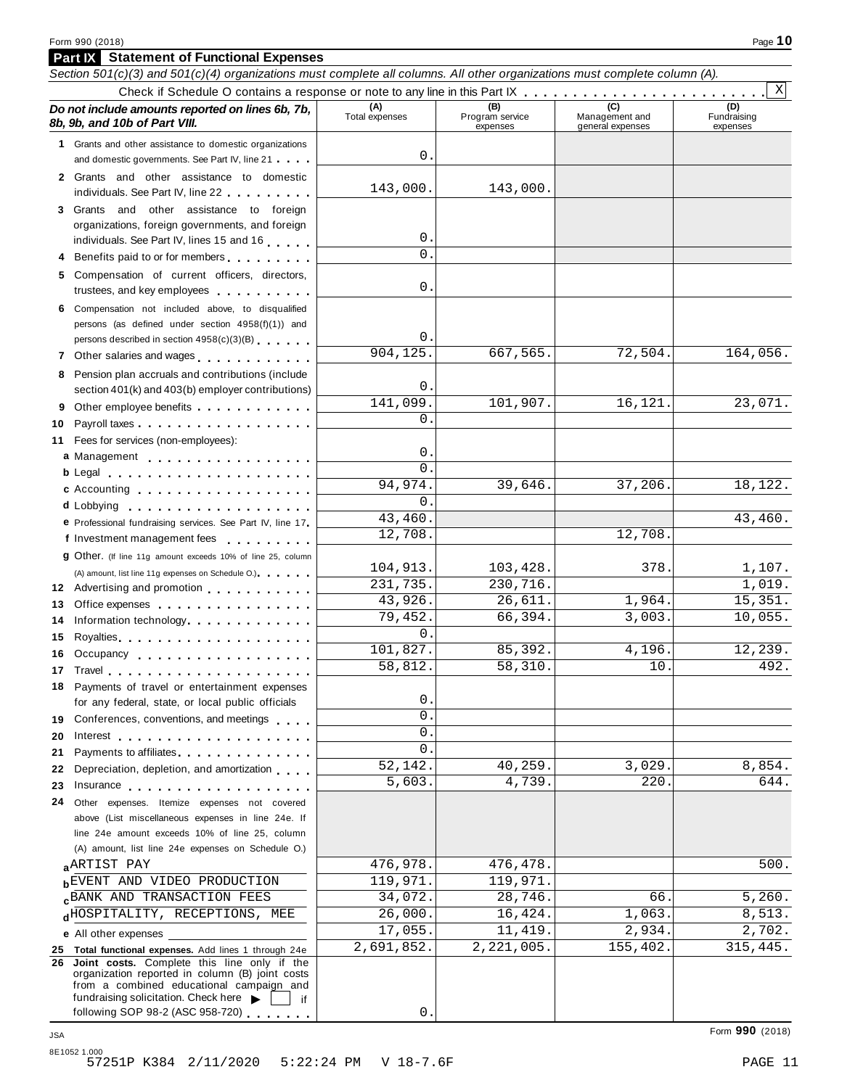**Part IX Statement of Functional Expenses**

|    | Section 501(c)(3) and 501(c)(4) organizations must complete all columns. All other organizations must complete column (A).                                                                                                                                                                                                                                                                                                                                       |                       |                                    |                                    |                         |
|----|------------------------------------------------------------------------------------------------------------------------------------------------------------------------------------------------------------------------------------------------------------------------------------------------------------------------------------------------------------------------------------------------------------------------------------------------------------------|-----------------------|------------------------------------|------------------------------------|-------------------------|
|    |                                                                                                                                                                                                                                                                                                                                                                                                                                                                  |                       |                                    |                                    | $\mathbf{x}$<br>(D)     |
|    | Do not include amounts reported on lines 6b, 7b,<br>8b, 9b, and 10b of Part VIII.                                                                                                                                                                                                                                                                                                                                                                                | (A)<br>Total expenses | (B)<br>Program service<br>expenses | Management and<br>general expenses | Fundraising<br>expenses |
|    | 1 Grants and other assistance to domestic organizations                                                                                                                                                                                                                                                                                                                                                                                                          |                       |                                    |                                    |                         |
|    | and domestic governments. See Part IV, line 21                                                                                                                                                                                                                                                                                                                                                                                                                   | 0                     |                                    |                                    |                         |
|    | 2 Grants and other assistance to domestic<br>individuals. See Part IV, line 22                                                                                                                                                                                                                                                                                                                                                                                   | 143,000.              | 143,000.                           |                                    |                         |
|    | 3 Grants and other assistance to foreign                                                                                                                                                                                                                                                                                                                                                                                                                         |                       |                                    |                                    |                         |
|    | organizations, foreign governments, and foreign                                                                                                                                                                                                                                                                                                                                                                                                                  |                       |                                    |                                    |                         |
|    | individuals. See Part IV, lines 15 and 16                                                                                                                                                                                                                                                                                                                                                                                                                        | 0<br>0                |                                    |                                    |                         |
|    | Benefits paid to or for members                                                                                                                                                                                                                                                                                                                                                                                                                                  |                       |                                    |                                    |                         |
|    | 5 Compensation of current officers, directors,<br>trustees, and key employees                                                                                                                                                                                                                                                                                                                                                                                    | 0                     |                                    |                                    |                         |
|    | 6 Compensation not included above, to disqualified                                                                                                                                                                                                                                                                                                                                                                                                               |                       |                                    |                                    |                         |
|    | persons (as defined under section 4958(f)(1)) and                                                                                                                                                                                                                                                                                                                                                                                                                |                       |                                    |                                    |                         |
|    | persons described in section 4958(c)(3)(B)                                                                                                                                                                                                                                                                                                                                                                                                                       | 0                     |                                    |                                    |                         |
|    | 7 Other salaries and wages <b>container and all the salar in the salar in the salar in the salar in the salar in the salar in the salar in the salar in the salar in the salar in the salar in the salar in the salar in the sal</b>                                                                                                                                                                                                                             | 904,125.              | 667,565.                           | 72,504.                            | 164,056.                |
|    | 8 Pension plan accruals and contributions (include<br>section 401(k) and 403(b) employer contributions)                                                                                                                                                                                                                                                                                                                                                          | 0                     |                                    |                                    |                         |
| 9  | Other employee benefits                                                                                                                                                                                                                                                                                                                                                                                                                                          | 141,099.              | 101,907.                           | 16,121.                            | 23,071.                 |
| 10 | Payroll taxes                                                                                                                                                                                                                                                                                                                                                                                                                                                    | 0                     |                                    |                                    |                         |
|    | 11 Fees for services (non-employees):                                                                                                                                                                                                                                                                                                                                                                                                                            |                       |                                    |                                    |                         |
|    | a Management                                                                                                                                                                                                                                                                                                                                                                                                                                                     | 0                     |                                    |                                    |                         |
|    |                                                                                                                                                                                                                                                                                                                                                                                                                                                                  | 0                     |                                    |                                    |                         |
|    | c Accounting entries and the control of the control of the control of the control of the control of the control of the control of the control of the control of the control of the control of the control of the control of th                                                                                                                                                                                                                                   | 94,974.               | 39,646.                            | 37,206.                            | 18,122.                 |
|    |                                                                                                                                                                                                                                                                                                                                                                                                                                                                  | 0                     |                                    |                                    |                         |
|    | e Professional fundraising services. See Part IV, line 17                                                                                                                                                                                                                                                                                                                                                                                                        | 43,460.               |                                    |                                    | 43,460.                 |
|    | f Investment management fees                                                                                                                                                                                                                                                                                                                                                                                                                                     | 12,708.               |                                    | 12,708.                            |                         |
|    | <b>g</b> Other. (If line 11g amount exceeds 10% of line 25, column                                                                                                                                                                                                                                                                                                                                                                                               | 104,913.              | 103,428.                           | 378.                               | 1,107.                  |
|    | (A) amount, list line 11g expenses on Schedule O.)                                                                                                                                                                                                                                                                                                                                                                                                               | 231,735.              | 230,716.                           |                                    | 1,019.                  |
| 13 | 12 Advertising and promotion                                                                                                                                                                                                                                                                                                                                                                                                                                     | 43,926.               | 26,611.                            | 1,964.                             | 15,351.                 |
| 14 | Office expenses example and the set of the set of the set of the set of the set of the set of the set of the set of the set of the set of the set of the set of the set of the set of the set of the set of the set of the set<br>Information technology experience in the set of the set of the set of the set of the set of the set of the set of the set of the set of the set of the set of the set of the set of the set of the set of the set of the set o | 79,452.               | 66,394.                            | 3,003.                             | 10,055.                 |
| 15 | Royalties experiences and a series are a series and a series are a series and a series are a series and a series and                                                                                                                                                                                                                                                                                                                                             | 0                     |                                    |                                    |                         |
|    | 16 Occupancy                                                                                                                                                                                                                                                                                                                                                                                                                                                     | 101,827.              | 85,392.                            | 4,196.                             | 12,239.                 |
|    | 17 Travel                                                                                                                                                                                                                                                                                                                                                                                                                                                        | 58,812.               | 58,310.                            | 10.                                | 492.                    |
| 18 | Payments of travel or entertainment expenses                                                                                                                                                                                                                                                                                                                                                                                                                     |                       |                                    |                                    |                         |
|    | for any federal, state, or local public officials                                                                                                                                                                                                                                                                                                                                                                                                                | 0                     |                                    |                                    |                         |
|    | 19 Conferences, conventions, and meetings                                                                                                                                                                                                                                                                                                                                                                                                                        | 0                     |                                    |                                    |                         |
| 20 | Interest $\ldots$ , $\ldots$ , $\ldots$ , $\ldots$ , $\ldots$ , $\ldots$ , $\ldots$                                                                                                                                                                                                                                                                                                                                                                              | 0                     |                                    |                                    |                         |
| 21 | Payments to affiliates experience and the set of the set of the set of the set of the set of the set of the set of the set of the set of the set of the set of the set of the set of the set of the set of the set of the set                                                                                                                                                                                                                                    | 0                     |                                    |                                    |                         |
| 22 | Depreciation, depletion, and amortization                                                                                                                                                                                                                                                                                                                                                                                                                        | 52,142.               | 40,259.                            | 3,029.                             | 8,854.                  |
| 23 | Insurance <b>in the set of the set of the set of the set of the set of the set of the set of the set of the set of the set of the set of the set of the set of the set of the set of the set of the set of the set of the set of</b>                                                                                                                                                                                                                             | 5,603.                | 4,739.                             | 220                                | 644.                    |
|    | 24 Other expenses. Itemize expenses not covered                                                                                                                                                                                                                                                                                                                                                                                                                  |                       |                                    |                                    |                         |
|    | above (List miscellaneous expenses in line 24e. If                                                                                                                                                                                                                                                                                                                                                                                                               |                       |                                    |                                    |                         |
|    | line 24e amount exceeds 10% of line 25, column<br>(A) amount, list line 24e expenses on Schedule O.)                                                                                                                                                                                                                                                                                                                                                             |                       |                                    |                                    |                         |
|    | <b>ARTIST PAY</b>                                                                                                                                                                                                                                                                                                                                                                                                                                                | 476,978.              | 476,478.                           |                                    | 500.                    |
|    | <b>BEVENT AND VIDEO PRODUCTION</b>                                                                                                                                                                                                                                                                                                                                                                                                                               | 119,971.              | 119,971.                           |                                    |                         |
|    | <b>CBANK AND TRANSACTION FEES</b>                                                                                                                                                                                                                                                                                                                                                                                                                                | 34,072.               | 28,746.                            | 66.                                | 5,260.                  |
|    | dHOSPITALITY, RECEPTIONS, MEE                                                                                                                                                                                                                                                                                                                                                                                                                                    | 26,000.               | 16,424.                            | 1,063.                             | 8,513.                  |
|    | <b>e</b> All other expenses                                                                                                                                                                                                                                                                                                                                                                                                                                      | 17,055.               | 11,419.                            | 2,934.                             | 2,702.                  |
|    | 25 Total functional expenses. Add lines 1 through 24e                                                                                                                                                                                                                                                                                                                                                                                                            | 2,691,852.            | 2,221,005.                         | 155,402.                           | 315,445.                |
| 26 | Joint costs. Complete this line only if the<br>organization reported in column (B) joint costs<br>from a combined educational campaign and                                                                                                                                                                                                                                                                                                                       |                       |                                    |                                    |                         |
|    | fundraising solicitation. Check here $\blacktriangleright$<br>if<br>following SOP 98-2 (ASC 958-720)                                                                                                                                                                                                                                                                                                                                                             | 0                     |                                    |                                    |                         |
|    |                                                                                                                                                                                                                                                                                                                                                                                                                                                                  |                       |                                    |                                    |                         |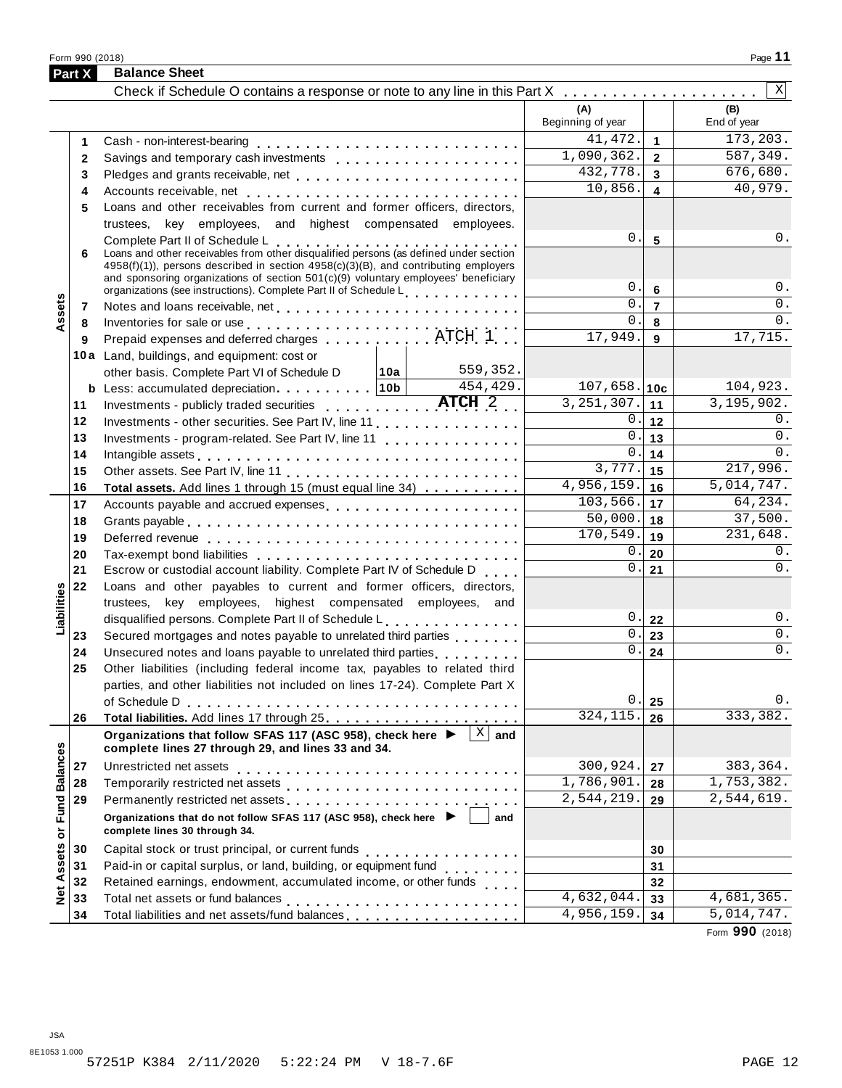Form <sup>990</sup> (2018) Page **11**

|                                             | Part X       | <b>Balance Sheet</b>                                                                                                                                                                                                                                                                                 |                          |                                  |                    |
|---------------------------------------------|--------------|------------------------------------------------------------------------------------------------------------------------------------------------------------------------------------------------------------------------------------------------------------------------------------------------------|--------------------------|----------------------------------|--------------------|
|                                             |              |                                                                                                                                                                                                                                                                                                      |                          |                                  | X                  |
|                                             |              |                                                                                                                                                                                                                                                                                                      | (A)<br>Beginning of year |                                  | (B)<br>End of year |
|                                             | 1            |                                                                                                                                                                                                                                                                                                      | 41, 472.                 | $\blacktriangleleft$             | 173,203.           |
|                                             | $\mathbf{2}$ |                                                                                                                                                                                                                                                                                                      | 1,090,362.               | $\overline{2}$                   | 587,349.           |
|                                             | 3            |                                                                                                                                                                                                                                                                                                      | 432,778.                 | $\mathbf{3}$                     | 676,680.           |
|                                             | 4            |                                                                                                                                                                                                                                                                                                      | 10,856.                  | $\overline{\mathbf{4}}$          | 40,979.            |
|                                             | 5            | Loans and other receivables from current and former officers, directors,                                                                                                                                                                                                                             |                          |                                  |                    |
|                                             |              | trustees, key employees, and highest compensated employees.                                                                                                                                                                                                                                          |                          |                                  |                    |
|                                             | 6            | Complete Part II of Schedule L<br>Loans and other receivables from other disqualified persons (as defined under section<br>4958(f)(1)), persons described in section 4958(c)(3)(B), and contributing employers<br>and sponsoring organizations of section 501(c)(9) voluntary employees' beneficiary | $0$ .<br>$0$ .           | $5\phantom{.0}$                  | 0.<br>0.           |
|                                             |              | organizations (see instructions). Complete Part II of Schedule L                                                                                                                                                                                                                                     | 0.                       | $6\phantom{1}$<br>$\overline{7}$ | $\overline{0}$ .   |
| ssets                                       | 7            |                                                                                                                                                                                                                                                                                                      | 0.                       | 8                                | 0.                 |
|                                             | 8            | Inventories for sale or use<br>Prepaid expenses and deferred charges ATCH 1.                                                                                                                                                                                                                         | 17,949.                  | 9                                | 17,715.            |
|                                             | 9            | 10a Land, buildings, and equipment: cost or                                                                                                                                                                                                                                                          |                          |                                  |                    |
|                                             |              | 559,352.<br>other basis. Complete Part VI of Schedule D   10a                                                                                                                                                                                                                                        |                          |                                  |                    |
|                                             |              | b Less: accumulated depreciation. 10b<br>$4\overline{54, 429}$ .                                                                                                                                                                                                                                     | $107,658.$ 10c           |                                  | 104,923.           |
|                                             | 11           |                                                                                                                                                                                                                                                                                                      | 3, 251, 307.             | 11                               | 3,195,902.         |
|                                             | 12           | Investments - other securities. See Part IV, line 11.                                                                                                                                                                                                                                                | 0.                       | 12                               | 0.                 |
|                                             | 13           | Investments - program-related. See Part IV, line 11                                                                                                                                                                                                                                                  | 0.                       | 13                               | 0.                 |
|                                             | 14           |                                                                                                                                                                                                                                                                                                      | 0.                       | 14                               | 0.                 |
|                                             | 15           |                                                                                                                                                                                                                                                                                                      | 3,777.                   | 15                               | 217,996.           |
|                                             | 16           | Total assets. Add lines 1 through 15 (must equal line 34)                                                                                                                                                                                                                                            | 4,956,159.               | 16                               | 5,014,747.         |
|                                             | 17           |                                                                                                                                                                                                                                                                                                      | 103,566.                 | 17                               | 64, 234.           |
|                                             | 18           |                                                                                                                                                                                                                                                                                                      | 50,000.                  | 18                               | 37,500.            |
|                                             | 19           |                                                                                                                                                                                                                                                                                                      | 170,549.                 | 19                               | 231,648.           |
|                                             | 20           |                                                                                                                                                                                                                                                                                                      | 0.                       | 20                               | 0.                 |
|                                             | 21           | Escrow or custodial account liability. Complete Part IV of Schedule D                                                                                                                                                                                                                                | $0$ .                    | 21                               | $0$ .              |
|                                             | 22           | Loans and other payables to current and former officers, directors,                                                                                                                                                                                                                                  |                          |                                  |                    |
| Liabilities                                 |              | trustees, key employees, highest compensated employees, and                                                                                                                                                                                                                                          |                          |                                  |                    |
|                                             |              | disqualified persons. Complete Part II of Schedule L.                                                                                                                                                                                                                                                | $0$ .                    | 22                               | 0.                 |
|                                             | 23           | Secured mortgages and notes payable to unrelated third parties                                                                                                                                                                                                                                       | 0.                       | 23                               | $\overline{0}$ .   |
|                                             | 24           |                                                                                                                                                                                                                                                                                                      | $0$ .                    | 24                               | 0.                 |
|                                             | 25           | Other liabilities (including federal income tax, payables to related third                                                                                                                                                                                                                           |                          |                                  |                    |
|                                             |              | parties, and other liabilities not included on lines 17-24). Complete Part X                                                                                                                                                                                                                         |                          |                                  |                    |
|                                             |              | of Schedule D                                                                                                                                                                                                                                                                                        | 0.                       | 25                               | 0.                 |
|                                             | 26           |                                                                                                                                                                                                                                                                                                      | 324, 115.                | 26                               | 333,382.           |
|                                             |              | $\mathbf X$<br>Organizations that follow SFAS 117 (ASC 958), check here ▶<br>and<br>complete lines 27 through 29, and lines 33 and 34.                                                                                                                                                               |                          |                                  |                    |
|                                             | 27           | Unrestricted net assets                                                                                                                                                                                                                                                                              | 300,924.                 | 27                               | 383,364.           |
|                                             | 28           |                                                                                                                                                                                                                                                                                                      | 1,786,901.               | 28                               | 1,753,382.         |
|                                             | 29           | Permanently restricted net assets                                                                                                                                                                                                                                                                    | 2,544,219.               | 29                               | 2,544,619.         |
| <b>Fund Balances</b><br>$\overline{\sigma}$ |              | Organizations that do not follow SFAS 117 (ASC 958), check here ▶<br>and<br>complete lines 30 through 34.                                                                                                                                                                                            |                          |                                  |                    |
|                                             | 30           |                                                                                                                                                                                                                                                                                                      |                          | 30                               |                    |
| <b>Net Assets</b>                           | 31           | Paid-in or capital surplus, or land, building, or equipment fund<br>                                                                                                                                                                                                                                 |                          | 31                               |                    |
|                                             | 32           | Retained earnings, endowment, accumulated income, or other funds                                                                                                                                                                                                                                     |                          | 32                               |                    |
|                                             | 33           |                                                                                                                                                                                                                                                                                                      | $\overline{4,632,044}$ . | 33                               | 4,681,365.         |
|                                             | 34           | Total liabilities and net assets/fund balances                                                                                                                                                                                                                                                       | 4,956,159.               | 34                               | 5,014,747.         |

Form **990** (2018)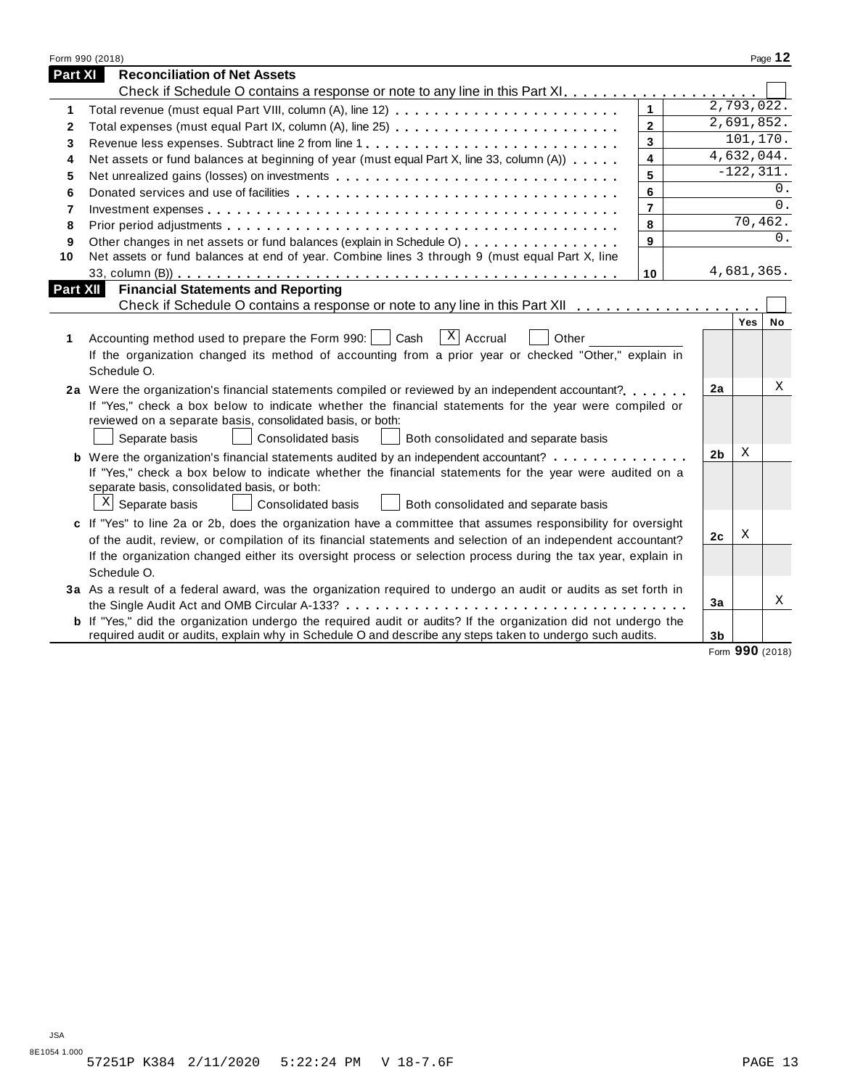|                | Form 990 (2018)                                                                                                       |                         |                |                 | Page 12 |
|----------------|-----------------------------------------------------------------------------------------------------------------------|-------------------------|----------------|-----------------|---------|
| <b>Part XI</b> | <b>Reconciliation of Net Assets</b>                                                                                   |                         |                |                 |         |
|                |                                                                                                                       |                         |                |                 |         |
| 1              | Total revenue (must equal Part VIII, column (A), line 12)                                                             | $\mathbf{1}$            |                | 2,793,022.      |         |
| 2              | Total expenses (must equal Part IX, column (A), line 25)                                                              | $\mathbf{2}$            |                | 2,691,852.      |         |
| 3              | Revenue less expenses. Subtract line 2 from line 1                                                                    | 3                       |                | 101,170.        |         |
| 4              | Net assets or fund balances at beginning of year (must equal Part X, line 33, column (A))                             | $\overline{\mathbf{4}}$ |                | 4,632,044.      |         |
| 5              |                                                                                                                       | 5                       |                | $-122, 311.$    |         |
| 6              |                                                                                                                       | 6                       |                |                 | 0.      |
| 7              |                                                                                                                       | $\overline{7}$          |                |                 | 0.      |
| 8              |                                                                                                                       | 8                       |                | 70,462.         |         |
| 9              | Other changes in net assets or fund balances (explain in Schedule O)                                                  | 9                       |                |                 | $0$ .   |
| 10             | Net assets or fund balances at end of year. Combine lines 3 through 9 (must equal Part X, line                        |                         |                |                 |         |
|                |                                                                                                                       | 10                      |                | 4,681,365.      |         |
| Part XII       | <b>Financial Statements and Reporting</b>                                                                             |                         |                |                 |         |
|                |                                                                                                                       |                         |                |                 |         |
|                |                                                                                                                       |                         |                | Yes             | No      |
| 1.             | $\overline{X}$ Accrual<br>Accounting method used to prepare the Form 990:     Cash<br>Other                           |                         |                |                 |         |
|                | If the organization changed its method of accounting from a prior year or checked "Other," explain in                 |                         |                |                 |         |
|                | Schedule O.                                                                                                           |                         |                |                 |         |
|                | 2a Were the organization's financial statements compiled or reviewed by an independent accountant?                    |                         | 2a             |                 | X       |
|                | If "Yes," check a box below to indicate whether the financial statements for the year were compiled or                |                         |                |                 |         |
|                | reviewed on a separate basis, consolidated basis, or both:                                                            |                         |                |                 |         |
|                | Separate basis<br>Consolidated basis<br>Both consolidated and separate basis                                          |                         |                |                 |         |
|                | <b>b</b> Were the organization's financial statements audited by an independent accountant?                           |                         | 2 <sub>b</sub> | Χ               |         |
|                | If "Yes," check a box below to indicate whether the financial statements for the year were audited on a               |                         |                |                 |         |
|                | separate basis, consolidated basis, or both:                                                                          |                         |                |                 |         |
|                | $X$ Separate basis<br>Consolidated basis<br>Both consolidated and separate basis                                      |                         |                |                 |         |
|                | c If "Yes" to line 2a or 2b, does the organization have a committee that assumes responsibility for oversight         |                         |                |                 |         |
|                | of the audit, review, or compilation of its financial statements and selection of an independent accountant?          |                         | 2 <sub>c</sub> | Χ               |         |
|                | If the organization changed either its oversight process or selection process during the tax year, explain in         |                         |                |                 |         |
|                | Schedule O.                                                                                                           |                         |                |                 |         |
|                | 3a As a result of a federal award, was the organization required to undergo an audit or audits as set forth in        |                         |                |                 |         |
|                |                                                                                                                       |                         | 3a             |                 | X       |
|                | <b>b</b> If "Yes," did the organization undergo the required audit or audits? If the organization did not undergo the |                         |                |                 |         |
|                | required audit or audits, explain why in Schedule O and describe any steps taken to undergo such audits.              |                         | 3 <sub>b</sub> |                 |         |
|                |                                                                                                                       |                         |                | Form 990 (2018) |         |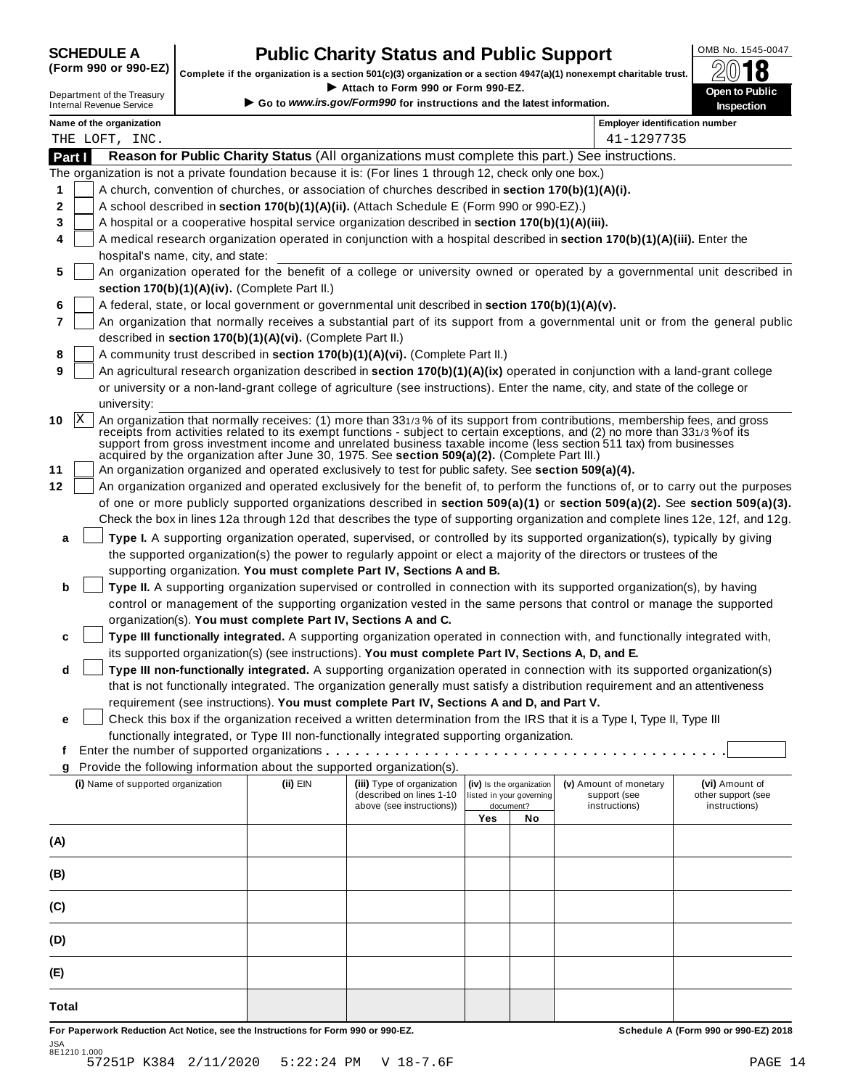| <b>SCHEDULE A</b> |  |  |  |                                                                                                                                                                                                                                                                                                                    |  |
|-------------------|--|--|--|--------------------------------------------------------------------------------------------------------------------------------------------------------------------------------------------------------------------------------------------------------------------------------------------------------------------|--|
|                   |  |  |  | $\sqrt{2}$ $\sqrt{2}$ $\sqrt{2}$ $\sqrt{2}$ $\sqrt{2}$ $\sqrt{2}$ $\sqrt{2}$ $\sqrt{2}$ $\sqrt{2}$ $\sqrt{2}$ $\sqrt{2}$ $\sqrt{2}$ $\sqrt{2}$ $\sqrt{2}$ $\sqrt{2}$ $\sqrt{2}$ $\sqrt{2}$ $\sqrt{2}$ $\sqrt{2}$ $\sqrt{2}$ $\sqrt{2}$ $\sqrt{2}$ $\sqrt{2}$ $\sqrt{2}$ $\sqrt{2}$ $\sqrt{2}$ $\sqrt{2}$ $\sqrt{2$ |  |

## **SCHEDULE A Public Charity Status and Public Support**<br>(Form 990 or 990-EZ) Complete if the examination is a section 501(c)(2) organization or a section 4047(c)(1) persecurnt charitable trust  $\bigotimes_{n=1}^{\infty} \mathbb{R}$

Complete if the organization is a section 501(c)(3) organization or a section 4947(a)(1) nonexempt charitable trust.<br>
Department of the Treasury<br>
Internal Revenue Service<br> **Co to www.irs.gov/Form990 for instructions and th** Complete if the organization is a section 501(c)(3) organization or a section 4947(a)(1) nonexempt charitable trust.<br>
Department of the Treasury Complete if the organization is a section 501(c)(3) organization or a sectio

|              | Name of the organization                                                                                                                                                                                                                                                                                                                                                                                                                                                                |          |                            |                          |                          | <b>Employer identification number</b> |                    |
|--------------|-----------------------------------------------------------------------------------------------------------------------------------------------------------------------------------------------------------------------------------------------------------------------------------------------------------------------------------------------------------------------------------------------------------------------------------------------------------------------------------------|----------|----------------------------|--------------------------|--------------------------|---------------------------------------|--------------------|
|              | THE LOFT, INC.                                                                                                                                                                                                                                                                                                                                                                                                                                                                          |          |                            |                          |                          | 41-1297735                            |                    |
| Part I       | Reason for Public Charity Status (All organizations must complete this part.) See instructions.                                                                                                                                                                                                                                                                                                                                                                                         |          |                            |                          |                          |                                       |                    |
|              | The organization is not a private foundation because it is: (For lines 1 through 12, check only one box.)                                                                                                                                                                                                                                                                                                                                                                               |          |                            |                          |                          |                                       |                    |
| 1            | A church, convention of churches, or association of churches described in section 170(b)(1)(A)(i).                                                                                                                                                                                                                                                                                                                                                                                      |          |                            |                          |                          |                                       |                    |
| 2            | A school described in section 170(b)(1)(A)(ii). (Attach Schedule E (Form 990 or 990-EZ).)                                                                                                                                                                                                                                                                                                                                                                                               |          |                            |                          |                          |                                       |                    |
| 3            | A hospital or a cooperative hospital service organization described in section 170(b)(1)(A)(iii).                                                                                                                                                                                                                                                                                                                                                                                       |          |                            |                          |                          |                                       |                    |
| 4            | A medical research organization operated in conjunction with a hospital described in section 170(b)(1)(A)(iii). Enter the                                                                                                                                                                                                                                                                                                                                                               |          |                            |                          |                          |                                       |                    |
|              | hospital's name, city, and state:                                                                                                                                                                                                                                                                                                                                                                                                                                                       |          |                            |                          |                          |                                       |                    |
| 5            | An organization operated for the benefit of a college or university owned or operated by a governmental unit described in                                                                                                                                                                                                                                                                                                                                                               |          |                            |                          |                          |                                       |                    |
|              | section 170(b)(1)(A)(iv). (Complete Part II.)                                                                                                                                                                                                                                                                                                                                                                                                                                           |          |                            |                          |                          |                                       |                    |
| 6            | A federal, state, or local government or governmental unit described in section 170(b)(1)(A)(v).                                                                                                                                                                                                                                                                                                                                                                                        |          |                            |                          |                          |                                       |                    |
| 7            | An organization that normally receives a substantial part of its support from a governmental unit or from the general public                                                                                                                                                                                                                                                                                                                                                            |          |                            |                          |                          |                                       |                    |
|              | described in section 170(b)(1)(A)(vi). (Complete Part II.)                                                                                                                                                                                                                                                                                                                                                                                                                              |          |                            |                          |                          |                                       |                    |
| 8            | A community trust described in section 170(b)(1)(A)(vi). (Complete Part II.)                                                                                                                                                                                                                                                                                                                                                                                                            |          |                            |                          |                          |                                       |                    |
| 9            | An agricultural research organization described in section 170(b)(1)(A)(ix) operated in conjunction with a land-grant college                                                                                                                                                                                                                                                                                                                                                           |          |                            |                          |                          |                                       |                    |
|              | or university or a non-land-grant college of agriculture (see instructions). Enter the name, city, and state of the college or                                                                                                                                                                                                                                                                                                                                                          |          |                            |                          |                          |                                       |                    |
|              | university:                                                                                                                                                                                                                                                                                                                                                                                                                                                                             |          |                            |                          |                          |                                       |                    |
| 10           | An organization that normally receives: (1) more than 331/3% of its support from contributions, membership fees, and gross<br> X <br>receipts from activities related to its exempt functions - subject to certain exceptions, and (2) no more than 331/3% of its<br>support from gross investment income and unrelated business taxable income (less section 511 tax) from businesses<br>acquired by the organization after June 30, 1975. See section 509(a)(2). (Complete Part III.) |          |                            |                          |                          |                                       |                    |
| 11<br>12     | An organization organized and operated exclusively to test for public safety. See section 509(a)(4).                                                                                                                                                                                                                                                                                                                                                                                    |          |                            |                          |                          |                                       |                    |
|              | An organization organized and operated exclusively for the benefit of, to perform the functions of, or to carry out the purposes<br>of one or more publicly supported organizations described in section 509(a)(1) or section 509(a)(2). See section 509(a)(3).                                                                                                                                                                                                                         |          |                            |                          |                          |                                       |                    |
|              | Check the box in lines 12a through 12d that describes the type of supporting organization and complete lines 12e, 12f, and 12g.                                                                                                                                                                                                                                                                                                                                                         |          |                            |                          |                          |                                       |                    |
|              |                                                                                                                                                                                                                                                                                                                                                                                                                                                                                         |          |                            |                          |                          |                                       |                    |
| a            | Type I. A supporting organization operated, supervised, or controlled by its supported organization(s), typically by giving                                                                                                                                                                                                                                                                                                                                                             |          |                            |                          |                          |                                       |                    |
|              | the supported organization(s) the power to regularly appoint or elect a majority of the directors or trustees of the                                                                                                                                                                                                                                                                                                                                                                    |          |                            |                          |                          |                                       |                    |
|              | supporting organization. You must complete Part IV, Sections A and B.                                                                                                                                                                                                                                                                                                                                                                                                                   |          |                            |                          |                          |                                       |                    |
| b            | Type II. A supporting organization supervised or controlled in connection with its supported organization(s), by having                                                                                                                                                                                                                                                                                                                                                                 |          |                            |                          |                          |                                       |                    |
|              | control or management of the supporting organization vested in the same persons that control or manage the supported                                                                                                                                                                                                                                                                                                                                                                    |          |                            |                          |                          |                                       |                    |
|              | organization(s). You must complete Part IV, Sections A and C.                                                                                                                                                                                                                                                                                                                                                                                                                           |          |                            |                          |                          |                                       |                    |
| c            | Type III functionally integrated. A supporting organization operated in connection with, and functionally integrated with,                                                                                                                                                                                                                                                                                                                                                              |          |                            |                          |                          |                                       |                    |
|              | its supported organization(s) (see instructions). You must complete Part IV, Sections A, D, and E.                                                                                                                                                                                                                                                                                                                                                                                      |          |                            |                          |                          |                                       |                    |
| d            | Type III non-functionally integrated. A supporting organization operated in connection with its supported organization(s)                                                                                                                                                                                                                                                                                                                                                               |          |                            |                          |                          |                                       |                    |
|              | that is not functionally integrated. The organization generally must satisfy a distribution requirement and an attentiveness                                                                                                                                                                                                                                                                                                                                                            |          |                            |                          |                          |                                       |                    |
|              | requirement (see instructions). You must complete Part IV, Sections A and D, and Part V.                                                                                                                                                                                                                                                                                                                                                                                                |          |                            |                          |                          |                                       |                    |
| е            | Check this box if the organization received a written determination from the IRS that it is a Type I, Type II, Type III<br>functionally integrated, or Type III non-functionally integrated supporting organization.                                                                                                                                                                                                                                                                    |          |                            |                          |                          |                                       |                    |
| f            | Enter the number of supported organizations                                                                                                                                                                                                                                                                                                                                                                                                                                             |          |                            |                          |                          |                                       |                    |
| g            | Provide the following information about the supported organization(s).                                                                                                                                                                                                                                                                                                                                                                                                                  |          |                            |                          |                          |                                       |                    |
|              | (i) Name of supported organization                                                                                                                                                                                                                                                                                                                                                                                                                                                      | (ii) EIN | (iii) Type of organization |                          | (iv) Is the organization | (v) Amount of monetary                | (vi) Amount of     |
|              |                                                                                                                                                                                                                                                                                                                                                                                                                                                                                         |          | (described on lines 1-10   | listed in your governing |                          | support (see                          | other support (see |
|              |                                                                                                                                                                                                                                                                                                                                                                                                                                                                                         |          | above (see instructions))  | Yes                      | document?<br>No          | instructions)                         | instructions)      |
|              |                                                                                                                                                                                                                                                                                                                                                                                                                                                                                         |          |                            |                          |                          |                                       |                    |
| (A)          |                                                                                                                                                                                                                                                                                                                                                                                                                                                                                         |          |                            |                          |                          |                                       |                    |
| (B)          |                                                                                                                                                                                                                                                                                                                                                                                                                                                                                         |          |                            |                          |                          |                                       |                    |
| (C)          |                                                                                                                                                                                                                                                                                                                                                                                                                                                                                         |          |                            |                          |                          |                                       |                    |
| (D)          |                                                                                                                                                                                                                                                                                                                                                                                                                                                                                         |          |                            |                          |                          |                                       |                    |
| (E)          |                                                                                                                                                                                                                                                                                                                                                                                                                                                                                         |          |                            |                          |                          |                                       |                    |
|              |                                                                                                                                                                                                                                                                                                                                                                                                                                                                                         |          |                            |                          |                          |                                       |                    |
| <b>Total</b> |                                                                                                                                                                                                                                                                                                                                                                                                                                                                                         |          |                            |                          |                          |                                       |                    |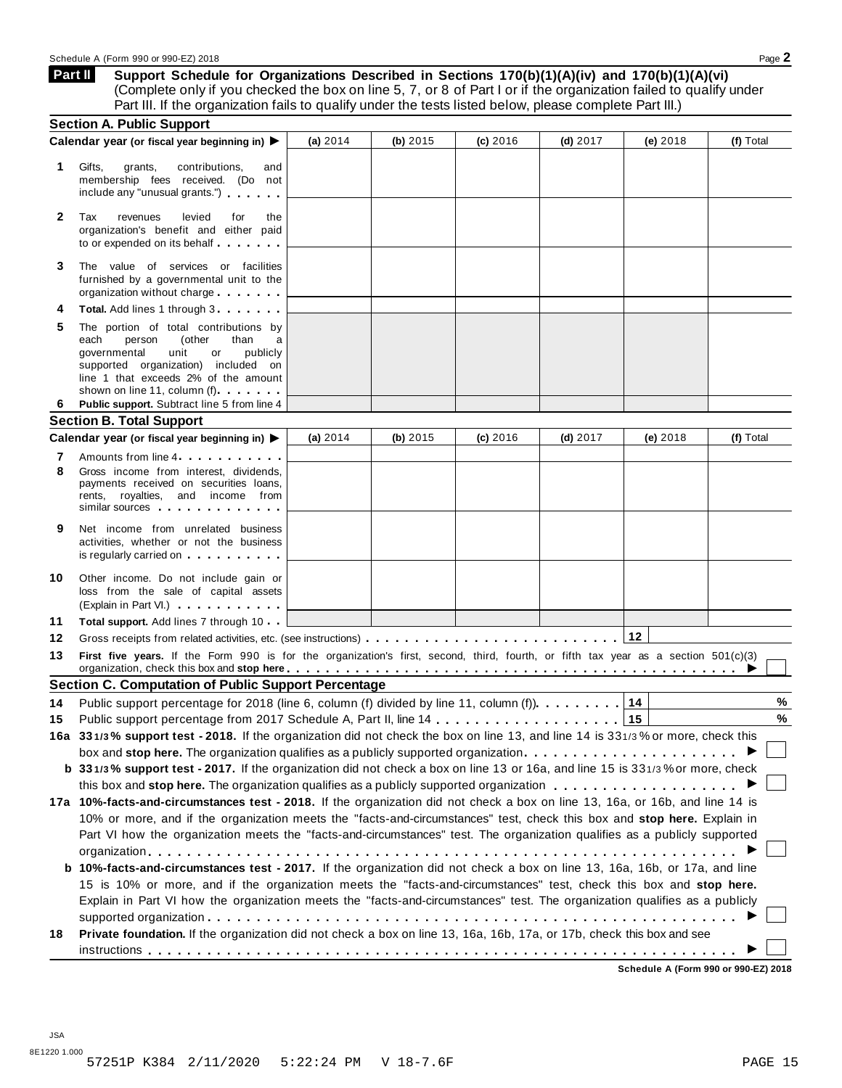**Support Schedule for Organizations Described in Sections 170(b)(1)(A)(iv) and 170(b)(1)(A)(vi)** (Complete only if you checked the box on line 5, 7, or 8 of Part I or if the organization failed to qualify under Part III. If the organization fails to qualify under the tests listed below, please complete Part III.) **Part II**

|              | <b>Section A. Public Support</b>                                                                                                                                                                                                                                                                                                                                                     |            |            |            |            |          |           |
|--------------|--------------------------------------------------------------------------------------------------------------------------------------------------------------------------------------------------------------------------------------------------------------------------------------------------------------------------------------------------------------------------------------|------------|------------|------------|------------|----------|-----------|
|              | Calendar year (or fiscal year beginning in) ▶                                                                                                                                                                                                                                                                                                                                        | (a) $2014$ | (b) $2015$ | $(c)$ 2016 | $(d)$ 2017 | (e) 2018 | (f) Total |
| 1            | Gifts,<br>grants,<br>contributions,<br>and<br>membership fees received. (Do not<br>include any "unusual grants.")                                                                                                                                                                                                                                                                    |            |            |            |            |          |           |
| $\mathbf{2}$ | Tax<br>levied<br>revenues<br>for<br>the<br>organization's benefit and either paid<br>to or expended on its behalf                                                                                                                                                                                                                                                                    |            |            |            |            |          |           |
| 3            | The value of services or facilities<br>furnished by a governmental unit to the<br>organization without charge                                                                                                                                                                                                                                                                        |            |            |            |            |          |           |
|              | Total. Add lines 1 through 3                                                                                                                                                                                                                                                                                                                                                         |            |            |            |            |          |           |
| 5            | The portion of total contributions by<br>(other<br>each<br>person<br>than<br>a<br>unit<br>publicly<br>governmental<br>or<br>supported organization) included on<br>line 1 that exceeds 2% of the amount<br>shown on line 11, column (f)                                                                                                                                              |            |            |            |            |          |           |
| 6            | Public support. Subtract line 5 from line 4                                                                                                                                                                                                                                                                                                                                          |            |            |            |            |          |           |
|              | <b>Section B. Total Support</b>                                                                                                                                                                                                                                                                                                                                                      |            |            |            |            |          |           |
|              | Calendar year (or fiscal year beginning in) ▶                                                                                                                                                                                                                                                                                                                                        | (a) $2014$ | (b) $2015$ | $(c)$ 2016 | $(d)$ 2017 | (e) 2018 | (f) Total |
| 7<br>8       | Amounts from line 4<br>Gross income from interest, dividends,<br>payments received on securities loans,<br>rents, royalties, and income from<br>similar sources <b>with the same of the same of the same of the same of the same of the same of the same of the same of the same of the same of the same of the same of the same of the same of the same of the same of the same</b> |            |            |            |            |          |           |
| 9            | Net income from unrelated business<br>activities, whether or not the business<br>is regularly carried on the control of the control of the control of the control of the control of the control of the control of the control of the control of the control of the control of the control of the control of the                                                                      |            |            |            |            |          |           |
| 10           | Other income. Do not include gain or<br>loss from the sale of capital assets<br>(Explain in Part VI.)                                                                                                                                                                                                                                                                                |            |            |            |            |          |           |
| 11           | Total support. Add lines 7 through 10                                                                                                                                                                                                                                                                                                                                                |            |            |            |            |          |           |
| 12           |                                                                                                                                                                                                                                                                                                                                                                                      |            |            |            |            | $12$     |           |
| 13           | First five years. If the Form 990 is for the organization's first, second, third, fourth, or fifth tax year as a section 501(c)(3)<br>organization, check this box and stop here $\ldots \ldots \ldots \ldots \ldots \ldots \ldots \ldots \ldots \ldots \ldots \ldots \ldots$                                                                                                        |            |            |            |            |          |           |
|              | <b>Section C. Computation of Public Support Percentage</b>                                                                                                                                                                                                                                                                                                                           |            |            |            |            |          |           |
| 14           | Public support percentage for 2018 (line 6, column (f) divided by line 11, column (f) $\ldots \ldots \ldots$                                                                                                                                                                                                                                                                         |            |            |            |            | 14       | %         |
| 15           |                                                                                                                                                                                                                                                                                                                                                                                      |            |            |            |            | 15       | %         |
|              | 16a 331/3% support test - 2018. If the organization did not check the box on line 13, and line 14 is 331/3% or more, check this                                                                                                                                                                                                                                                      |            |            |            |            |          |           |
|              | box and stop here. The organization qualifies as a publicly supported organization                                                                                                                                                                                                                                                                                                   |            |            |            |            |          |           |
|              | b 331/3% support test - 2017. If the organization did not check a box on line 13 or 16a, and line 15 is 331/3% or more, check                                                                                                                                                                                                                                                        |            |            |            |            |          |           |
|              |                                                                                                                                                                                                                                                                                                                                                                                      |            |            |            |            |          |           |
|              | 17a 10%-facts-and-circumstances test - 2018. If the organization did not check a box on line 13, 16a, or 16b, and line 14 is                                                                                                                                                                                                                                                         |            |            |            |            |          |           |
|              | 10% or more, and if the organization meets the "facts-and-circumstances" test, check this box and stop here. Explain in                                                                                                                                                                                                                                                              |            |            |            |            |          |           |
|              | Part VI how the organization meets the "facts-and-circumstances" test. The organization qualifies as a publicly supported                                                                                                                                                                                                                                                            |            |            |            |            |          |           |
|              |                                                                                                                                                                                                                                                                                                                                                                                      |            |            |            |            |          |           |
|              | b 10%-facts-and-circumstances test - 2017. If the organization did not check a box on line 13, 16a, 16b, or 17a, and line                                                                                                                                                                                                                                                            |            |            |            |            |          |           |
|              | 15 is 10% or more, and if the organization meets the "facts-and-circumstances" test, check this box and stop here.                                                                                                                                                                                                                                                                   |            |            |            |            |          |           |
|              | Explain in Part VI how the organization meets the "facts-and-circumstances" test. The organization qualifies as a publicly                                                                                                                                                                                                                                                           |            |            |            |            |          |           |
| 18           | Private foundation. If the organization did not check a box on line 13, 16a, 16b, 17a, or 17b, check this box and see                                                                                                                                                                                                                                                                |            |            |            |            |          |           |
|              |                                                                                                                                                                                                                                                                                                                                                                                      |            |            |            |            |          |           |

**Schedule A (Form 990 or 990-EZ) 2018**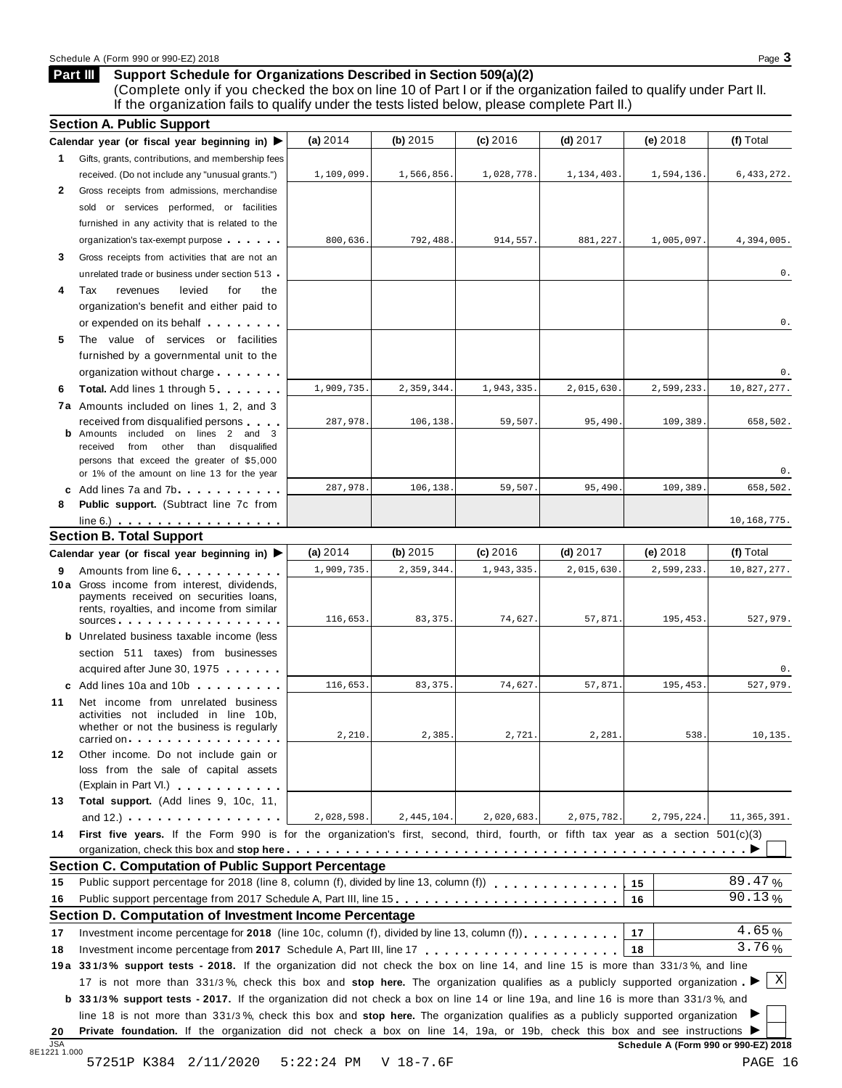## Schedule A (Form 990 or 990-EZ) 2018 Page 3

## **Support Schedule for Organizations Described in Section 509(a)(2) Part III**

(Complete only if you checked the box on line 10 of Part I or if the organization failed to qualify under Part II. If the organization fails to qualify under the tests listed below, please complete Part II.)

|                                              | Calendar year (or fiscal year beginning in) $\blacktriangleright$                                                                                                                                                                                            | (a) 2014   | (b) 2015   | (c) 2016   | $(d)$ 2017 | $(e)$ 2018 | (f) Total                         |
|----------------------------------------------|--------------------------------------------------------------------------------------------------------------------------------------------------------------------------------------------------------------------------------------------------------------|------------|------------|------------|------------|------------|-----------------------------------|
|                                              | 1 Gifts, grants, contributions, and membership fees                                                                                                                                                                                                          |            |            |            |            |            |                                   |
|                                              | received. (Do not include any "unusual grants.")                                                                                                                                                                                                             | 1,109,099. | 1,566,856. | 1,028,778. | 1,134,403. | 1,594,136. | 6, 433, 272.                      |
| 2                                            | Gross receipts from admissions, merchandise                                                                                                                                                                                                                  |            |            |            |            |            |                                   |
|                                              | sold or services performed, or facilities                                                                                                                                                                                                                    |            |            |            |            |            |                                   |
|                                              | furnished in any activity that is related to the                                                                                                                                                                                                             |            |            |            |            |            |                                   |
|                                              | organization's tax-exempt purpose                                                                                                                                                                                                                            | 800,636.   | 792,488.   | 914,557.   | 881,227.   | 1,005,097. | 4,394,005.                        |
| 3.                                           | Gross receipts from activities that are not an                                                                                                                                                                                                               |            |            |            |            |            |                                   |
|                                              | unrelated trade or business under section 513 -                                                                                                                                                                                                              |            |            |            |            |            | 0.                                |
| 4                                            | Tax<br>levied<br>revenues<br>for<br>the                                                                                                                                                                                                                      |            |            |            |            |            |                                   |
|                                              | organization's benefit and either paid to                                                                                                                                                                                                                    |            |            |            |            |            |                                   |
|                                              | or expended on its behalf <b>contained</b> by the set of the set of the set of the set of the set of the set of the set of the set of the set of the set of the set of the set of the set of the set of the set of the set of the s                          |            |            |            |            |            | 0.                                |
| 5                                            | The value of services or facilities                                                                                                                                                                                                                          |            |            |            |            |            |                                   |
|                                              | furnished by a governmental unit to the                                                                                                                                                                                                                      |            |            |            |            |            |                                   |
|                                              | organization without charge                                                                                                                                                                                                                                  |            |            |            |            |            | 0.                                |
| 6                                            | <b>Total.</b> Add lines 1 through 5                                                                                                                                                                                                                          | 1,909,735. | 2,359,344. | 1,943,335  | 2,015,630. | 2,599,233. | 10,827,277.                       |
|                                              | 7a Amounts included on lines 1, 2, and 3                                                                                                                                                                                                                     |            |            |            |            |            |                                   |
|                                              | received from disqualified persons                                                                                                                                                                                                                           | 287,978.   | 106,138    | 59,507.    | 95,490     | 109,389.   | 658,502.                          |
|                                              | <b>b</b> Amounts included on lines 2 and 3                                                                                                                                                                                                                   |            |            |            |            |            |                                   |
|                                              | received from other than disqualified<br>persons that exceed the greater of \$5,000                                                                                                                                                                          |            |            |            |            |            |                                   |
|                                              | or 1% of the amount on line 13 for the year                                                                                                                                                                                                                  |            |            |            |            |            | 0.                                |
|                                              | c Add lines 7a and 7b.                                                                                                                                                                                                                                       | 287,978.   | 106,138.   | 59,507     | 95,490     | 109,389    | 658,502.                          |
| 8                                            | <b>Public support.</b> (Subtract line 7c from                                                                                                                                                                                                                |            |            |            |            |            |                                   |
|                                              | $line 6.)$                                                                                                                                                                                                                                                   |            |            |            |            |            | 10,168,775.                       |
|                                              | <b>Section B. Total Support</b>                                                                                                                                                                                                                              |            |            |            |            |            |                                   |
|                                              | Calendar year (or fiscal year beginning in) $\blacktriangleright$                                                                                                                                                                                            | (a) $2014$ | $(b)$ 2015 | $(c)$ 2016 | $(d)$ 2017 | $(e)$ 2018 | (f) Total                         |
| 9                                            | Amounts from line 6                                                                                                                                                                                                                                          | 1,909,735. | 2,359,344. | 1,943,335  | 2,015,630. | 2,599,233. | 10,827,277.                       |
|                                              | 10 a Gross income from interest, dividends,                                                                                                                                                                                                                  |            |            |            |            |            |                                   |
|                                              | payments received on securities loans,                                                                                                                                                                                                                       |            |            |            |            |            |                                   |
|                                              | rents, royalties, and income from similar<br>sources                                                                                                                                                                                                         | 116,653.   | 83, 375.   | 74,627.    | 57,871     | 195,453.   | 527,979.                          |
|                                              | <b>b</b> Unrelated business taxable income (less                                                                                                                                                                                                             |            |            |            |            |            |                                   |
|                                              | section 511 taxes) from businesses                                                                                                                                                                                                                           |            |            |            |            |            |                                   |
|                                              | acquired after June 30, 1975                                                                                                                                                                                                                                 |            |            |            |            |            | 0.                                |
|                                              |                                                                                                                                                                                                                                                              |            |            |            |            |            |                                   |
|                                              |                                                                                                                                                                                                                                                              |            |            |            |            |            |                                   |
|                                              | c Add lines 10a and 10b                                                                                                                                                                                                                                      | 116,653.   | 83, 375.   | 74,627.    | 57,871     | 195,453.   |                                   |
|                                              | Net income from unrelated business<br>activities not included in line 10b,                                                                                                                                                                                   |            |            |            |            |            |                                   |
|                                              | whether or not the business is regularly                                                                                                                                                                                                                     |            |            |            |            |            |                                   |
|                                              | carried on each contract to the carried on                                                                                                                                                                                                                   | 2,210.     | 2,385      | 2,721      | 2,281      | 538.       |                                   |
|                                              | Other income. Do not include gain or                                                                                                                                                                                                                         |            |            |            |            |            |                                   |
|                                              | loss from the sale of capital assets                                                                                                                                                                                                                         |            |            |            |            |            |                                   |
|                                              | (Explain in Part VI.) (Explain in Part VI.)                                                                                                                                                                                                                  |            |            |            |            |            |                                   |
|                                              | Total support. (Add lines 9, 10c, 11,                                                                                                                                                                                                                        |            |            |            |            |            |                                   |
|                                              | and $12.$ ) $\cdots$ $\cdots$ $\cdots$ $\cdots$                                                                                                                                                                                                              | 2,028,598. | 2,445,104. | 2,020,683. | 2,075,782. | 2,795,224. |                                   |
|                                              | First five years. If the Form 990 is for the organization's first, second, third, fourth, or fifth tax year as a section 501(c)(3)                                                                                                                           |            |            |            |            |            |                                   |
|                                              |                                                                                                                                                                                                                                                              |            |            |            |            |            |                                   |
|                                              | <b>Section C. Computation of Public Support Percentage</b>                                                                                                                                                                                                   |            |            |            |            |            |                                   |
|                                              | Public support percentage for 2018 (line 8, column (f), divided by line 13, column (f))                                                                                                                                                                      |            |            |            |            | 15         | 89.47%                            |
|                                              | Public support percentage from 2017 Schedule A, Part III, line 15.                                                                                                                                                                                           |            |            |            |            | 16         | 90.13%                            |
|                                              | Section D. Computation of Investment Income Percentage                                                                                                                                                                                                       |            |            |            |            |            |                                   |
|                                              | Investment income percentage for 2018 (line 10c, column (f), divided by line 13, column (f)), $\ldots$ , , , , , , ,                                                                                                                                         |            |            |            |            | 17         | 4.65%                             |
|                                              |                                                                                                                                                                                                                                                              |            |            |            |            | 18         | 3.76%                             |
|                                              | 19a 331/3% support tests - 2018. If the organization did not check the box on line 14, and line 15 is more than 331/3%, and line                                                                                                                             |            |            |            |            |            |                                   |
|                                              | 17 is not more than 331/3%, check this box and stop here. The organization qualifies as a publicly supported organization.                                                                                                                                   |            |            |            |            |            | X                                 |
|                                              | <b>b</b> 331/3% support tests - 2017. If the organization did not check a box on line 14 or line 19a, and line 16 is more than 331/3%, and                                                                                                                   |            |            |            |            |            |                                   |
| 11<br>12<br>13<br>14<br>15<br>16<br>17<br>18 | line 18 is not more than 331/3%, check this box and stop here. The organization qualifies as a publicly supported organization<br>Private foundation. If the organization did not check a box on line 14, 19a, or 19b, check this box and see instructions ▶ |            |            |            |            |            | 527,979.<br>10,135<br>11,365,391. |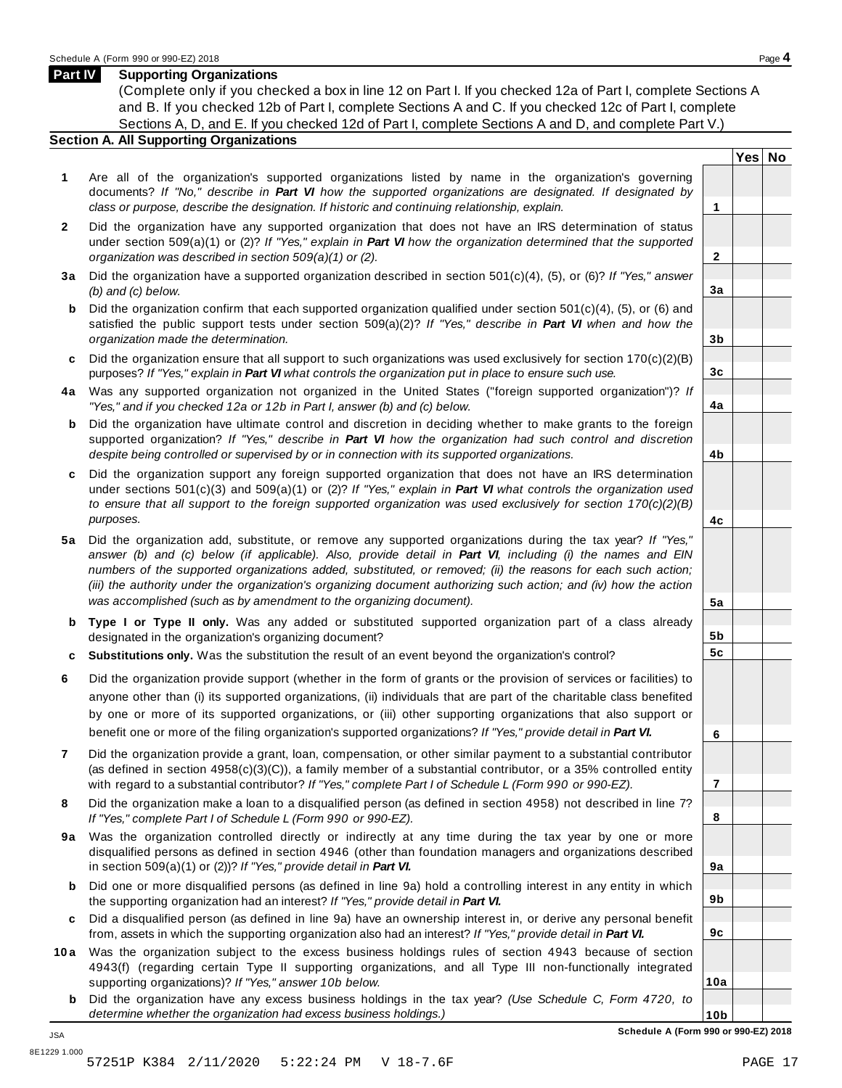**Yes No**

**2**

**3a**

**3b**

**3c**

**4a**

**4b**

**4c**

**5a**

**5b 5c**

**6**

**7**

**8**

**9a**

**9b**

**9c**

**10a**

## **Part IV Supporting Organizations**

(Complete only if you checked a box in line 12 on Part I. If you checked 12a of Part I, complete Sections A and B. If you checked 12b of Part I, complete Sections A and C. If you checked 12c of Part I, complete Sections A, D, and E. If you checked 12d of Part I, complete Sections A and D, and complete Part V.)

## **Section A. All Supporting Organizations**

- **1** Are all of the organization's supported organizations listed by name in the organization's governing documents? *If "No," describe in Part VI how the supported organizations are designated. If designated by class or purpose, describe the designation. If historic and continuing relationship, explain.* **1**
- **2** Did the organization have any supported organization that does not have an IRS determination of status under section 509(a)(1) or (2)? *If"Yes," explain in Part VI how the organization determined that the supported organization was described in section 509(a)(1) or (2).*
- **3 a** Did the organization have a supported organization described in section 501(c)(4), (5), or (6)? *If "Yes," answer (b) and (c) below.*
- **b** Did the organization confirm that each supported organization qualified under section 501(c)(4), (5), or (6) and | satisfied the public support tests under section 509(a)(2)? *If "Yes," describe in Part VI when and how the organization made the determination.*
- **c** Did the organization ensure that all support to such organizations was used exclusively for section 170(c)(2)(B) purposes? *If"Yes," explain in Part VI what controls the organization put in place to ensure such use.*
- **4 a** Was any supported organization not organized in the United States ("foreign supported organization")? *If "Yes," and if you checked 12a or 12b in Part I, answer (b) and (c) below.*
- **b** Did the organization have ultimate control and discretion in deciding whether to make grants to the foreign | supported organization? *If "Yes," describe in Part VI how the organization had such control and discretion despite being controlled or supervised by or in connection with its supported organizations.*
- **c** Did the organization support any foreign supported organization that does not have an IRS determination | under sections 501(c)(3) and 509(a)(1) or (2)? *If "Yes," explain in Part VI what controls the organization used to ensure that all support to the foreign supported organization was used exclusively for section 170(c)(2)(B) purposes.*
- **5 a** Did the organization add, substitute, or remove any supported organizations during the tax year? *If "Yes,"* answer (b) and (c) below (if applicable). Also, provide detail in Part VI, including (i) the names and EIN *numbers of the supported organizations added, substituted, or removed; (ii) the reasons for each such action;* (iii) the authority under the organization's organizing document authorizing such action; and (iv) how the action *was accomplished (such as by amendment to the organizing document).*
- **b Type I or Type II only.** Was any added or substituted supported organization part of a class already designated in the organization's organizing document?
- **c Substitutions only.** Was the substitution the result of an event beyond the organization's control?
- **6** Did the organization provide support (whether in the form of grants or the provision of services or facilities) to anyone other than (i) its supported organizations, (ii) individuals that are part of the charitable class benefited by one or more of its supported organizations, or (iii) other supporting organizations that also support or benefit one or more of the filing organization's supported organizations? *If"Yes," provide detail in Part VI.*
- **7** Did the organization provide a grant, loan, compensation, or other similar payment to a substantial contributor (as defined in section 4958(c)(3)(C)), a family member of a substantial contributor, or a 35% controlled entity with regard to a substantial contributor? *If"Yes," complete Part I of Schedule L (Form 990 or 990-EZ).*
- **8** Did the organization make a loan to a disqualified person (as defined in section 4958) not described in line 7? *If "Yes," complete Part I of Schedule L (Form 990 or 990-EZ).*
- **9a** Was the organization controlled directly or indirectly at any time during the tax year by one or more | disqualified persons as defined in section 4946 (other than foundation managers and organizations described in section 509(a)(1) or (2))? *If"Yes," provide detail in Part VI.*
- **b** Did one or more disqualified persons (as defined in line 9a) hold a controlling interest in any entity in which | the supporting organization had an interest? *If"Yes," provide detail in Part VI.*
- **c** Did a disqualified person (as defined in line 9a) have an ownership interest in, or derive any personal benefit from, assets in which the supporting organization also had an interest? *If"Yes," provide detail in Part VI.*
- **10a** Was the organization subject to the excess business holdings rules of section 4943 because of section | 4943(f) (regarding certain Type II supporting organizations, and all Type III non-functionally integrated supporting organizations)? *If"Yes," answer 10b below.*
	- **b** Did the organization have any excess business holdings in the tax year? *(Use Schedule C, Form 4720, to determine whether the organization had excess business holdings.)*

**10b Schedule A (Form 990 or 990-EZ) 2018**

JSA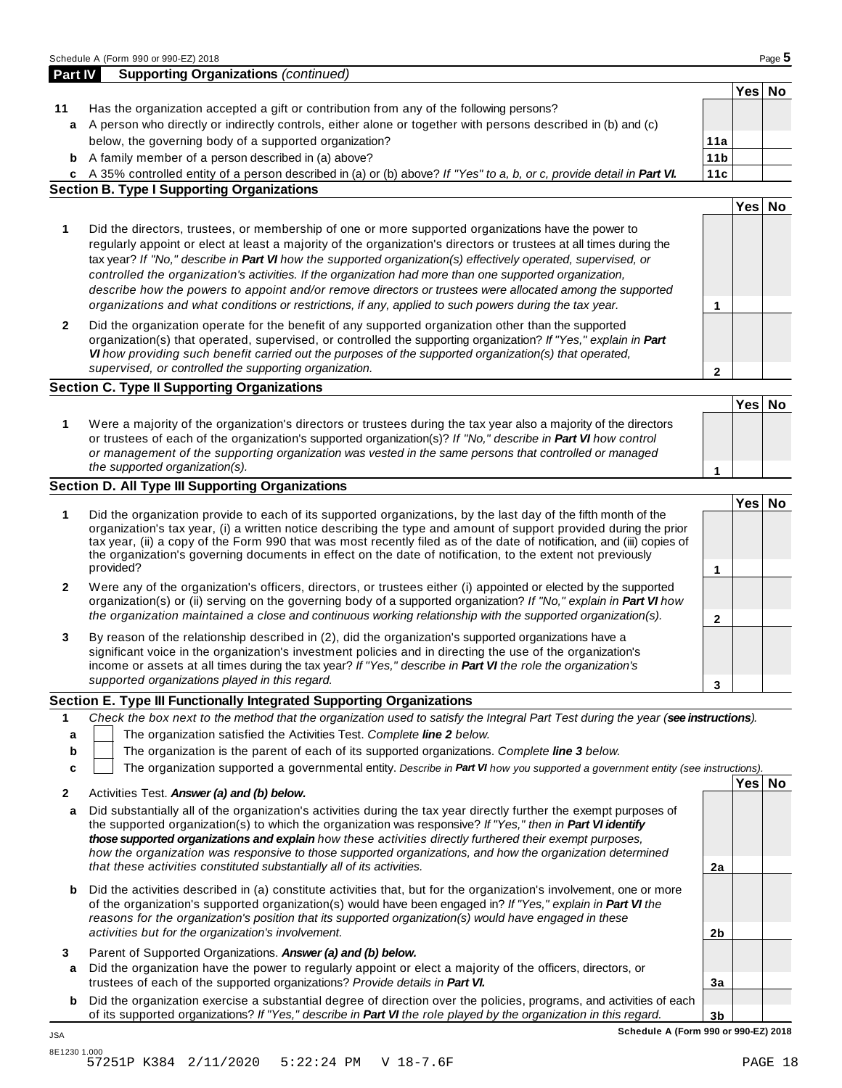|             | a A person who directly or indirectly controls, either alone or together with persons described in (b) and (c)                                                                                                                                                                                                                                                                                                                                                                                                                                                                                                                                                               |                 |        |  |
|-------------|------------------------------------------------------------------------------------------------------------------------------------------------------------------------------------------------------------------------------------------------------------------------------------------------------------------------------------------------------------------------------------------------------------------------------------------------------------------------------------------------------------------------------------------------------------------------------------------------------------------------------------------------------------------------------|-----------------|--------|--|
|             | below, the governing body of a supported organization?                                                                                                                                                                                                                                                                                                                                                                                                                                                                                                                                                                                                                       | 11a             |        |  |
|             | <b>b</b> A family member of a person described in (a) above?                                                                                                                                                                                                                                                                                                                                                                                                                                                                                                                                                                                                                 | 11 <sub>b</sub> |        |  |
|             | c A 35% controlled entity of a person described in (a) or (b) above? If "Yes" to a, b, or c, provide detail in Part VI.                                                                                                                                                                                                                                                                                                                                                                                                                                                                                                                                                      | 11c             |        |  |
|             | <b>Section B. Type I Supporting Organizations</b>                                                                                                                                                                                                                                                                                                                                                                                                                                                                                                                                                                                                                            |                 |        |  |
|             |                                                                                                                                                                                                                                                                                                                                                                                                                                                                                                                                                                                                                                                                              |                 | Yes No |  |
| 1           | Did the directors, trustees, or membership of one or more supported organizations have the power to<br>regularly appoint or elect at least a majority of the organization's directors or trustees at all times during the<br>tax year? If "No," describe in Part VI how the supported organization(s) effectively operated, supervised, or<br>controlled the organization's activities. If the organization had more than one supported organization,<br>describe how the powers to appoint and/or remove directors or trustees were allocated among the supported<br>organizations and what conditions or restrictions, if any, applied to such powers during the tax year. | 1               |        |  |
| 2           | Did the organization operate for the benefit of any supported organization other than the supported<br>organization(s) that operated, supervised, or controlled the supporting organization? If "Yes," explain in Part<br>VI how providing such benefit carried out the purposes of the supported organization(s) that operated,<br>supervised, or controlled the supporting organization.                                                                                                                                                                                                                                                                                   | $\mathbf{2}$    |        |  |
|             | <b>Section C. Type II Supporting Organizations</b>                                                                                                                                                                                                                                                                                                                                                                                                                                                                                                                                                                                                                           |                 |        |  |
|             |                                                                                                                                                                                                                                                                                                                                                                                                                                                                                                                                                                                                                                                                              |                 | Yes No |  |
| 1           | Were a majority of the organization's directors or trustees during the tax year also a majority of the directors<br>or trustees of each of the organization's supported organization(s)? If "No," describe in Part VI how control<br>or management of the supporting organization was vested in the same persons that controlled or managed<br>the supported organization(s).                                                                                                                                                                                                                                                                                                | 1               |        |  |
|             | <b>Section D. All Type III Supporting Organizations</b>                                                                                                                                                                                                                                                                                                                                                                                                                                                                                                                                                                                                                      |                 |        |  |
| 1           | Did the organization provide to each of its supported organizations, by the last day of the fifth month of the<br>organization's tax year, (i) a written notice describing the type and amount of support provided during the prior                                                                                                                                                                                                                                                                                                                                                                                                                                          |                 | Yes No |  |
|             | tax year, (ii) a copy of the Form 990 that was most recently filed as of the date of notification, and (iii) copies of<br>the organization's governing documents in effect on the date of notification, to the extent not previously<br>provided?                                                                                                                                                                                                                                                                                                                                                                                                                            |                 |        |  |
|             |                                                                                                                                                                                                                                                                                                                                                                                                                                                                                                                                                                                                                                                                              | 1               |        |  |
| 2           | Were any of the organization's officers, directors, or trustees either (i) appointed or elected by the supported<br>organization(s) or (ii) serving on the governing body of a supported organization? If "No," explain in Part VI how<br>the organization maintained a close and continuous working relationship with the supported organization(s).                                                                                                                                                                                                                                                                                                                        | $\mathbf{2}$    |        |  |
| 3           | By reason of the relationship described in (2), did the organization's supported organizations have a<br>significant voice in the organization's investment policies and in directing the use of the organization's<br>income or assets at all times during the tax year? If "Yes," describe in Part VI the role the organization's<br>supported organizations played in this regard.                                                                                                                                                                                                                                                                                        | 3               |        |  |
|             | Section E. Type III Functionally Integrated Supporting Organizations                                                                                                                                                                                                                                                                                                                                                                                                                                                                                                                                                                                                         |                 |        |  |
| 1<br>b<br>C | Check the box next to the method that the organization used to satisfy the Integral Part Test during the year (see instructions).<br>The organization satisfied the Activities Test. Complete line 2 below.<br>The organization is the parent of each of its supported organizations. Complete line 3 below.<br>The organization supported a governmental entity. Describe in Part VI how you supported a government entity (see instructions).                                                                                                                                                                                                                              |                 |        |  |
|             | Activities Test. Answer (a) and (b) below.                                                                                                                                                                                                                                                                                                                                                                                                                                                                                                                                                                                                                                   |                 | Yes No |  |
|             |                                                                                                                                                                                                                                                                                                                                                                                                                                                                                                                                                                                                                                                                              |                 |        |  |
| 2<br>a      | Did substantially all of the organization's activities during the tax year directly further the exempt purposes of<br>the supported organization(s) to which the organization was responsive? If "Yes," then in Part VI identify<br>those supported organizations and explain how these activities directly furthered their exempt purposes,<br>how the organization was responsive to those supported organizations, and how the organization determined                                                                                                                                                                                                                    |                 |        |  |
| b           | that these activities constituted substantially all of its activities.<br>Did the activities described in (a) constitute activities that, but for the organization's involvement, one or more<br>of the organization's supported organization(s) would have been engaged in? If "Yes," explain in Part VI the                                                                                                                                                                                                                                                                                                                                                                | 2a              |        |  |
|             | reasons for the organization's position that its supported organization(s) would have engaged in these<br>activities but for the organization's involvement.                                                                                                                                                                                                                                                                                                                                                                                                                                                                                                                 | 2 <sub>b</sub>  |        |  |
| 3<br>a      | Parent of Supported Organizations. Answer (a) and (b) below.<br>Did the organization have the power to regularly appoint or elect a majority of the officers, directors, or                                                                                                                                                                                                                                                                                                                                                                                                                                                                                                  |                 |        |  |
| b           | trustees of each of the supported organizations? Provide details in Part VI.<br>Did the organization exercise a substantial degree of direction over the policies, programs, and activities of each                                                                                                                                                                                                                                                                                                                                                                                                                                                                          | 3a              |        |  |

**Part IV Supporting Organizations** *(continued)*

**11** Has the organization accepted a gift or contribution from any of the following persons?

**Yes No**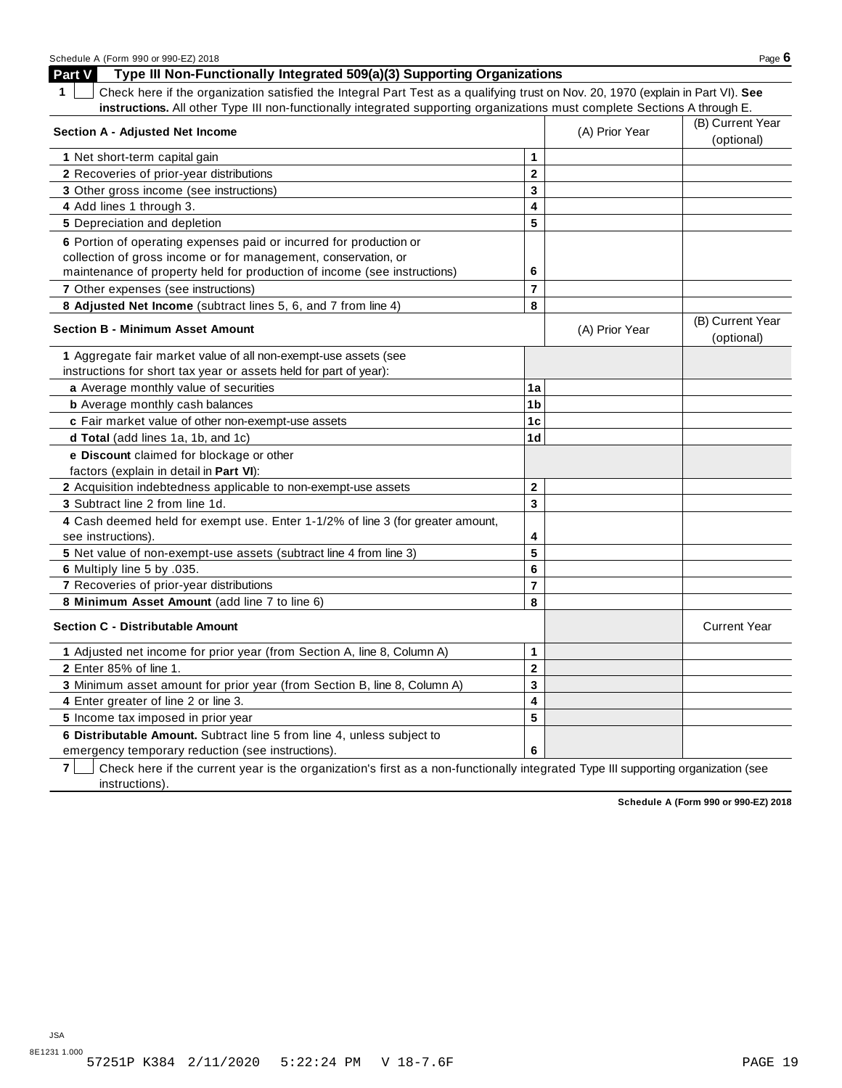| Schedule A (Form 990 or 990-EZ) 2018                                                                                                  |                         |                | Page $6$                       |
|---------------------------------------------------------------------------------------------------------------------------------------|-------------------------|----------------|--------------------------------|
| Part V<br>Type III Non-Functionally Integrated 509(a)(3) Supporting Organizations                                                     |                         |                |                                |
| Check here if the organization satisfied the Integral Part Test as a qualifying trust on Nov. 20, 1970 (explain in Part VI). See<br>1 |                         |                |                                |
| instructions. All other Type III non-functionally integrated supporting organizations must complete Sections A through E.             |                         |                |                                |
| <b>Section A - Adjusted Net Income</b>                                                                                                |                         | (A) Prior Year | (B) Current Year               |
|                                                                                                                                       |                         |                | (optional)                     |
| 1 Net short-term capital gain                                                                                                         | 1                       |                |                                |
| 2 Recoveries of prior-year distributions                                                                                              | $\overline{\mathbf{2}}$ |                |                                |
| 3 Other gross income (see instructions)                                                                                               | 3                       |                |                                |
| 4 Add lines 1 through 3.                                                                                                              | 4                       |                |                                |
| 5 Depreciation and depletion                                                                                                          | 5                       |                |                                |
| 6 Portion of operating expenses paid or incurred for production or                                                                    |                         |                |                                |
| collection of gross income or for management, conservation, or                                                                        |                         |                |                                |
| maintenance of property held for production of income (see instructions)                                                              | 6                       |                |                                |
| 7 Other expenses (see instructions)                                                                                                   | $\overline{7}$          |                |                                |
| 8 Adjusted Net Income (subtract lines 5, 6, and 7 from line 4)                                                                        | 8                       |                |                                |
| <b>Section B - Minimum Asset Amount</b>                                                                                               |                         | (A) Prior Year | (B) Current Year<br>(optional) |
| 1 Aggregate fair market value of all non-exempt-use assets (see                                                                       |                         |                |                                |
| instructions for short tax year or assets held for part of year):                                                                     |                         |                |                                |
| a Average monthly value of securities                                                                                                 | 1a                      |                |                                |
| <b>b</b> Average monthly cash balances                                                                                                | 1b                      |                |                                |
| c Fair market value of other non-exempt-use assets                                                                                    | 1 <sub>c</sub>          |                |                                |
| d Total (add lines 1a, 1b, and 1c)                                                                                                    | 1 <sub>d</sub>          |                |                                |
| e Discount claimed for blockage or other                                                                                              |                         |                |                                |
| factors (explain in detail in Part VI):                                                                                               |                         |                |                                |
| 2 Acquisition indebtedness applicable to non-exempt-use assets                                                                        | $\mathbf{2}$            |                |                                |
| 3 Subtract line 2 from line 1d.                                                                                                       | 3                       |                |                                |
| 4 Cash deemed held for exempt use. Enter 1-1/2% of line 3 (for greater amount,<br>see instructions).                                  | 4                       |                |                                |
| 5 Net value of non-exempt-use assets (subtract line 4 from line 3)                                                                    | 5                       |                |                                |
| 6 Multiply line 5 by .035.                                                                                                            | 6                       |                |                                |
| 7 Recoveries of prior-year distributions                                                                                              | $\overline{7}$          |                |                                |
| 8 Minimum Asset Amount (add line 7 to line 6)                                                                                         | 8                       |                |                                |
| <b>Section C - Distributable Amount</b>                                                                                               |                         |                | <b>Current Year</b>            |
| 1 Adjusted net income for prior year (from Section A, line 8, Column A)                                                               | 1                       |                |                                |
| 2 Enter 85% of line 1.                                                                                                                | $\mathbf 2$             |                |                                |
| 3 Minimum asset amount for prior year (from Section B, line 8, Column A)                                                              | 3                       |                |                                |
| 4 Enter greater of line 2 or line 3.                                                                                                  | 4                       |                |                                |
| 5 Income tax imposed in prior year                                                                                                    | 5                       |                |                                |
| 6 Distributable Amount. Subtract line 5 from line 4, unless subject to                                                                |                         |                |                                |
| emergency temporary reduction (see instructions).                                                                                     | 6                       |                |                                |

**7** Check here if the current year is the organization's first as a non-functionally integrated Type III supporting organization (see instructions).

**Schedule A (Form 990 or 990-EZ) 2018**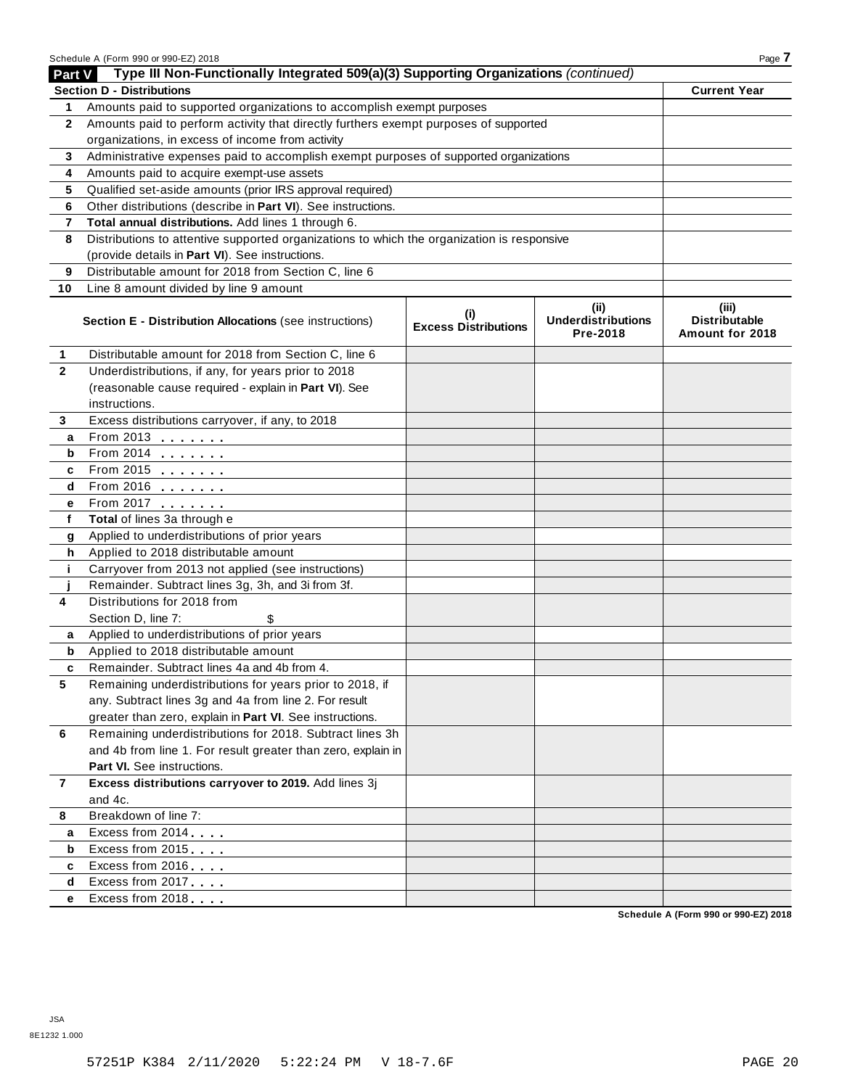|                | Schedule A (Form 990 or 990-EZ) 2018                                                       |                                    |                                               | Page 7                                           |
|----------------|--------------------------------------------------------------------------------------------|------------------------------------|-----------------------------------------------|--------------------------------------------------|
| Part V         | Type III Non-Functionally Integrated 509(a)(3) Supporting Organizations (continued)        |                                    |                                               |                                                  |
|                | <b>Section D - Distributions</b>                                                           |                                    |                                               | <b>Current Year</b>                              |
| 1              | Amounts paid to supported organizations to accomplish exempt purposes                      |                                    |                                               |                                                  |
| $\mathbf{2}$   | Amounts paid to perform activity that directly furthers exempt purposes of supported       |                                    |                                               |                                                  |
|                | organizations, in excess of income from activity                                           |                                    |                                               |                                                  |
| 3              | Administrative expenses paid to accomplish exempt purposes of supported organizations      |                                    |                                               |                                                  |
| 4              | Amounts paid to acquire exempt-use assets                                                  |                                    |                                               |                                                  |
| 5              | Qualified set-aside amounts (prior IRS approval required)                                  |                                    |                                               |                                                  |
| 6              | Other distributions (describe in Part VI). See instructions.                               |                                    |                                               |                                                  |
| 7              | Total annual distributions. Add lines 1 through 6.                                         |                                    |                                               |                                                  |
| 8              | Distributions to attentive supported organizations to which the organization is responsive |                                    |                                               |                                                  |
|                | (provide details in Part VI). See instructions.                                            |                                    |                                               |                                                  |
| 9              | Distributable amount for 2018 from Section C, line 6                                       |                                    |                                               |                                                  |
| 10             | Line 8 amount divided by line 9 amount                                                     |                                    |                                               |                                                  |
|                | Section E - Distribution Allocations (see instructions)                                    | (i)<br><b>Excess Distributions</b> | (ii)<br><b>Underdistributions</b><br>Pre-2018 | (iii)<br><b>Distributable</b><br>Amount for 2018 |
| 1              | Distributable amount for 2018 from Section C, line 6                                       |                                    |                                               |                                                  |
| $\mathbf{2}$   | Underdistributions, if any, for years prior to 2018                                        |                                    |                                               |                                                  |
|                | (reasonable cause required - explain in Part VI). See                                      |                                    |                                               |                                                  |
|                | instructions.                                                                              |                                    |                                               |                                                  |
| 3              | Excess distributions carryover, if any, to 2018                                            |                                    |                                               |                                                  |
| a              | From 2013 $\frac{1}{\sqrt{1-\frac{1}{2}}}\$                                                |                                    |                                               |                                                  |
| b              |                                                                                            |                                    |                                               |                                                  |
| c              | From 2015                                                                                  |                                    |                                               |                                                  |
| d              | $From 2016$                                                                                |                                    |                                               |                                                  |
| е              | From 2017                                                                                  |                                    |                                               |                                                  |
| f              | Total of lines 3a through e                                                                |                                    |                                               |                                                  |
| g              | Applied to underdistributions of prior years                                               |                                    |                                               |                                                  |
| h              | Applied to 2018 distributable amount                                                       |                                    |                                               |                                                  |
| j.             | Carryover from 2013 not applied (see instructions)                                         |                                    |                                               |                                                  |
|                | Remainder. Subtract lines 3g, 3h, and 3i from 3f.                                          |                                    |                                               |                                                  |
| 4              | Distributions for 2018 from                                                                |                                    |                                               |                                                  |
|                | Section D, line 7:<br>\$                                                                   |                                    |                                               |                                                  |
| а              | Applied to underdistributions of prior years                                               |                                    |                                               |                                                  |
| b              | Applied to 2018 distributable amount                                                       |                                    |                                               |                                                  |
|                | Remainder. Subtract lines 4a and 4b from 4.                                                |                                    |                                               |                                                  |
| 5              | Remaining underdistributions for years prior to 2018, if                                   |                                    |                                               |                                                  |
|                | any. Subtract lines 3g and 4a from line 2. For result                                      |                                    |                                               |                                                  |
|                | greater than zero, explain in Part VI. See instructions.                                   |                                    |                                               |                                                  |
| 6              | Remaining underdistributions for 2018. Subtract lines 3h                                   |                                    |                                               |                                                  |
|                | and 4b from line 1. For result greater than zero, explain in                               |                                    |                                               |                                                  |
|                | Part VI. See instructions.                                                                 |                                    |                                               |                                                  |
| $\overline{7}$ | Excess distributions carryover to 2019. Add lines 3j                                       |                                    |                                               |                                                  |
|                | and 4c.                                                                                    |                                    |                                               |                                                  |
| 8              | Breakdown of line 7:                                                                       |                                    |                                               |                                                  |
| a              | Excess from 2014                                                                           |                                    |                                               |                                                  |
| b              | Excess from 2015                                                                           |                                    |                                               |                                                  |
| c              | Excess from 2016                                                                           |                                    |                                               |                                                  |
| d              | Excess from 2017                                                                           |                                    |                                               |                                                  |
| е              | Excess from 2018                                                                           |                                    |                                               |                                                  |

**Schedule A (Form 990 or 990-EZ) 2018**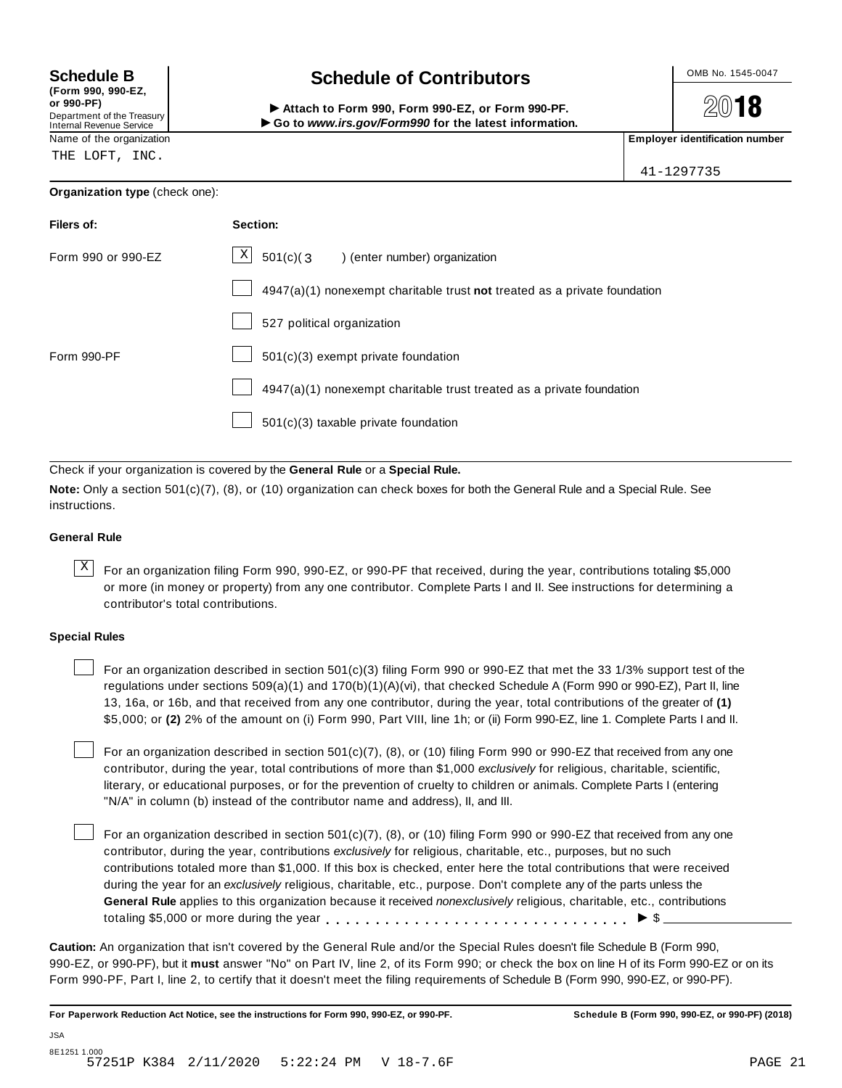| (Form 990, 990-EZ,              |  |
|---------------------------------|--|
| or 990-PF)                      |  |
| Department of the Treasury      |  |
| <b>Internal Revenue Service</b> |  |

THE LOFT, INC.

**Organization type** (check one):

## **Schedule B chedule of Contributors**

(Porm 990, Form 990, Form 990-EZ, or Form 990-PF.<br>Department of the Treasury → Attach to Form 990, Form 990-EZ, or Form 990-PF.<br>Internal Revenue Service → → Go to www.irs.gov/Form990 for the latest information.<br>Name of th

**2018** 

41-1297735

| Filers of:         | Section:                                                                    |
|--------------------|-----------------------------------------------------------------------------|
| Form 990 or 990-EZ | $\mathbf{x}$<br>$501(c)(3)$ (enter number) organization                     |
|                    | $4947(a)(1)$ nonexempt charitable trust not treated as a private foundation |
|                    | 527 political organization                                                  |
| Form 990-PF        | 501(c)(3) exempt private foundation                                         |
|                    | 4947(a)(1) nonexempt charitable trust treated as a private foundation       |
|                    | 501(c)(3) taxable private foundation                                        |

Check if your organization is covered by the **General Rule** or a **Special Rule.**

**Note:** Only a section 501(c)(7), (8), or (10) organization can check boxes for both the General Rule and a Special Rule. See instructions.

## **General Rule**

 $\overline{X}$  For an organization filing Form 990, 990-EZ, or 990-PF that received, during the year, contributions totaling \$5,000 or more (in money or property) from any one contributor. Complete Parts I and II. See instructions for determining a contributor's total contributions.

## **Special Rules**

For an organization described in section 501(c)(3) filing Form 990 or 990-EZ that met the 33 1/3% support test of the regulations under sections 509(a)(1) and 170(b)(1)(A)(vi), that checked Schedule A (Form 990 or 990-EZ), Part II, line 13, 16a, or 16b, and that received from any one contributor, during the year, total contributions of the greater of **(1)** \$5,000; or **(2)** 2% of the amount on (i) Form 990, Part VIII, line 1h; or (ii) Form 990-EZ, line 1. Complete Parts I and II.

For an organization described in section 501(c)(7), (8), or (10) filing Form 990 or 990-EZ that received from any one contributor, during the year, total contributions of more than \$1,000 *exclusively* for religious, charitable, scientific, literary, or educational purposes, or for the prevention of cruelty to children or animals. Complete Parts I (entering "N/A" in column (b) instead of the contributor name and address), II, and III.

For an organization described in section  $501(c)(7)$ , (8), or (10) filing Form 990 or 990-EZ that received from any one contributor, during the year, contributions *exclusively* for religious, charitable, etc., purposes, but no such contributions totaled more than \$1,000. If this box is checked, enter here the total contributions that were received during the year for an *exclusively* religious, charitable, etc., purpose. Don't complete any of the parts unless the **General Rule** applies to this organization because it received *nonexclusively* religious, charitable, etc., contributions totaling \$5,000 or more during the year m m m m m m m m m m m m m m m m m m m m m m m m m m m m m m m I \$

**Caution:** An organization that isn't covered by the General Rule and/or the Special Rules doesn't file Schedule B (Form 990, 990-EZ, or 990-PF), but it **must** answer "No" on Part IV, line 2, of its Form 990; or check the box on line H of its Form 990-EZ or on its Form 990-PF, Part I, line 2, to certify that it doesn't meet the filing requirements of Schedule B (Form 990, 990-EZ, or 990-PF).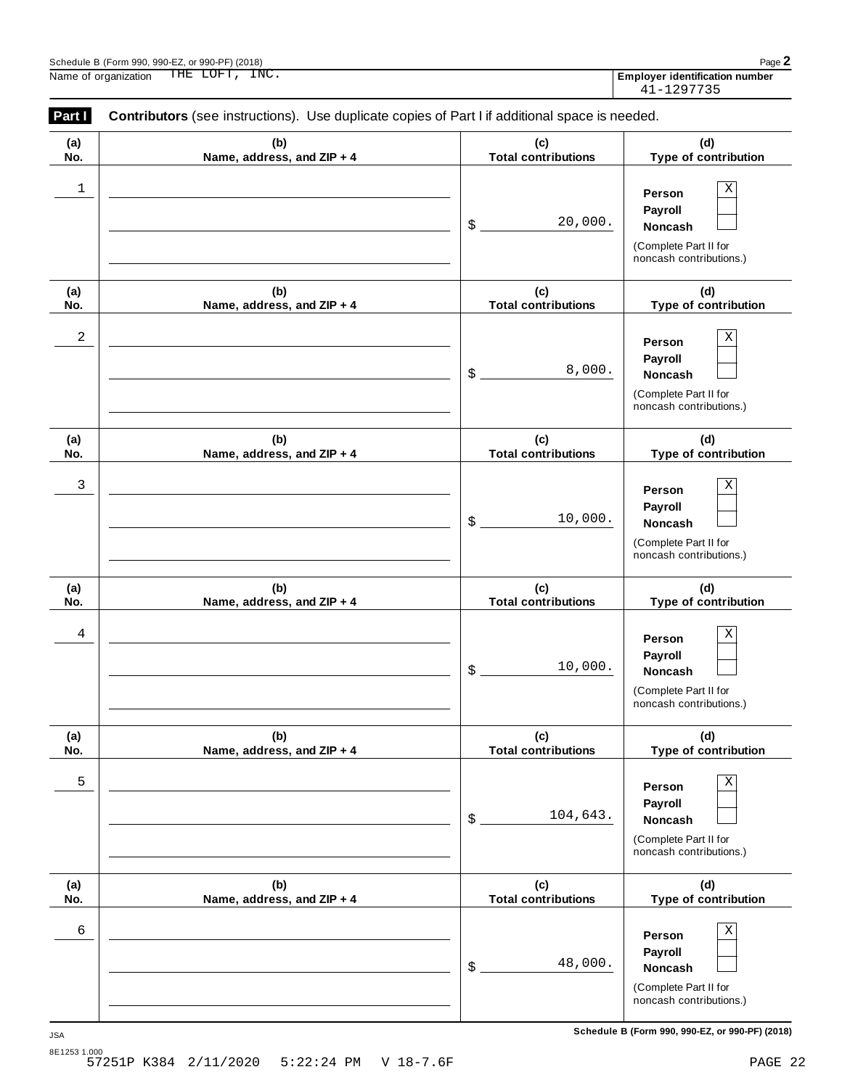**(a) No.**

|            | Schedule B (Form 990, 990-EZ, or 990-PF) (2018)<br>THE LOFT, INC.<br>Name of organization      |                                   | Page 2<br><b>Employer identification number</b><br>41-1297735                                   |
|------------|------------------------------------------------------------------------------------------------|-----------------------------------|-------------------------------------------------------------------------------------------------|
| Part I     | Contributors (see instructions). Use duplicate copies of Part I if additional space is needed. |                                   |                                                                                                 |
| (a)<br>No. | (b)<br>Name, address, and ZIP + 4                                                              | (c)<br><b>Total contributions</b> | (d)<br>Type of contribution                                                                     |
| 1          |                                                                                                | 20,000.<br>$\mathsf{\$}$          | Χ<br>Person<br>Payroll<br><b>Noncash</b><br>(Complete Part II for<br>noncash contributions.)    |
| (a)<br>No. | (b)<br>Name, address, and ZIP + 4                                                              | (c)<br><b>Total contributions</b> | (d)<br>Type of contribution                                                                     |
| 2          |                                                                                                | 8,000.<br>$\frac{1}{2}$           | Χ<br>Person<br>Payroll<br><b>Noncash</b><br>(Complete Part II for<br>noncash contributions.)    |
| (a)<br>No. | (b)<br>Name, address, and ZIP + 4                                                              | (c)<br><b>Total contributions</b> | (d)<br>Type of contribution                                                                     |
| 3          |                                                                                                | 10,000.<br>$\frac{1}{2}$          | Х<br>Person<br>Payroll<br><b>Noncash</b><br>(Complete Part II for<br>noncash contributions.)    |
| (a)<br>No. | (b)<br>Name, address, and ZIP + 4                                                              | (c)<br><b>Total contributions</b> | (d)<br>Type of contribution                                                                     |
| 4          |                                                                                                | 10,000.<br>\$                     | $\mathbf X$<br>Person<br>Payroll<br>Noncash<br>(Complete Part II for<br>noncash contributions.) |
| (a)<br>No. | (b)<br>Name, address, and ZIP + 4                                                              | (c)<br><b>Total contributions</b> | (d)<br>Type of contribution                                                                     |

|   | Name, address, and ZIP + 4        | <b>Total contributions</b>        | Type of contribution                                                                                |
|---|-----------------------------------|-----------------------------------|-----------------------------------------------------------------------------------------------------|
| 5 |                                   | 104,643.<br>\$                    | Χ<br>Person<br>Payroll<br><b>Noncash</b><br>(Complete Part II for<br>noncash contributions.)        |
|   | (b)<br>Name, address, and ZIP + 4 | (c)<br><b>Total contributions</b> | (d)<br>Type of contribution                                                                         |
| 6 |                                   | 48,000.<br>\$                     | Χ<br>Person<br><b>Payroll</b><br><b>Noncash</b><br>(Complete Part II for<br>noncash contributions.) |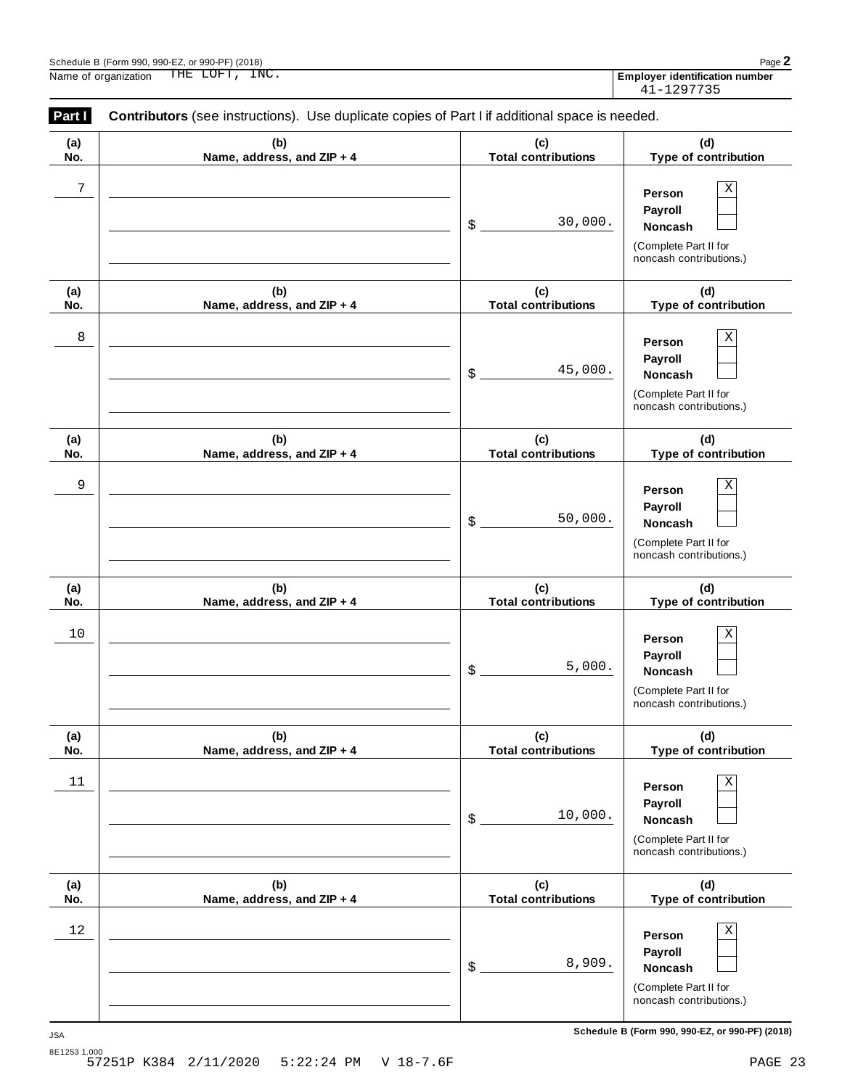**(b) Name, address, and ZIP + 4**

**(a) No.**

|            | Schedule B (Form 990, 990-EZ, or 990-PF) (2018)<br>THE LOFT, INC.<br>Name of organization      |                                   | Page 2<br><b>Employer identification number</b><br>41-1297735                                          |
|------------|------------------------------------------------------------------------------------------------|-----------------------------------|--------------------------------------------------------------------------------------------------------|
| Part I     | Contributors (see instructions). Use duplicate copies of Part I if additional space is needed. |                                   |                                                                                                        |
| (a)<br>No. | (b)<br>Name, address, and ZIP + 4                                                              | (c)<br><b>Total contributions</b> | (d)<br>Type of contribution                                                                            |
| 7          |                                                                                                | 30,000.<br>\$                     | $\mathbf X$<br>Person<br>Payroll<br><b>Noncash</b><br>(Complete Part II for<br>noncash contributions.) |
| (a)<br>No. | (b)<br>Name, address, and ZIP + 4                                                              | (c)<br><b>Total contributions</b> | (d)<br>Type of contribution                                                                            |
| 8          |                                                                                                | 45,000.<br>\$                     | Χ<br>Person<br>Payroll<br><b>Noncash</b><br>(Complete Part II for<br>noncash contributions.)           |
| (a)<br>No. | (b)<br>Name, address, and ZIP + 4                                                              | (c)<br><b>Total contributions</b> | (d)<br>Type of contribution                                                                            |
| 9          |                                                                                                | 50,000.<br>\$                     | $\mathbf X$<br>Person<br>Payroll<br><b>Noncash</b><br>(Complete Part II for<br>noncash contributions.) |
| (a)<br>No. | (b)<br>Name, address, and ZIP + 4                                                              | (c)<br><b>Total contributions</b> | (d)<br>Type of contribution                                                                            |
| 10         |                                                                                                | 5,000.<br>\$                      | $\rm X$<br>Person<br>Payroll<br>Noncash<br>(Complete Part II for<br>noncash contributions.)            |
| (a)<br>No. | (b)<br>Name, address, and ZIP + 4                                                              | (c)<br><b>Total contributions</b> | (d)<br>Type of contribution                                                                            |
| 11         |                                                                                                | 10,000.<br>\$                     | $\rm X$<br>Person<br>Payroll<br>Noncash<br>(Complete Part II for<br>noncash contributions.)            |

**Person Payroll** \$ **Noncash** (Complete Part II for noncash contributions.)  $12$  **Person**  $X$ 8,909.

**(c) Total contributions**

**(d) Type of contribution**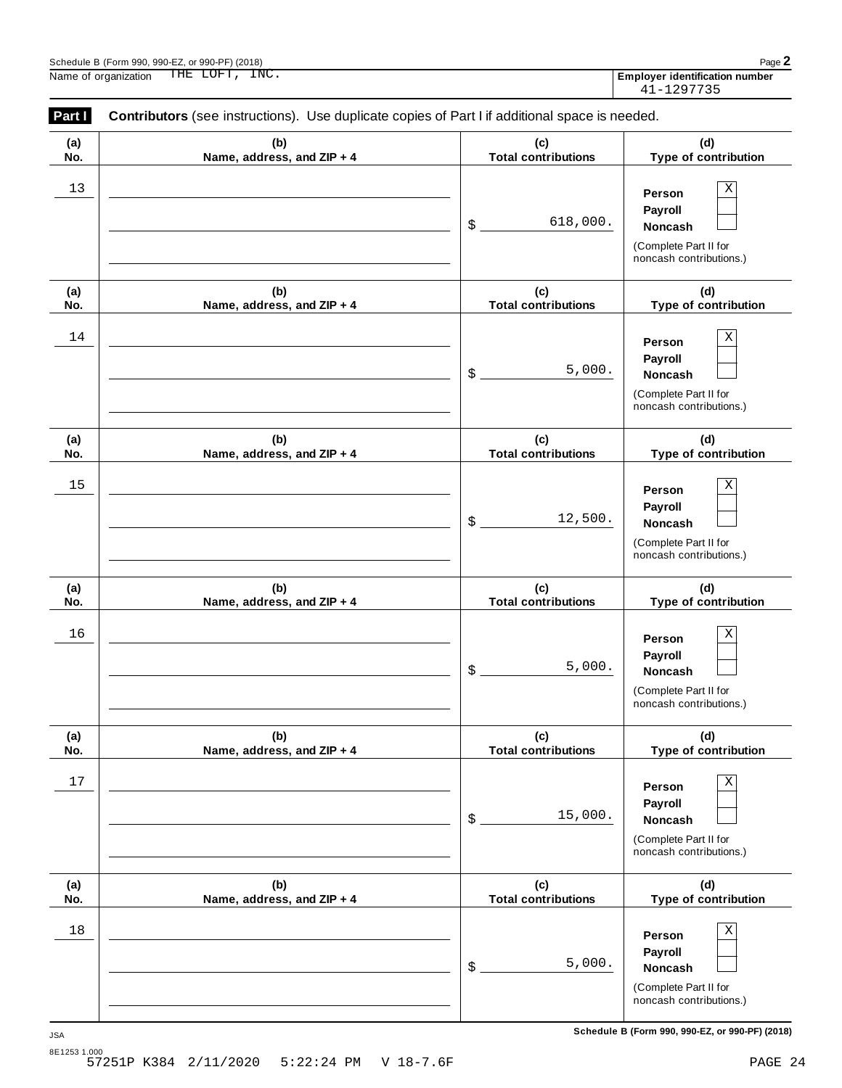|                                                                                                          | Schedule B (Form 990, 990-EZ, or 990-PF) (2018)<br>THE LOFT, INC.<br>Name of organization |                                   | Page 2<br><b>Employer identification number</b><br>41-1297735                                          |  |
|----------------------------------------------------------------------------------------------------------|-------------------------------------------------------------------------------------------|-----------------------------------|--------------------------------------------------------------------------------------------------------|--|
| Contributors (see instructions). Use duplicate copies of Part I if additional space is needed.<br>Part I |                                                                                           |                                   |                                                                                                        |  |
| (a)<br>No.                                                                                               | (b)<br>Name, address, and ZIP + 4                                                         | (c)<br><b>Total contributions</b> | (d)<br>Type of contribution                                                                            |  |
| 13                                                                                                       |                                                                                           | 618,000.<br>\$                    | $\mathbf X$<br>Person<br>Payroll<br>Noncash<br>(Complete Part II for<br>noncash contributions.)        |  |
| (a)<br>No.                                                                                               | (b)<br>Name, address, and ZIP + 4                                                         | (c)<br><b>Total contributions</b> | (d)<br>Type of contribution                                                                            |  |
| 14                                                                                                       |                                                                                           | 5,000.<br>\$                      | $\mathbf X$<br>Person<br>Payroll<br><b>Noncash</b><br>(Complete Part II for<br>noncash contributions.) |  |
| (a)<br>No.                                                                                               | (b)<br>Name, address, and ZIP + 4                                                         | (c)<br><b>Total contributions</b> | (d)<br>Type of contribution                                                                            |  |
| 15                                                                                                       |                                                                                           | 12,500.<br>\$                     | $\mathbf X$<br>Person<br>Payroll<br><b>Noncash</b><br>(Complete Part II for<br>noncash contributions.) |  |
| (a)<br>No.                                                                                               | (b)<br>Name, address, and ZIP + 4                                                         | (c)<br><b>Total contributions</b> | (d)<br>Type of contribution                                                                            |  |
| 16                                                                                                       |                                                                                           | 5,000.<br>\$                      | $\mathbf X$<br>Person<br>Payroll<br>Noncash<br>(Complete Part II for<br>noncash contributions.)        |  |
| (a)<br>No.                                                                                               | (b)<br>Name, address, and ZIP + 4                                                         | (c)<br><b>Total contributions</b> | (d)<br>Type of contribution                                                                            |  |
| $17$                                                                                                     |                                                                                           | 15,000.<br>\$                     | X<br>Person<br>Payroll<br>Noncash<br>(Complete Part II for<br>noncash contributions.)                  |  |
| (a)<br>No.                                                                                               | (b)<br>Name, address, and ZIP + 4                                                         | (c)<br><b>Total contributions</b> | (d)<br>Type of contribution                                                                            |  |
| 18                                                                                                       |                                                                                           |                                   | $\mathbf X$<br>Person<br>Payroll                                                                       |  |

(Complete Part II for noncash contributions.)

\$ **Noncash**

5,000.

| chedule B (Form 990, 990-EZ, or 990-PF) (2018) |              |  |
|------------------------------------------------|--------------|--|
| lame of organization                           | THE LOFT, IN |  |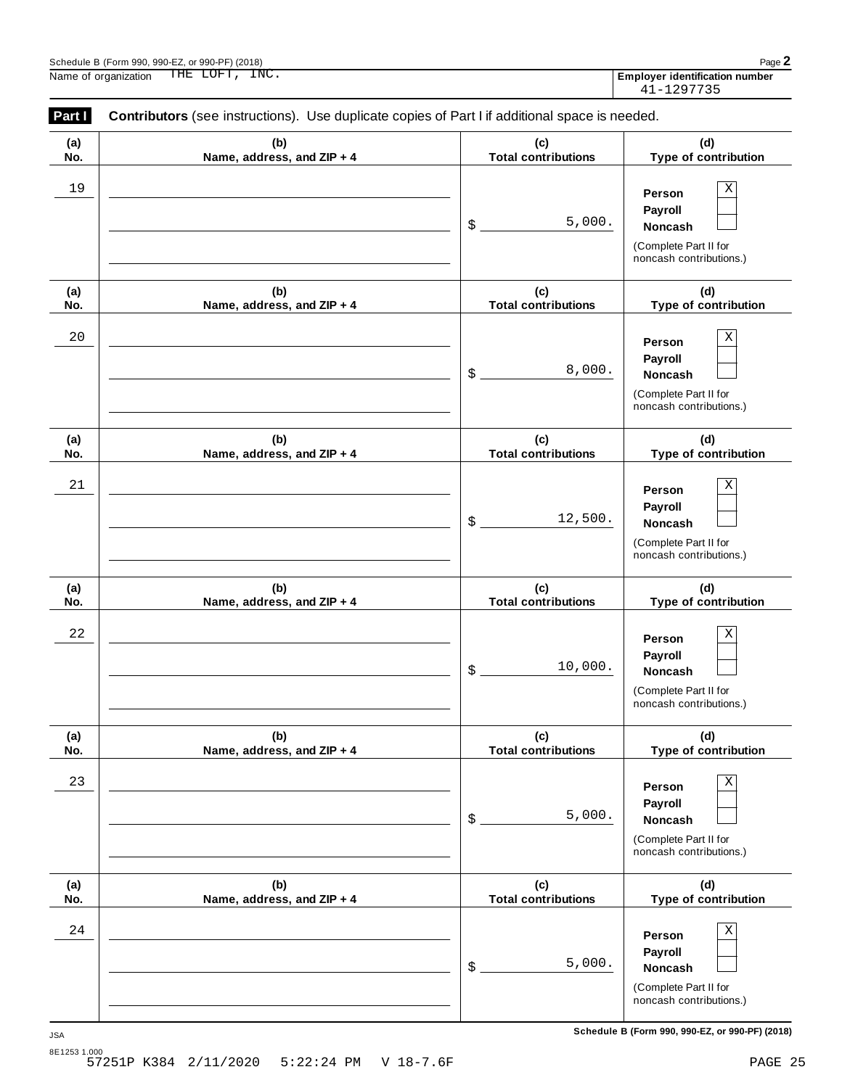|             | Schedule B (Form 990, 990-EZ, or 990-PF) (2018)<br>THE LOFT, INC.<br>Name of organization      |                                   | Employer identification number<br>41-1297735                                                           |
|-------------|------------------------------------------------------------------------------------------------|-----------------------------------|--------------------------------------------------------------------------------------------------------|
| Part I      | Contributors (see instructions). Use duplicate copies of Part I if additional space is needed. |                                   |                                                                                                        |
| (a)<br>No.  | (b)<br>Name, address, and ZIP + 4                                                              | (c)<br><b>Total contributions</b> | (d)<br>Type of contribution                                                                            |
| 19          |                                                                                                | 5,000.<br>\$                      | Χ<br>Person<br>Payroll<br>Noncash<br>(Complete Part II for<br>noncash contributions.)                  |
| (a)<br>No.  | (b)<br>Name, address, and ZIP + 4                                                              | (c)<br><b>Total contributions</b> | (d)<br>Type of contribution                                                                            |
| 20          |                                                                                                | 8,000.<br>\$                      | Χ<br>Person<br>Payroll<br>Noncash<br>(Complete Part II for<br>noncash contributions.)                  |
| (a)<br>No.  | (b)<br>Name, address, and ZIP + 4                                                              | (c)<br><b>Total contributions</b> | (d)<br>Type of contribution                                                                            |
| 21          |                                                                                                | 12,500.<br>\$                     | Χ<br>Person<br>Payroll<br>Noncash<br>(Complete Part II for<br>noncash contributions.)                  |
| (a)<br>No.  | (b)<br>Name, address, and ZIP + 4                                                              | (c)<br><b>Total contributions</b> | (d)<br>Type of contribution                                                                            |
| $2\sqrt{2}$ |                                                                                                | 10,000.<br>\$                     | $\mathbf X$<br>Person<br><b>Payroll</b><br>Noncash<br>(Complete Part II for<br>noncash contributions.) |
| (a)<br>No.  | (b)<br>Name, address, and ZIP + 4                                                              | (c)<br><b>Total contributions</b> | (d)<br>Type of contribution                                                                            |
| 23          |                                                                                                | 5,000.<br>\$                      | $\rm X$<br>Person<br>Payroll<br><b>Noncash</b><br>(Complete Part II for<br>noncash contributions.)     |
| (a)<br>No.  | (b)<br>Name, address, and ZIP + 4                                                              | (c)<br><b>Total contributions</b> | (d)<br>Type of contribution                                                                            |
| 24          |                                                                                                | 5,000.<br>\$                      | $\rm X$<br>Person<br>Payroll<br>Noncash                                                                |

(Complete Part II for noncash contributions.)

| Schedule B (Form 990, 990-EZ, or 990-PF) (2) |           |
|----------------------------------------------|-----------|
| Name of organization                         | THE LOFT, |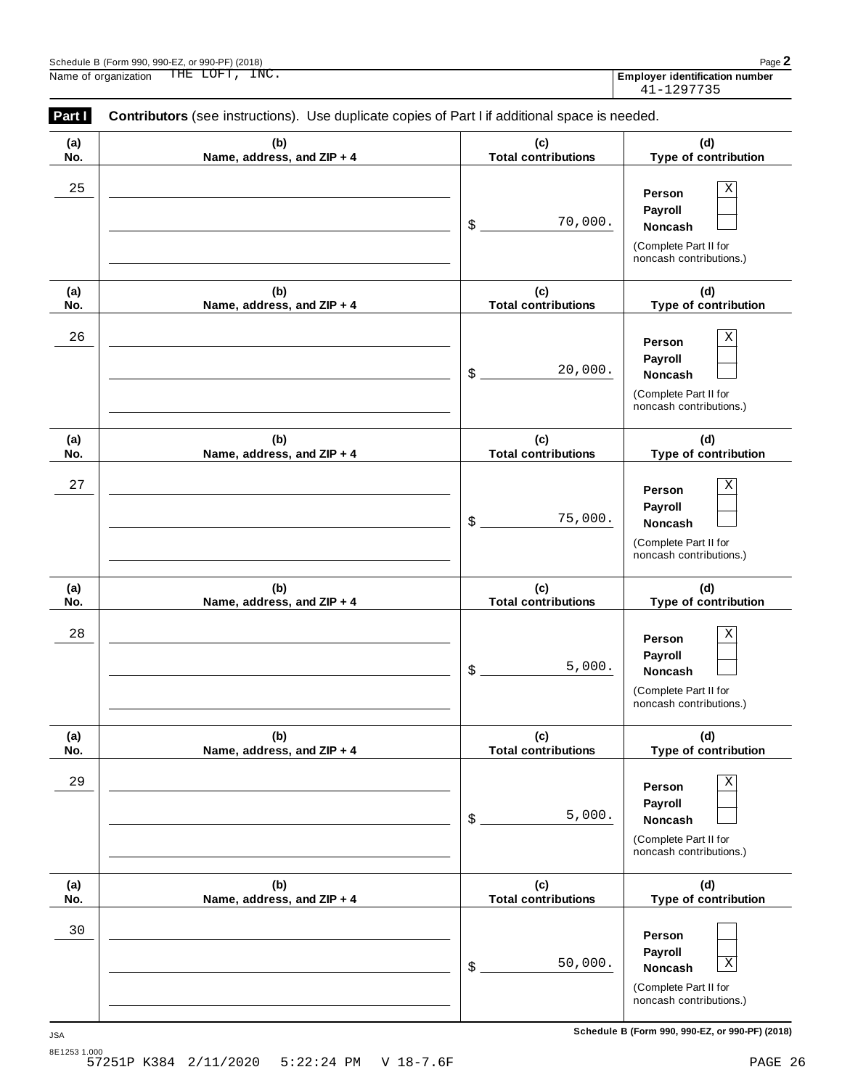|            | THE LOFT, INC.<br>Name of organization                                                         |                                   | <b>Employer identification number</b><br>41-1297735                                                    |
|------------|------------------------------------------------------------------------------------------------|-----------------------------------|--------------------------------------------------------------------------------------------------------|
| Part I     | Contributors (see instructions). Use duplicate copies of Part I if additional space is needed. |                                   |                                                                                                        |
| (a)<br>No. | (b)<br>Name, address, and ZIP + 4                                                              | (c)<br><b>Total contributions</b> | (d)<br>Type of contribution                                                                            |
| 25         |                                                                                                | \$<br>70,000.                     | $\mathbf X$<br>Person<br>Payroll<br>Noncash<br>(Complete Part II for<br>noncash contributions.)        |
| (a)<br>No. | (b)<br>Name, address, and ZIP + 4                                                              | (c)<br><b>Total contributions</b> | (d)<br>Type of contribution                                                                            |
| 26         |                                                                                                | \$<br>20,000.                     | $\mathbf X$<br>Person<br>Payroll<br><b>Noncash</b><br>(Complete Part II for<br>noncash contributions.) |
| (a)<br>No. | (b)<br>Name, address, and ZIP + 4                                                              | (c)<br><b>Total contributions</b> | (d)<br>Type of contribution                                                                            |
| 27         |                                                                                                | \$<br>75,000.                     | $\mathbf X$<br>Person<br>Payroll<br><b>Noncash</b><br>(Complete Part II for<br>noncash contributions.) |
| (a)<br>No. | (b)<br>Name, address, and ZIP + 4                                                              | (c)<br><b>Total contributions</b> | (d)<br>Type of contribution                                                                            |
| $2\,8$     |                                                                                                | \$<br>5,000.                      | $\mathbf X$<br>Person<br>Payroll<br>Noncash<br>(Complete Part II for<br>noncash contributions.)        |
| (a)<br>No. | (b)<br>Name, address, and ZIP + 4                                                              | (c)<br><b>Total contributions</b> | (d)<br>Type of contribution                                                                            |
| 29         |                                                                                                | \$<br>5,000.                      | $\mathbf X$<br>Person<br>Payroll<br>Noncash<br>(Complete Part II for<br>noncash contributions.)        |
| (a)<br>No. | (b)<br>Name, address, and ZIP + 4                                                              | (c)<br><b>Total contributions</b> | (d)<br>Type of contribution                                                                            |

(Complete Part II for noncash contributions.)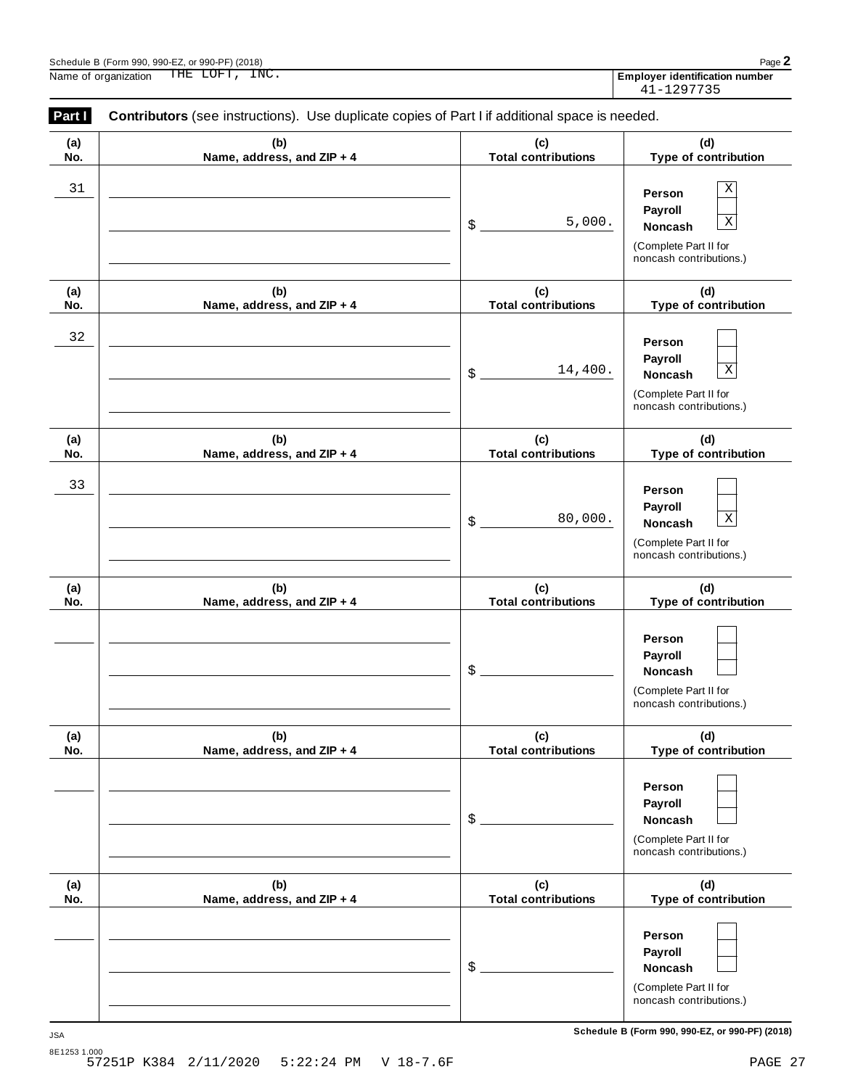| Part I     | THE LOFT, INC.<br>Name of organization<br>Contributors (see instructions). Use duplicate copies of Part I if additional space is needed. |                                   | <b>Employer identification number</b><br>41-1297735                                                                   |
|------------|------------------------------------------------------------------------------------------------------------------------------------------|-----------------------------------|-----------------------------------------------------------------------------------------------------------------------|
| (a)<br>No. | (b)<br>Name, address, and ZIP + 4                                                                                                        | (c)<br><b>Total contributions</b> | (d)<br>Type of contribution                                                                                           |
| 31         |                                                                                                                                          | 5,000.<br>\$                      | Χ<br>Person<br>Payroll<br>$\overline{\text{X}}$<br><b>Noncash</b><br>(Complete Part II for<br>noncash contributions.) |
| (a)<br>No. | (b)<br>Name, address, and ZIP + 4                                                                                                        | (c)<br><b>Total contributions</b> | (d)<br>Type of contribution                                                                                           |
| 32         |                                                                                                                                          | 14,400.<br>\$                     | Person<br>Payroll<br>$\overline{\text{X}}$<br><b>Noncash</b><br>(Complete Part II for<br>noncash contributions.)      |
| (a)<br>No. | (b)<br>Name, address, and ZIP + 4                                                                                                        | (c)<br><b>Total contributions</b> | (d)<br>Type of contribution                                                                                           |
| 33         |                                                                                                                                          | 80,000.<br>\$                     | Person<br>Payroll<br>$\overline{\text{X}}$<br><b>Noncash</b><br>(Complete Part II for<br>noncash contributions.)      |
| (a)<br>No. | (b)<br>Name, address, and ZIP + 4                                                                                                        | (c)<br><b>Total contributions</b> | (d)<br>Type of contribution                                                                                           |
|            |                                                                                                                                          | \$                                | Person<br>Payroll<br>Noncash<br>(Complete Part II for<br>noncash contributions.)                                      |
| (a)<br>No. | (b)<br>Name, address, and ZIP + 4                                                                                                        | (c)<br><b>Total contributions</b> | (d)<br>Type of contribution                                                                                           |
|            |                                                                                                                                          | \$                                | Person<br>Payroll<br>Noncash<br>(Complete Part II for<br>noncash contributions.)                                      |
| (a)<br>No. | (b)<br>Name, address, and ZIP + 4                                                                                                        | (c)<br><b>Total contributions</b> | (d)<br>Type of contribution                                                                                           |
|            |                                                                                                                                          |                                   | Person                                                                                                                |

(Complete Part II for noncash contributions.)

**Payroll**

\$ **Noncash**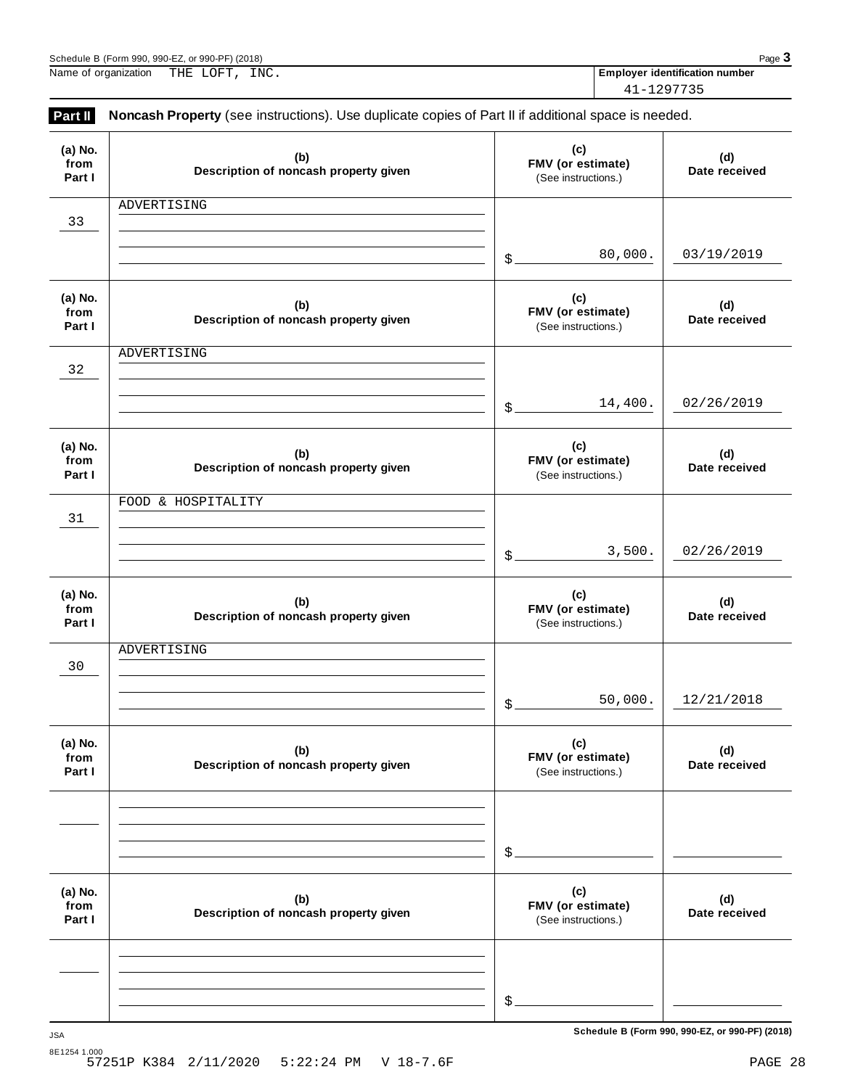ADVERTISING

| (b)<br>of noncash property given | (C)<br><b>FMV</b> (or estimate)<br>(See instructions.) | (d)<br>Date received |  |
|----------------------------------|--------------------------------------------------------|----------------------|--|
|                                  |                                                        |                      |  |

\$

 $\frac{1}{2}$ 

**(c) FMV (or estimate)** (See instructions.)

| (a) No.<br>from<br>Part I | (b)<br>Description of noncash property given |                   | (c)<br>FMV (or estimate)<br>(See instructions.) | (d)<br>Date received |
|---------------------------|----------------------------------------------|-------------------|-------------------------------------------------|----------------------|
| 32                        | ADVERTISING                                  |                   |                                                 |                      |
|                           |                                              | $\frac{2}{2}$     | 14,400.                                         | 02/26/2019           |
| (a) No.<br>from<br>Part I | (b)<br>Description of noncash property given |                   | (c)<br>FMV (or estimate)<br>(See instructions.) | (d)<br>Date received |
| 31                        | FOOD & HOSPITALITY                           |                   |                                                 |                      |
|                           |                                              | $\mathcal{S}_{-}$ | 3,500.                                          | 02/26/2019           |
| (a) No.<br>from<br>Part I | (b)<br>Description of noncash property given |                   | (c)<br>FMV (or estimate)<br>(See instructions.) | (d)<br>Date received |
| 30                        | ADVERTISING                                  |                   |                                                 |                      |
|                           |                                              | $$$ .             | 50,000.                                         | 12/21/2018           |
| (a) No.<br>from<br>Part I | (b)<br>Description of noncash property given |                   | (c)<br>FMV (or estimate)<br>(See instructions.) | (d)<br>Date received |
|                           |                                              | \$                |                                                 |                      |
| (a) No.<br>from<br>Part I | (b)<br>Description of noncash property given |                   | (c)<br>FMV (or estimate)<br>(See instructions.) | (d)<br>Date received |

**Part II** Noncash Property (see instructions). Use duplicate copies of Part II if additional space is needed. 41-1297735

> **(b) Description of noncash property given**

**(a) No. from Part I**

33

**(d) Date received**

80,000. 03/19/2019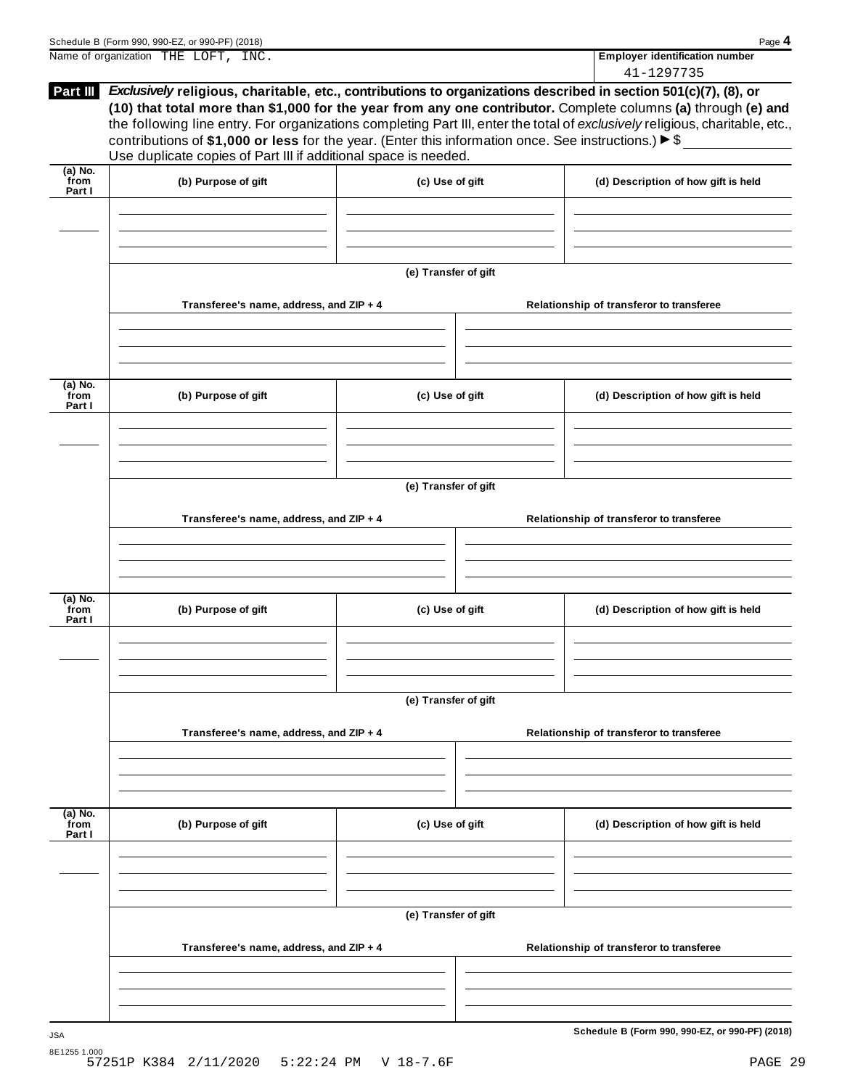|                             | Name of organization THE LOFT, INC.                                                                                                                                                                                                                                                                            |                                     |  | <b>Employer identification number</b><br>41-1297735                                                                                                                                                                                           |
|-----------------------------|----------------------------------------------------------------------------------------------------------------------------------------------------------------------------------------------------------------------------------------------------------------------------------------------------------------|-------------------------------------|--|-----------------------------------------------------------------------------------------------------------------------------------------------------------------------------------------------------------------------------------------------|
| Part III                    | Exclusively religious, charitable, etc., contributions to organizations described in section 501(c)(7), (8), or<br>contributions of \$1,000 or less for the year. (Enter this information once. See instructions.) $\blacktriangleright$ \$<br>Use duplicate copies of Part III if additional space is needed. |                                     |  | (10) that total more than \$1,000 for the year from any one contributor. Complete columns (a) through (e) and<br>the following line entry. For organizations completing Part III, enter the total of exclusively religious, charitable, etc., |
| $(a)$ No.<br>from<br>Part I | (b) Purpose of gift                                                                                                                                                                                                                                                                                            | (d) Description of how gift is held |  |                                                                                                                                                                                                                                               |
|                             |                                                                                                                                                                                                                                                                                                                |                                     |  |                                                                                                                                                                                                                                               |
|                             | Transferee's name, address, and ZIP + 4                                                                                                                                                                                                                                                                        | (e) Transfer of gift                |  | Relationship of transferor to transferee                                                                                                                                                                                                      |
| (a) No.<br>from             | (b) Purpose of gift                                                                                                                                                                                                                                                                                            | (c) Use of gift                     |  |                                                                                                                                                                                                                                               |
| Part I                      |                                                                                                                                                                                                                                                                                                                |                                     |  | (d) Description of how gift is held                                                                                                                                                                                                           |
|                             |                                                                                                                                                                                                                                                                                                                | (e) Transfer of gift                |  |                                                                                                                                                                                                                                               |
|                             | Transferee's name, address, and ZIP + 4                                                                                                                                                                                                                                                                        |                                     |  | Relationship of transferor to transferee                                                                                                                                                                                                      |
| (a) No.<br>from<br>Part I   | (b) Purpose of gift                                                                                                                                                                                                                                                                                            | (c) Use of gift                     |  | (d) Description of how gift is held                                                                                                                                                                                                           |
|                             |                                                                                                                                                                                                                                                                                                                | (e) Transfer of gift                |  |                                                                                                                                                                                                                                               |
|                             | Transferee's name, address, and ZIP + 4                                                                                                                                                                                                                                                                        |                                     |  | Relationship of transferor to transferee                                                                                                                                                                                                      |
| (a) No.<br>from<br>Part I   | (b) Purpose of gift                                                                                                                                                                                                                                                                                            | (c) Use of gift                     |  | (d) Description of how gift is held                                                                                                                                                                                                           |
|                             |                                                                                                                                                                                                                                                                                                                | (e) Transfer of gift                |  |                                                                                                                                                                                                                                               |
|                             | Transferee's name, address, and ZIP + 4                                                                                                                                                                                                                                                                        |                                     |  | Relationship of transferor to transferee                                                                                                                                                                                                      |
|                             |                                                                                                                                                                                                                                                                                                                |                                     |  |                                                                                                                                                                                                                                               |

Schedule <sup>B</sup> (Form 990, 990-EZ, or 990-PF) (2018) Page **4**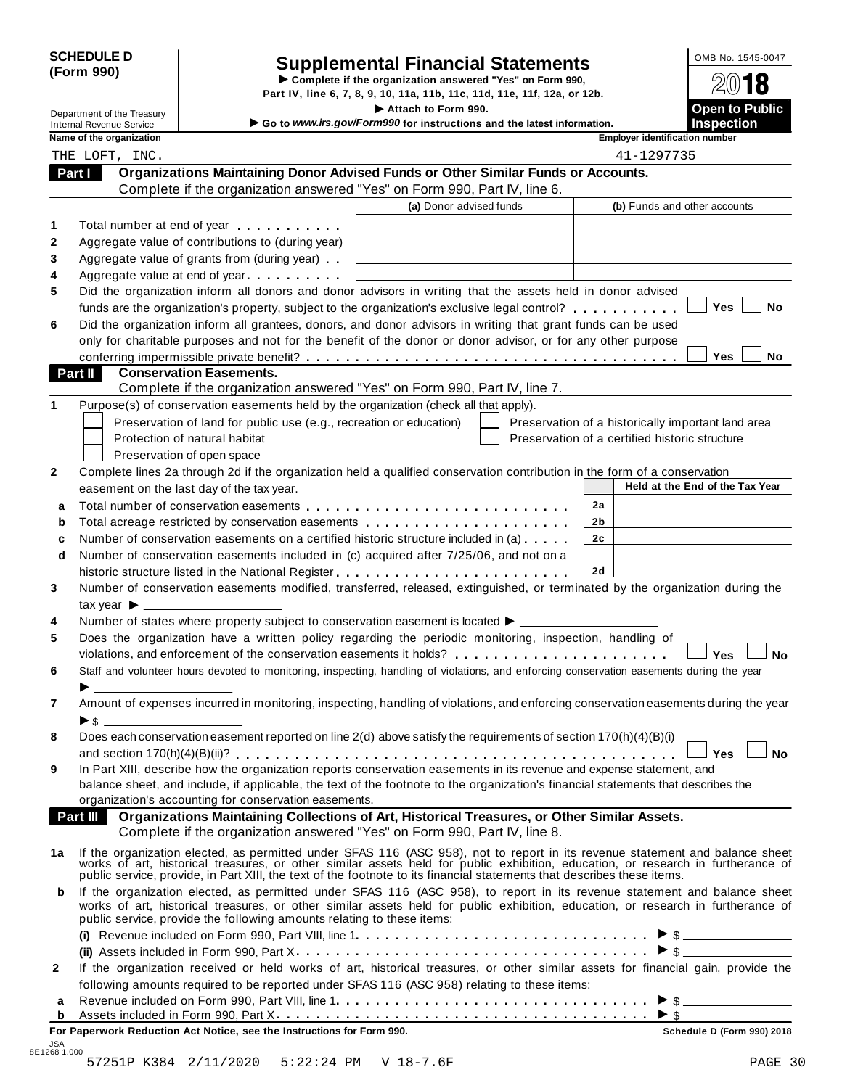| <b>SCHEDULE D</b> |  |
|-------------------|--|
| (Form 990)        |  |

I

# SCHEDULE D<br>
Supplemental Financial Statements<br>
Form 990)<br>
Part IV, line 6, 7, 8, 9, 10, 11a, 11b, 11c, 11d, 11e, 11f, 12a, or 12b.<br>
Part IV, line 6, 7, 8, 9, 10, 11a, 11b, 11c, 11d, 11e, 11f, 12a, or 12b.

|        |                                                             |                                                                                                                                                                                                                                                                                                                                                           | Part IV, line 6, 7, 8, 9, 10, 11a, 11b, 11c, 11d, 11e, 11f, 12a, or 12b. |                                                |                |                                       |                                                    |
|--------|-------------------------------------------------------------|-----------------------------------------------------------------------------------------------------------------------------------------------------------------------------------------------------------------------------------------------------------------------------------------------------------------------------------------------------------|--------------------------------------------------------------------------|------------------------------------------------|----------------|---------------------------------------|----------------------------------------------------|
|        | Department of the Treasury                                  |                                                                                                                                                                                                                                                                                                                                                           | Attach to Form 990.                                                      |                                                |                |                                       | <b>Open to Public</b>                              |
|        | <b>Internal Revenue Service</b><br>Name of the organization |                                                                                                                                                                                                                                                                                                                                                           | Go to www.irs.gov/Form990 for instructions and the latest information.   |                                                |                | <b>Employer identification number</b> | <b>Inspection</b>                                  |
|        | THE LOFT, INC.                                              |                                                                                                                                                                                                                                                                                                                                                           |                                                                          |                                                |                | 41-1297735                            |                                                    |
| Part I |                                                             | Organizations Maintaining Donor Advised Funds or Other Similar Funds or Accounts.                                                                                                                                                                                                                                                                         |                                                                          |                                                |                |                                       |                                                    |
|        |                                                             | Complete if the organization answered "Yes" on Form 990, Part IV, line 6.                                                                                                                                                                                                                                                                                 |                                                                          |                                                |                |                                       |                                                    |
|        |                                                             |                                                                                                                                                                                                                                                                                                                                                           | (a) Donor advised funds                                                  |                                                |                |                                       | (b) Funds and other accounts                       |
|        |                                                             |                                                                                                                                                                                                                                                                                                                                                           |                                                                          |                                                |                |                                       |                                                    |
|        |                                                             | Total number at end of year entitled as a set of the set of the set of the set of the set of the set of the set of the set of the set of the set of the set of the set of the set of the set of the set of the set of the set                                                                                                                             |                                                                          |                                                |                |                                       |                                                    |
|        |                                                             | Aggregate value of contributions to (during year)                                                                                                                                                                                                                                                                                                         |                                                                          |                                                |                |                                       |                                                    |
|        |                                                             | Aggregate value of grants from (during year)                                                                                                                                                                                                                                                                                                              |                                                                          |                                                |                |                                       |                                                    |
|        |                                                             | Aggregate value at end of year                                                                                                                                                                                                                                                                                                                            |                                                                          |                                                |                |                                       |                                                    |
|        |                                                             | Did the organization inform all donors and donor advisors in writing that the assets held in donor advised                                                                                                                                                                                                                                                |                                                                          |                                                |                |                                       |                                                    |
|        |                                                             | funds are the organization's property, subject to the organization's exclusive legal control?                                                                                                                                                                                                                                                             |                                                                          |                                                |                |                                       | Yes<br>No                                          |
|        |                                                             | Did the organization inform all grantees, donors, and donor advisors in writing that grant funds can be used                                                                                                                                                                                                                                              |                                                                          |                                                |                |                                       |                                                    |
|        |                                                             | only for charitable purposes and not for the benefit of the donor or donor advisor, or for any other purpose                                                                                                                                                                                                                                              |                                                                          |                                                |                |                                       |                                                    |
|        |                                                             |                                                                                                                                                                                                                                                                                                                                                           |                                                                          |                                                |                |                                       | Yes<br>No.                                         |
|        | <b>Part II</b>                                              | <b>Conservation Easements.</b>                                                                                                                                                                                                                                                                                                                            |                                                                          |                                                |                |                                       |                                                    |
|        |                                                             | Complete if the organization answered "Yes" on Form 990, Part IV, line 7.                                                                                                                                                                                                                                                                                 |                                                                          |                                                |                |                                       |                                                    |
|        |                                                             | Purpose(s) of conservation easements held by the organization (check all that apply).                                                                                                                                                                                                                                                                     |                                                                          |                                                |                |                                       |                                                    |
|        |                                                             | Preservation of land for public use (e.g., recreation or education)                                                                                                                                                                                                                                                                                       |                                                                          |                                                |                |                                       | Preservation of a historically important land area |
|        |                                                             | Protection of natural habitat                                                                                                                                                                                                                                                                                                                             |                                                                          | Preservation of a certified historic structure |                |                                       |                                                    |
|        |                                                             | Preservation of open space                                                                                                                                                                                                                                                                                                                                |                                                                          |                                                |                |                                       |                                                    |
|        |                                                             | Complete lines 2a through 2d if the organization held a qualified conservation contribution in the form of a conservation                                                                                                                                                                                                                                 |                                                                          |                                                |                |                                       |                                                    |
|        |                                                             | easement on the last day of the tax year.                                                                                                                                                                                                                                                                                                                 |                                                                          |                                                |                |                                       | Held at the End of the Tax Year                    |
| a      |                                                             |                                                                                                                                                                                                                                                                                                                                                           |                                                                          |                                                | 2a             |                                       |                                                    |
| b      |                                                             | Total acreage restricted by conservation easements                                                                                                                                                                                                                                                                                                        |                                                                          |                                                | 2b             |                                       |                                                    |
| c      |                                                             | Number of conservation easements on a certified historic structure included in (a)                                                                                                                                                                                                                                                                        |                                                                          |                                                | 2 <sub>c</sub> |                                       |                                                    |
| d      |                                                             | Number of conservation easements included in (c) acquired after 7/25/06, and not on a                                                                                                                                                                                                                                                                     |                                                                          |                                                |                |                                       |                                                    |
|        |                                                             |                                                                                                                                                                                                                                                                                                                                                           |                                                                          |                                                | 2d             |                                       |                                                    |
|        |                                                             | Number of conservation easements modified, transferred, released, extinguished, or terminated by the organization during the                                                                                                                                                                                                                              |                                                                          |                                                |                |                                       |                                                    |
|        | tax year $\blacktriangleright$ _                            |                                                                                                                                                                                                                                                                                                                                                           |                                                                          |                                                |                |                                       |                                                    |
|        |                                                             | Number of states where property subject to conservation easement is located ▶ __________                                                                                                                                                                                                                                                                  |                                                                          |                                                |                |                                       |                                                    |
|        |                                                             | Does the organization have a written policy regarding the periodic monitoring, inspection, handling of                                                                                                                                                                                                                                                    |                                                                          |                                                |                |                                       |                                                    |
|        |                                                             |                                                                                                                                                                                                                                                                                                                                                           |                                                                          |                                                |                |                                       | Yes<br><b>No</b>                                   |
|        |                                                             | Staff and volunteer hours devoted to monitoring, inspecting, handling of violations, and enforcing conservation easements during the year                                                                                                                                                                                                                 |                                                                          |                                                |                |                                       |                                                    |
|        |                                                             |                                                                                                                                                                                                                                                                                                                                                           |                                                                          |                                                |                |                                       |                                                    |
|        |                                                             | Amount of expenses incurred in monitoring, inspecting, handling of violations, and enforcing conservation easements during the year                                                                                                                                                                                                                       |                                                                          |                                                |                |                                       |                                                    |
|        |                                                             |                                                                                                                                                                                                                                                                                                                                                           |                                                                          |                                                |                |                                       |                                                    |
|        |                                                             | Does each conservation easement reported on line 2(d) above satisfy the requirements of section 170(h)(4)(B)(i)                                                                                                                                                                                                                                           |                                                                          |                                                |                |                                       |                                                    |
|        |                                                             |                                                                                                                                                                                                                                                                                                                                                           |                                                                          |                                                |                |                                       | <b>No</b><br><b>Yes</b>                            |
|        |                                                             | In Part XIII, describe how the organization reports conservation easements in its revenue and expense statement, and                                                                                                                                                                                                                                      |                                                                          |                                                |                |                                       |                                                    |
|        |                                                             | balance sheet, and include, if applicable, the text of the footnote to the organization's financial statements that describes the                                                                                                                                                                                                                         |                                                                          |                                                |                |                                       |                                                    |
|        |                                                             | organization's accounting for conservation easements.                                                                                                                                                                                                                                                                                                     |                                                                          |                                                |                |                                       |                                                    |
|        |                                                             | Part III Organizations Maintaining Collections of Art, Historical Treasures, or Other Similar Assets.                                                                                                                                                                                                                                                     |                                                                          |                                                |                |                                       |                                                    |
|        |                                                             | Complete if the organization answered "Yes" on Form 990, Part IV, line 8.                                                                                                                                                                                                                                                                                 |                                                                          |                                                |                |                                       |                                                    |
| 1a     |                                                             | If the organization elected, as permitted under SFAS 116 (ASC 958), not to report in its revenue statement and balance sheet works of art, historical treasures, or other similar assets held for public exhibition, education<br>public service, provide, in Part XIII, the text of the footnote to its financial statements that describes these items. |                                                                          |                                                |                |                                       |                                                    |
| b      |                                                             | If the organization elected, as permitted under SFAS 116 (ASC 958), to report in its revenue statement and balance sheet<br>works of art, historical treasures, or other similar assets held for public exhibition, education, or research in furtherance of<br>public service, provide the following amounts relating to these items:                    |                                                                          |                                                |                |                                       |                                                    |
|        |                                                             |                                                                                                                                                                                                                                                                                                                                                           |                                                                          |                                                |                |                                       |                                                    |
|        |                                                             |                                                                                                                                                                                                                                                                                                                                                           |                                                                          |                                                |                |                                       | $\triangleright$ \$                                |
| 2      |                                                             | If the organization received or held works of art, historical treasures, or other similar assets for financial gain, provide the                                                                                                                                                                                                                          |                                                                          |                                                |                |                                       |                                                    |
|        |                                                             | following amounts required to be reported under SFAS 116 (ASC 958) relating to these items:                                                                                                                                                                                                                                                               |                                                                          |                                                |                |                                       |                                                    |

**<sup>a</sup>** Revenue included on Form 990, Part VIII, line <sup>1</sup> I m m m m m m m m m m m m m m m m m m m m m m m m m m m m m m m m \$ Assets included in Form 990, Part X **<sup>b</sup>** m m m m m m m m m m m m m m m m m m m m m m m m m m m m m m m m m m m m m m I \$ **For Paperwork Reduction Act Notice, see the Instructions for Form 990. Schedule D (Form 990) 2018**

| For Paperwork Reduction Act Notice, see the Instructions for Form 990. | Schedule D (Form 990) 2018                 |  |  |         |
|------------------------------------------------------------------------|--------------------------------------------|--|--|---------|
| <b>JSA</b><br>8E1268 1.000                                             |                                            |  |  |         |
|                                                                        | 57251P K384 2/11/2020 5:22:24 PM V 18-7.6F |  |  | PAGE 30 |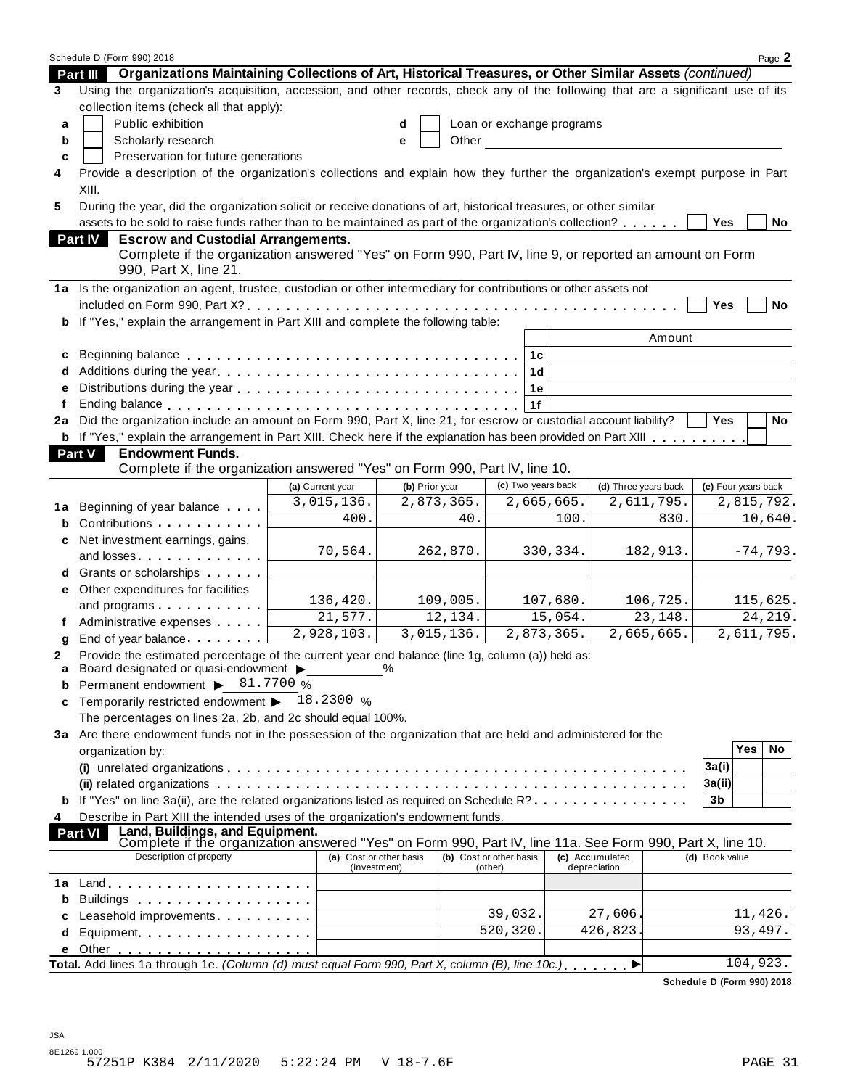|    | Schedule D (Form 990) 2018                                                                                                                                                   |                         |                |            |                           |                      |                        |                     |          | Page 2     |
|----|------------------------------------------------------------------------------------------------------------------------------------------------------------------------------|-------------------------|----------------|------------|---------------------------|----------------------|------------------------|---------------------|----------|------------|
|    | Organizations Maintaining Collections of Art, Historical Treasures, or Other Similar Assets (continued)<br><b>Part III</b>                                                   |                         |                |            |                           |                      |                        |                     |          |            |
| 3  | Using the organization's acquisition, accession, and other records, check any of the following that are a significant use of its<br>collection items (check all that apply): |                         |                |            |                           |                      |                        |                     |          |            |
| a  | Public exhibition                                                                                                                                                            |                         | d              |            | Loan or exchange programs |                      |                        |                     |          |            |
| b  | Scholarly research                                                                                                                                                           |                         | e              | Other      |                           |                      |                        |                     |          |            |
| c  | Preservation for future generations                                                                                                                                          |                         |                |            |                           |                      |                        |                     |          |            |
| 4  | Provide a description of the organization's collections and explain how they further the organization's exempt purpose in Part                                               |                         |                |            |                           |                      |                        |                     |          |            |
|    | XIII.                                                                                                                                                                        |                         |                |            |                           |                      |                        |                     |          |            |
| 5  | During the year, did the organization solicit or receive donations of art, historical treasures, or other similar                                                            |                         |                |            |                           |                      |                        |                     |          |            |
|    | assets to be sold to raise funds rather than to be maintained as part of the organization's collection?                                                                      |                         |                |            |                           |                      |                        | Yes                 |          | No         |
|    | <b>Escrow and Custodial Arrangements.</b><br><b>Part IV</b>                                                                                                                  |                         |                |            |                           |                      |                        |                     |          |            |
|    | Complete if the organization answered "Yes" on Form 990, Part IV, line 9, or reported an amount on Form<br>990, Part X, line 21.                                             |                         |                |            |                           |                      |                        |                     |          |            |
|    | 1a Is the organization an agent, trustee, custodian or other intermediary for contributions or other assets not                                                              |                         |                |            |                           |                      |                        |                     |          |            |
|    |                                                                                                                                                                              |                         |                |            |                           |                      |                        | Yes                 |          | <b>No</b>  |
| b  | If "Yes," explain the arrangement in Part XIII and complete the following table:                                                                                             |                         |                |            |                           |                      |                        |                     |          |            |
|    |                                                                                                                                                                              |                         |                |            |                           |                      | Amount                 |                     |          |            |
| c  |                                                                                                                                                                              |                         |                |            | 1c                        |                      |                        |                     |          |            |
| d  |                                                                                                                                                                              |                         |                |            | 1d                        |                      |                        |                     |          |            |
| e  |                                                                                                                                                                              |                         |                |            | 1e                        |                      |                        |                     |          |            |
| f  |                                                                                                                                                                              |                         |                |            | 1f                        |                      |                        |                     |          |            |
| 2a | Did the organization include an amount on Form 990, Part X, line 21, for escrow or custodial account liability?                                                              |                         |                |            |                           |                      |                        | <b>Yes</b>          |          | <b>No</b>  |
|    | b If "Yes," explain the arrangement in Part XIII. Check here if the explanation has been provided on Part XIII                                                               |                         |                |            |                           |                      |                        |                     |          |            |
|    | <b>Endowment Funds.</b><br>Part V                                                                                                                                            |                         |                |            |                           |                      |                        |                     |          |            |
|    | Complete if the organization answered "Yes" on Form 990, Part IV, line 10.                                                                                                   |                         |                |            |                           |                      |                        |                     |          |            |
|    |                                                                                                                                                                              | (a) Current year        | (b) Prior year |            | (c) Two years back        |                      | (d) Three years back   | (e) Four years back |          |            |
| 1a | Beginning of year balance                                                                                                                                                    | 3,015,136.              |                | 2,873,365. |                           | 2,665,665.           | 2,611,795.             |                     |          | 2,815,792. |
|    | Contributions                                                                                                                                                                | 400.                    |                | 40.        |                           | 100.                 | 830.                   |                     |          | 10,640.    |
| c  | Net investment earnings, gains,                                                                                                                                              |                         |                |            |                           |                      |                        |                     |          |            |
|    | and losses                                                                                                                                                                   | 70,564.                 |                | 262,870.   |                           | 330,334.             | 182,913.               |                     |          | $-74,793.$ |
|    | Grants or scholarships <b>State of State State</b>                                                                                                                           |                         |                |            |                           |                      |                        |                     |          |            |
| е  | Other expenditures for facilities                                                                                                                                            |                         |                |            |                           |                      |                        |                     |          |            |
|    | and programs                                                                                                                                                                 | 136,420.                |                | 109,005.   |                           | 107,680.             | 106,725.               |                     |          | 115,625.   |
| f  | Administrative expenses                                                                                                                                                      | 21,577.                 |                | 12,134.    |                           | $\overline{1}5,054.$ | $\overline{23}$ , 148. |                     |          | 24, 219.   |
| g  | End of year balance                                                                                                                                                          | 2,928,103.              |                | 3,015,136. |                           | 2,873,365.           | 2,665,665.             |                     |          | 2,611,795. |
| 2  | Provide the estimated percentage of the current year end balance (line 1g, column (a)) held as:                                                                              |                         |                |            |                           |                      |                        |                     |          |            |
| a  | Board designated or quasi-endowment >                                                                                                                                        |                         | $\frac{0}{0}$  |            |                           |                      |                        |                     |          |            |
| b  | Permanent endowment ▶ 81.7700 %                                                                                                                                              |                         |                |            |                           |                      |                        |                     |          |            |
| c  | Temporarily restricted endowment $\blacktriangleright$ 18.2300 %                                                                                                             |                         |                |            |                           |                      |                        |                     |          |            |
|    | The percentages on lines 2a, 2b, and 2c should equal 100%.                                                                                                                   |                         |                |            |                           |                      |                        |                     |          |            |
|    | 3a Are there endowment funds not in the possession of the organization that are held and administered for the                                                                |                         |                |            |                           |                      |                        |                     |          |            |
|    | organization by:                                                                                                                                                             |                         |                |            |                           |                      |                        |                     | Yes      | No         |
|    |                                                                                                                                                                              |                         |                |            |                           |                      |                        | 3a(i)               |          |            |
|    | (ii) related organizations enterpresent respectively in the contract of the contract of the contract or contract $\alpha$                                                    |                         |                |            |                           |                      |                        | 3a(ii)              |          |            |
|    | If "Yes" on line 3a(ii), are the related organizations listed as required on Schedule R?                                                                                     |                         |                |            |                           |                      |                        | 3b                  |          |            |
| 4  | Describe in Part XIII the intended uses of the organization's endowment funds.                                                                                               |                         |                |            |                           |                      |                        |                     |          |            |
|    | Land, Buildings, and Equipment.<br><b>Part VI</b><br>Complete if the organization answered "Yes" on Form 990, Part IV, line 11a. See Form 990, Part X, line 10.              |                         |                |            |                           |                      |                        |                     |          |            |
|    | Description of property                                                                                                                                                      | (a) Cost or other basis |                |            | (b) Cost or other basis   |                      | (c) Accumulated        | (d) Book value      |          |            |
|    |                                                                                                                                                                              | (investment)            |                |            | (other)                   |                      | depreciation           |                     |          |            |
| 1a | $Land.$                                                                                                                                                                      |                         |                |            |                           |                      |                        |                     |          |            |
| b  |                                                                                                                                                                              |                         |                |            |                           |                      |                        |                     |          |            |
| c  | Leasehold improvements experiences                                                                                                                                           |                         |                |            | 39,032.                   |                      | 27,606                 |                     | 11,426.  |            |
| d  | Equipment                                                                                                                                                                    |                         |                |            | 520,320.                  |                      | 426,823.               |                     | 93,497.  |            |
| е  |                                                                                                                                                                              |                         |                |            |                           |                      |                        |                     |          |            |
|    | Total. Add lines 1a through 1e. (Column (d) must equal Form 990, Part X, column (B), line 10c.)                                                                              |                         |                |            |                           |                      |                        |                     | 104,923. |            |

**Schedule D (Form 990) 2018**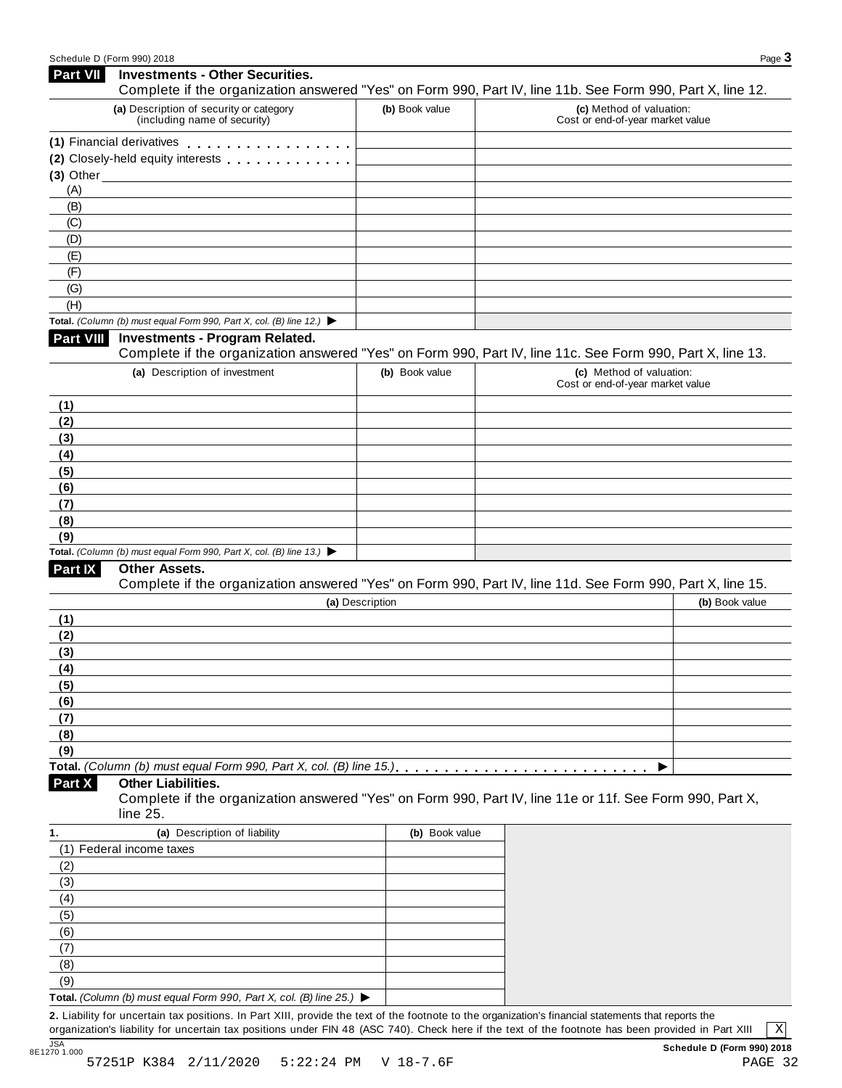| <b>Part VII</b>  | <b>Investments - Other Securities.</b><br>Complete if the organization answered "Yes" on Form 990, Part IV, line 11b. See Form 990, Part X, line 12. |                 |                                                              |                |
|------------------|------------------------------------------------------------------------------------------------------------------------------------------------------|-----------------|--------------------------------------------------------------|----------------|
|                  | (a) Description of security or category<br>(including name of security)                                                                              | (b) Book value  | (c) Method of valuation:<br>Cost or end-of-year market value |                |
|                  | (1) Financial derivatives                                                                                                                            |                 |                                                              |                |
|                  | (2) Closely-held equity interests                                                                                                                    |                 |                                                              |                |
|                  | $(3)$ Other $\overline{\phantom{a}}$                                                                                                                 |                 |                                                              |                |
| (A)              |                                                                                                                                                      |                 |                                                              |                |
| (B)              |                                                                                                                                                      |                 |                                                              |                |
| (C)              |                                                                                                                                                      |                 |                                                              |                |
| (D)              |                                                                                                                                                      |                 |                                                              |                |
| (E)              |                                                                                                                                                      |                 |                                                              |                |
| (F)              |                                                                                                                                                      |                 |                                                              |                |
| (G)              |                                                                                                                                                      |                 |                                                              |                |
| (H)              |                                                                                                                                                      |                 |                                                              |                |
|                  | Total. (Column (b) must equal Form 990, Part X, col. (B) line 12.) $\blacktriangleright$                                                             |                 |                                                              |                |
| <b>Part VIII</b> | <b>Investments - Program Related.</b><br>Complete if the organization answered "Yes" on Form 990, Part IV, line 11c. See Form 990, Part X, line 13.  |                 |                                                              |                |
|                  | (a) Description of investment                                                                                                                        | (b) Book value  | (c) Method of valuation:<br>Cost or end-of-year market value |                |
| (1)              |                                                                                                                                                      |                 |                                                              |                |
| (2)              |                                                                                                                                                      |                 |                                                              |                |
| (3)              |                                                                                                                                                      |                 |                                                              |                |
| (4)              |                                                                                                                                                      |                 |                                                              |                |
| (5)              |                                                                                                                                                      |                 |                                                              |                |
| (6)              |                                                                                                                                                      |                 |                                                              |                |
| (7)              |                                                                                                                                                      |                 |                                                              |                |
| (8)<br>(9)       |                                                                                                                                                      |                 |                                                              |                |
|                  | Total. (Column (b) must equal Form 990, Part X, col. (B) line 13.) $\blacktriangleright$                                                             |                 |                                                              |                |
| Part IX          | Other Assets.                                                                                                                                        |                 |                                                              |                |
|                  | Complete if the organization answered "Yes" on Form 990, Part IV, line 11d. See Form 990, Part X, line 15.                                           |                 |                                                              |                |
|                  |                                                                                                                                                      | (a) Description |                                                              | (b) Book value |
| (1)              |                                                                                                                                                      |                 |                                                              |                |
| (2)              |                                                                                                                                                      |                 |                                                              |                |
| (3)              |                                                                                                                                                      |                 |                                                              |                |
| (4)              |                                                                                                                                                      |                 |                                                              |                |
| (5)              |                                                                                                                                                      |                 |                                                              |                |
| (6)              |                                                                                                                                                      |                 |                                                              |                |
| (7)              |                                                                                                                                                      |                 |                                                              |                |
| (8)              |                                                                                                                                                      |                 |                                                              |                |
| (9)              |                                                                                                                                                      |                 |                                                              |                |
|                  |                                                                                                                                                      |                 |                                                              |                |
| Part X           | <b>Other Liabilities.</b><br>Complete if the organization answered "Yes" on Form 990, Part IV, line 11e or 11f. See Form 990, Part X,<br>line 25.    |                 |                                                              |                |
| 1.               | (a) Description of liability                                                                                                                         | (b) Book value  |                                                              |                |
|                  | (1) Federal income taxes                                                                                                                             |                 |                                                              |                |
| (2)              |                                                                                                                                                      |                 |                                                              |                |
| (3)              |                                                                                                                                                      |                 |                                                              |                |
| (4)              |                                                                                                                                                      |                 |                                                              |                |
| (5)              |                                                                                                                                                      |                 |                                                              |                |
| (6)              |                                                                                                                                                      |                 |                                                              |                |
| (7)              |                                                                                                                                                      |                 |                                                              |                |
| (8)              |                                                                                                                                                      |                 |                                                              |                |
| (9)              |                                                                                                                                                      |                 |                                                              |                |
|                  | Total. (Column (b) must equal Form 990, Part X, col. (B) line 25.) $\blacktriangleright$                                                             |                 |                                                              |                |
|                  | 2. Liability for uncertain tax positions. In Part XIII, provide the text of the footnote to the organization's financial statements that reports the |                 |                                                              |                |

organization's liability for uncertain tax positions under FIN 48 (ASC 740). Check here ifthe text of the footnote has been provided in Part XIII

X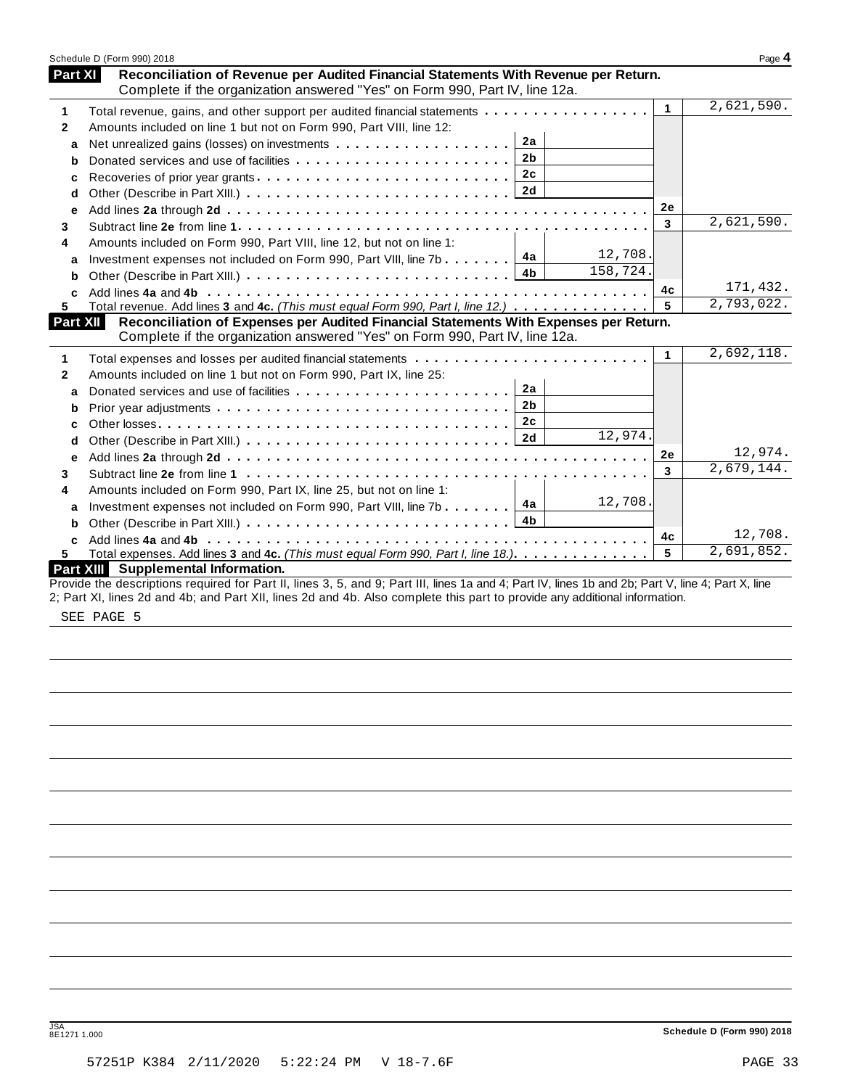|              | Schedule D (Form 990) 2018                                                                                                                                         |                      | Page 4     |
|--------------|--------------------------------------------------------------------------------------------------------------------------------------------------------------------|----------------------|------------|
| Part XI      | Reconciliation of Revenue per Audited Financial Statements With Revenue per Return.<br>Complete if the organization answered "Yes" on Form 990, Part IV, line 12a. |                      |            |
| 1            | Total revenue, gains, and other support per audited financial statements                                                                                           | $\blacktriangleleft$ | 2,621,590. |
| $\mathbf{2}$ | Amounts included on line 1 but not on Form 990, Part VIII, line 12:                                                                                                |                      |            |
| a            | 2a                                                                                                                                                                 |                      |            |
| b            | 2 <sub>b</sub><br>Donated services and use of facilities                                                                                                           |                      |            |
| c            | 2c                                                                                                                                                                 |                      |            |
| d            |                                                                                                                                                                    |                      |            |
| e            |                                                                                                                                                                    | 2e                   |            |
| 3            |                                                                                                                                                                    | 3                    | 2,621,590. |
| 4            | Amounts included on Form 990, Part VIII, line 12, but not on line 1:                                                                                               |                      |            |
| a            | 12,708.<br>4а<br>Investment expenses not included on Form 990, Part VIII, line 7b                                                                                  |                      |            |
| b            | 158,724.<br>4 <sub>b</sub>                                                                                                                                         |                      |            |
| C            |                                                                                                                                                                    | 4c                   | 171,432.   |
| 5.           | Total revenue. Add lines 3 and 4c. (This must equal Form 990, Part I, line 12.)                                                                                    | 5                    | 2,793,022. |
| Part XII     | Reconciliation of Expenses per Audited Financial Statements With Expenses per Return.                                                                              |                      |            |
|              | Complete if the organization answered "Yes" on Form 990, Part IV, line 12a.                                                                                        |                      |            |
| 1            |                                                                                                                                                                    | $\mathbf{1}$         | 2,692,118. |
| $\mathbf{2}$ | Amounts included on line 1 but not on Form 990, Part IX, line 25:                                                                                                  |                      |            |
| a            | 2a                                                                                                                                                                 |                      |            |
| b            | 2 <sub>b</sub>                                                                                                                                                     |                      |            |
| c            | 2c                                                                                                                                                                 |                      |            |
| d            | 12,974.<br>2d                                                                                                                                                      |                      |            |
| е            |                                                                                                                                                                    | 2e                   | 12,974.    |
| 3            |                                                                                                                                                                    | 3                    | 2,679,144. |
| 4            | Amounts included on Form 990, Part IX, line 25, but not on line 1:                                                                                                 |                      |            |
| a            | 12,708.<br>4a<br>Investment expenses not included on Form 990, Part VIII, line 7b                                                                                  |                      |            |
| b            |                                                                                                                                                                    |                      |            |
| C            |                                                                                                                                                                    | 4с                   | 12,708.    |
| 5.           | Total expenses. Add lines 3 and 4c. (This must equal Form 990, Part I, line 18.)                                                                                   | 5                    | 2,691,852. |
|              | Part XIII Supplemental Information.                                                                                                                                |                      |            |
|              | Provide the descriptions required for Part II, lines 3, 5, and 9; Part III, lines 1a and 4; Part IV, lines 1b and 2b; Part V, line 4; Part X, line                 |                      |            |

2; Part XI, lines 2d and 4b; and Part XII, lines 2d and 4b. Also complete this part to provide any additional information.

SEE PAGE 5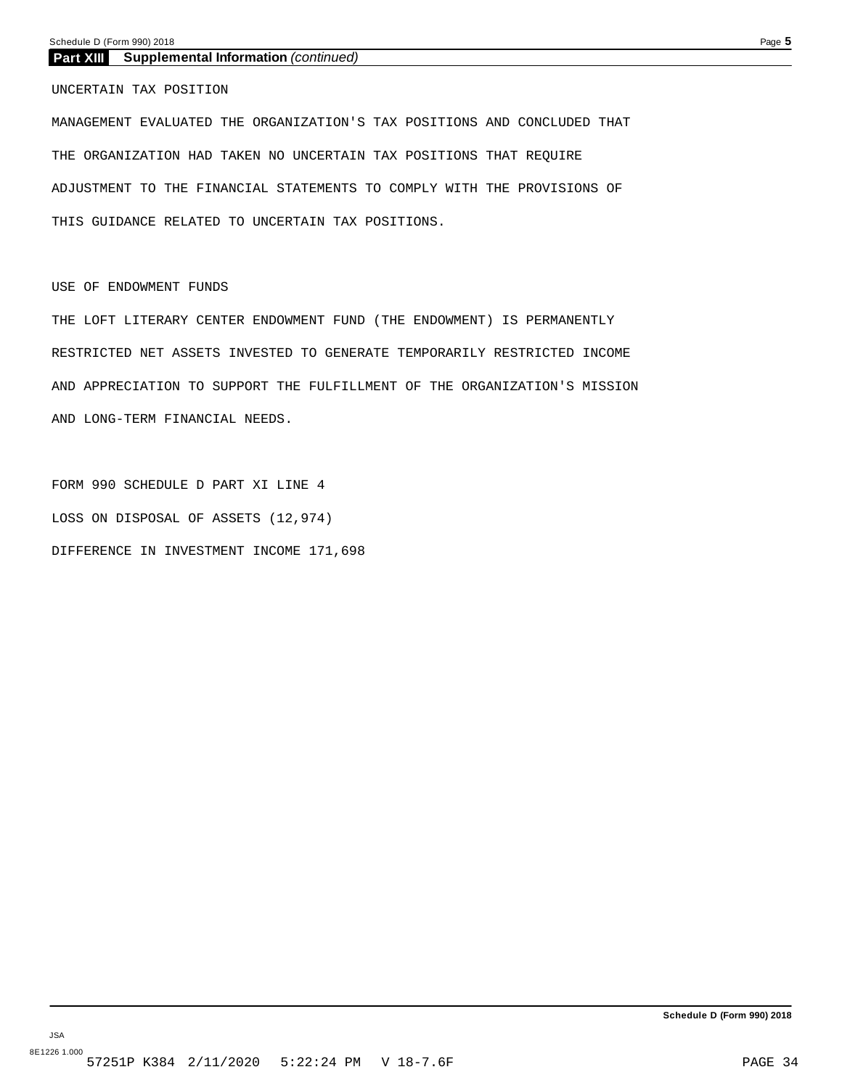## **Part XIII Supplemental Information** *(continued)*

UNCERTAIN TAX POSITION

MANAGEMENT EVALUATED THE ORGANIZATION'S TAX POSITIONS AND CONCLUDED THAT THE ORGANIZATION HAD TAKEN NO UNCERTAIN TAX POSITIONS THAT REQUIRE ADJUSTMENT TO THE FINANCIAL STATEMENTS TO COMPLY WITH THE PROVISIONS OF THIS GUIDANCE RELATED TO UNCERTAIN TAX POSITIONS.

USE OF ENDOWMENT FUNDS

THE LOFT LITERARY CENTER ENDOWMENT FUND (THE ENDOWMENT) IS PERMANENTLY RESTRICTED NET ASSETS INVESTED TO GENERATE TEMPORARILY RESTRICTED INCOME AND APPRECIATION TO SUPPORT THE FULFILLMENT OF THE ORGANIZATION'S MISSION AND LONG-TERM FINANCIAL NEEDS.

FORM 990 SCHEDULE D PART XI LINE 4 LOSS ON DISPOSAL OF ASSETS (12,974) DIFFERENCE IN INVESTMENT INCOME 171,698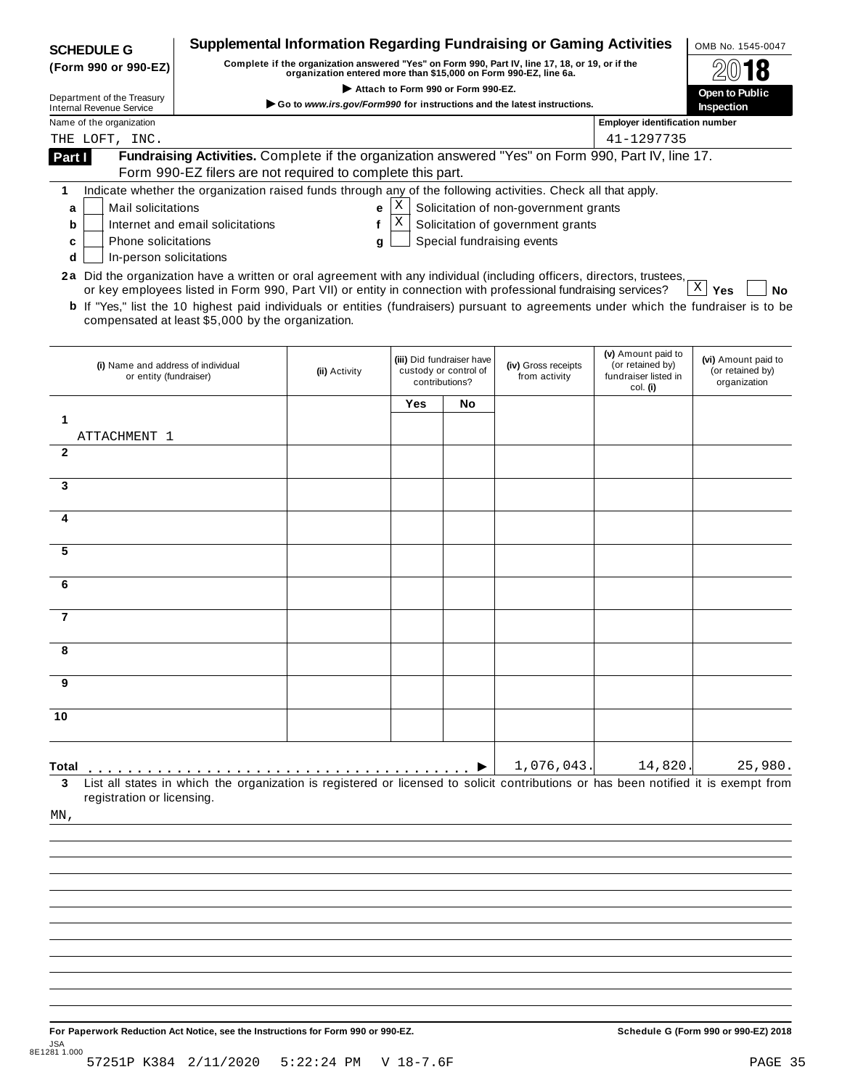| <b>SCHEDULE G</b>                                                                                                      |                                                                                                                                                                                                                                                                                                                     | <b>Supplemental Information Regarding Fundraising or Gaming Activities</b> |                   |                |                                                                            |                                                     | OMB No. 1545-0047                    |  |  |
|------------------------------------------------------------------------------------------------------------------------|---------------------------------------------------------------------------------------------------------------------------------------------------------------------------------------------------------------------------------------------------------------------------------------------------------------------|----------------------------------------------------------------------------|-------------------|----------------|----------------------------------------------------------------------------|-----------------------------------------------------|--------------------------------------|--|--|
| (Form 990 or 990-EZ)                                                                                                   | Complete if the organization answered "Yes" on Form 990, Part IV, line 17, 18, or 19, or if the<br>organization entered more than \$15,000 on Form 990-EZ, line 6a.                                                                                                                                                 |                                                                            |                   |                |                                                                            |                                                     |                                      |  |  |
| Department of the Treasury                                                                                             | Attach to Form 990 or Form 990-EZ.                                                                                                                                                                                                                                                                                  |                                                                            |                   |                |                                                                            |                                                     |                                      |  |  |
| <b>Internal Revenue Service</b><br>Name of the organization                                                            | Go to www.irs.gov/Form990 for instructions and the latest instructions.                                                                                                                                                                                                                                             |                                                                            |                   |                |                                                                            |                                                     |                                      |  |  |
| THE LOFT, INC.                                                                                                         |                                                                                                                                                                                                                                                                                                                     |                                                                            |                   |                |                                                                            | <b>Employer identification number</b><br>41-1297735 |                                      |  |  |
| Part I                                                                                                                 | Fundraising Activities. Complete if the organization answered "Yes" on Form 990, Part IV, line 17.<br>Form 990-EZ filers are not required to complete this part.                                                                                                                                                    |                                                                            |                   |                |                                                                            |                                                     |                                      |  |  |
| 1                                                                                                                      | Indicate whether the organization raised funds through any of the following activities. Check all that apply.                                                                                                                                                                                                       |                                                                            |                   |                |                                                                            |                                                     |                                      |  |  |
| Mail solicitations<br>a                                                                                                |                                                                                                                                                                                                                                                                                                                     | e                                                                          | X <br>$\mathbf X$ |                | Solicitation of non-government grants<br>Solicitation of government grants |                                                     |                                      |  |  |
| b<br>Phone solicitations<br>c                                                                                          | Internet and email solicitations                                                                                                                                                                                                                                                                                    | f<br>q                                                                     |                   |                | Special fundraising events                                                 |                                                     |                                      |  |  |
| In-person solicitations<br>d                                                                                           |                                                                                                                                                                                                                                                                                                                     |                                                                            |                   |                |                                                                            |                                                     |                                      |  |  |
| 2a Did the organization have a written or oral agreement with any individual (including officers, directors, trustees, | or key employees listed in Form 990, Part VII) or entity in connection with professional fundraising services?<br><b>b</b> If "Yes," list the 10 highest paid individuals or entities (fundraisers) pursuant to agreements under which the fundraiser is to be<br>compensated at least \$5,000 by the organization. |                                                                            |                   |                |                                                                            |                                                     | $X \mid Y$ es<br>No                  |  |  |
| or entity (fundraiser)                                                                                                 | (iii) Did fundraiser have<br>(i) Name and address of individual<br>(iv) Gross receipts<br>custody or control of<br>(ii) Activity                                                                                                                                                                                    |                                                                            |                   | from activity  | (v) Amount paid to<br>(or retained by)<br>fundraiser listed in             | (vi) Amount paid to<br>(or retained by)             |                                      |  |  |
|                                                                                                                        |                                                                                                                                                                                                                                                                                                                     |                                                                            |                   | contributions? |                                                                            | col. (i)                                            | organization                         |  |  |
| 1                                                                                                                      |                                                                                                                                                                                                                                                                                                                     |                                                                            | Yes               | <b>No</b>      |                                                                            |                                                     |                                      |  |  |
| ATTACHMENT 1                                                                                                           |                                                                                                                                                                                                                                                                                                                     |                                                                            |                   |                |                                                                            |                                                     |                                      |  |  |
| $\mathbf{2}$                                                                                                           |                                                                                                                                                                                                                                                                                                                     |                                                                            |                   |                |                                                                            |                                                     |                                      |  |  |
| 3                                                                                                                      |                                                                                                                                                                                                                                                                                                                     |                                                                            |                   |                |                                                                            |                                                     |                                      |  |  |
| 4                                                                                                                      |                                                                                                                                                                                                                                                                                                                     |                                                                            |                   |                |                                                                            |                                                     |                                      |  |  |
| 5                                                                                                                      |                                                                                                                                                                                                                                                                                                                     |                                                                            |                   |                |                                                                            |                                                     |                                      |  |  |
| 6                                                                                                                      |                                                                                                                                                                                                                                                                                                                     |                                                                            |                   |                |                                                                            |                                                     |                                      |  |  |
| 7                                                                                                                      |                                                                                                                                                                                                                                                                                                                     |                                                                            |                   |                |                                                                            |                                                     |                                      |  |  |
| 8                                                                                                                      |                                                                                                                                                                                                                                                                                                                     |                                                                            |                   |                |                                                                            |                                                     |                                      |  |  |
| 9                                                                                                                      |                                                                                                                                                                                                                                                                                                                     |                                                                            |                   |                |                                                                            |                                                     |                                      |  |  |
| 10                                                                                                                     |                                                                                                                                                                                                                                                                                                                     |                                                                            |                   |                |                                                                            |                                                     |                                      |  |  |
| Total                                                                                                                  |                                                                                                                                                                                                                                                                                                                     |                                                                            |                   |                | 1,076,043.                                                                 | 14,820.                                             | 25,980.                              |  |  |
| 3<br>registration or licensing.<br>MN,                                                                                 | List all states in which the organization is registered or licensed to solicit contributions or has been notified it is exempt from                                                                                                                                                                                 |                                                                            |                   |                |                                                                            |                                                     |                                      |  |  |
|                                                                                                                        |                                                                                                                                                                                                                                                                                                                     |                                                                            |                   |                |                                                                            |                                                     |                                      |  |  |
|                                                                                                                        |                                                                                                                                                                                                                                                                                                                     |                                                                            |                   |                |                                                                            |                                                     |                                      |  |  |
|                                                                                                                        |                                                                                                                                                                                                                                                                                                                     |                                                                            |                   |                |                                                                            |                                                     |                                      |  |  |
|                                                                                                                        |                                                                                                                                                                                                                                                                                                                     |                                                                            |                   |                |                                                                            |                                                     |                                      |  |  |
|                                                                                                                        |                                                                                                                                                                                                                                                                                                                     |                                                                            |                   |                |                                                                            |                                                     |                                      |  |  |
|                                                                                                                        |                                                                                                                                                                                                                                                                                                                     |                                                                            |                   |                |                                                                            |                                                     |                                      |  |  |
|                                                                                                                        |                                                                                                                                                                                                                                                                                                                     |                                                                            |                   |                |                                                                            |                                                     |                                      |  |  |
|                                                                                                                        |                                                                                                                                                                                                                                                                                                                     |                                                                            |                   |                |                                                                            |                                                     |                                      |  |  |
|                                                                                                                        |                                                                                                                                                                                                                                                                                                                     |                                                                            |                   |                |                                                                            |                                                     |                                      |  |  |
| For Paperwork Reduction Act Notice, see the Instructions for Form 990 or 990-EZ.                                       |                                                                                                                                                                                                                                                                                                                     |                                                                            |                   |                |                                                                            |                                                     | Schedule G (Form 990 or 990-EZ) 2018 |  |  |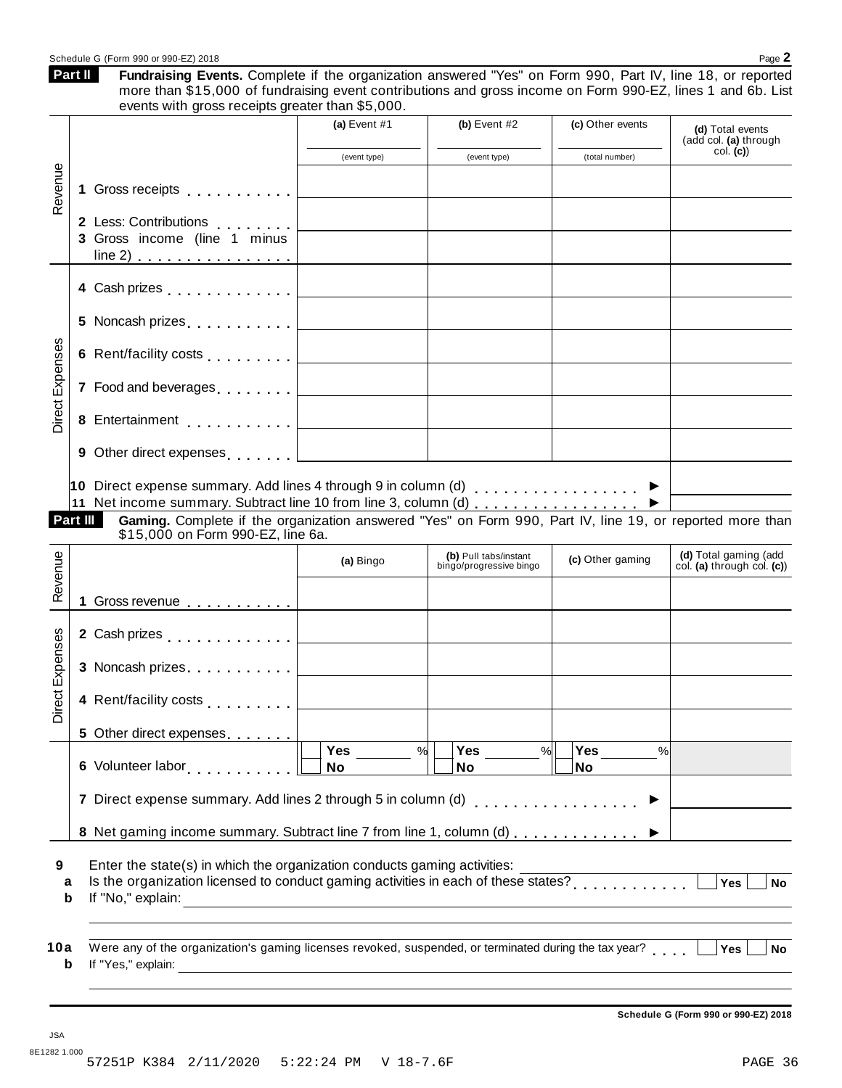|                       |    | more than \$15,000 of fundraising event contributions and gross income on Form 990-EZ, lines 1 and 6b. List<br>events with gross receipts greater than \$5,000.                                                                 |                                         |                                                  |                                   |                                                     |
|-----------------------|----|---------------------------------------------------------------------------------------------------------------------------------------------------------------------------------------------------------------------------------|-----------------------------------------|--------------------------------------------------|-----------------------------------|-----------------------------------------------------|
|                       |    |                                                                                                                                                                                                                                 | (a) Event $#1$                          | (b) Event $#2$                                   | (c) Other events                  | (d) Total events<br>(add col. (a) through           |
|                       |    |                                                                                                                                                                                                                                 | (event type)                            | (event type)                                     | (total number)                    | col. (c)                                            |
| Revenue               | 1. | Gross receipts <b>contained contained contained contained contained contained contained </b>                                                                                                                                    | <u> 1980 - Johann Barbara, martxa a</u> |                                                  |                                   |                                                     |
|                       |    | 2 Less: Contributions <b>2 Less: Contributions</b><br>3 Gross income (line 1 minus                                                                                                                                              |                                         |                                                  |                                   |                                                     |
|                       |    |                                                                                                                                                                                                                                 |                                         |                                                  |                                   |                                                     |
|                       |    |                                                                                                                                                                                                                                 |                                         |                                                  |                                   |                                                     |
|                       |    |                                                                                                                                                                                                                                 |                                         |                                                  |                                   |                                                     |
| Direct Expenses       |    | 7 Food and beverages equal to the set of the set of the set of the set of the set of the set of the set of the                                                                                                                  |                                         |                                                  |                                   |                                                     |
|                       |    |                                                                                                                                                                                                                                 |                                         |                                                  |                                   |                                                     |
|                       |    | 9 Other direct expenses [1,1,1,1,1]                                                                                                                                                                                             |                                         |                                                  |                                   |                                                     |
| Revenue               |    |                                                                                                                                                                                                                                 | (a) Bingo                               | (b) Pull tabs/instant<br>bingo/progressive bingo | (c) Other gaming                  | (d) Total gaming (add<br>col. (a) through col. (c)) |
|                       |    | 1 Gross revenue 1                                                                                                                                                                                                               |                                         |                                                  |                                   |                                                     |
|                       |    |                                                                                                                                                                                                                                 |                                         |                                                  |                                   |                                                     |
| Expenses              |    | 3 Noncash prizes                                                                                                                                                                                                                |                                         |                                                  |                                   |                                                     |
| ಕ<br>eic<br>Dire      |    | 4 Rent/facility costs                                                                                                                                                                                                           |                                         |                                                  |                                   |                                                     |
|                       |    | 5 Other direct expenses                                                                                                                                                                                                         |                                         |                                                  |                                   |                                                     |
|                       |    | 6 Volunteer labor<br>international products and the set of the set of the set of the set of the set of the set of the set of the set of the set of the set of the set of the set of the set of the set of the set of the set of | Yes<br>No                               | $\frac{9}{6}$<br>Yes<br>$\frac{9}{6}$<br>No      | Yes<br>$\frac{0}{6}$<br><b>No</b> |                                                     |
|                       |    | 7 Direct expense summary. Add lines 2 through 5 in column (d)                                                                                                                                                                   |                                         |                                                  |                                   |                                                     |
|                       |    | 8 Net gaming income summary. Subtract line 7 from line 1, column (d) ▶                                                                                                                                                          |                                         |                                                  |                                   |                                                     |
| 9<br>a<br>$\mathbf b$ |    | Enter the state(s) in which the organization conducts gaming activities:<br>If "No," explain:                                                                                                                                   |                                         |                                                  |                                   | Yes<br><b>No</b>                                    |
| 10a                   |    | Were any of the organization's gaming licenses revoked, suspended, or terminated during the tax year?                                                                                                                           |                                         |                                                  |                                   | Yes<br><b>No</b>                                    |

Schedule G (Form 990 or 990-EZ) 2018 Page 2

**Part II**

Fundraising Events. Complete if the organization answered "Yes" on Form 990, Part IV, line 18, or reported

**Schedule G (Form 990 or 990-EZ) 2018**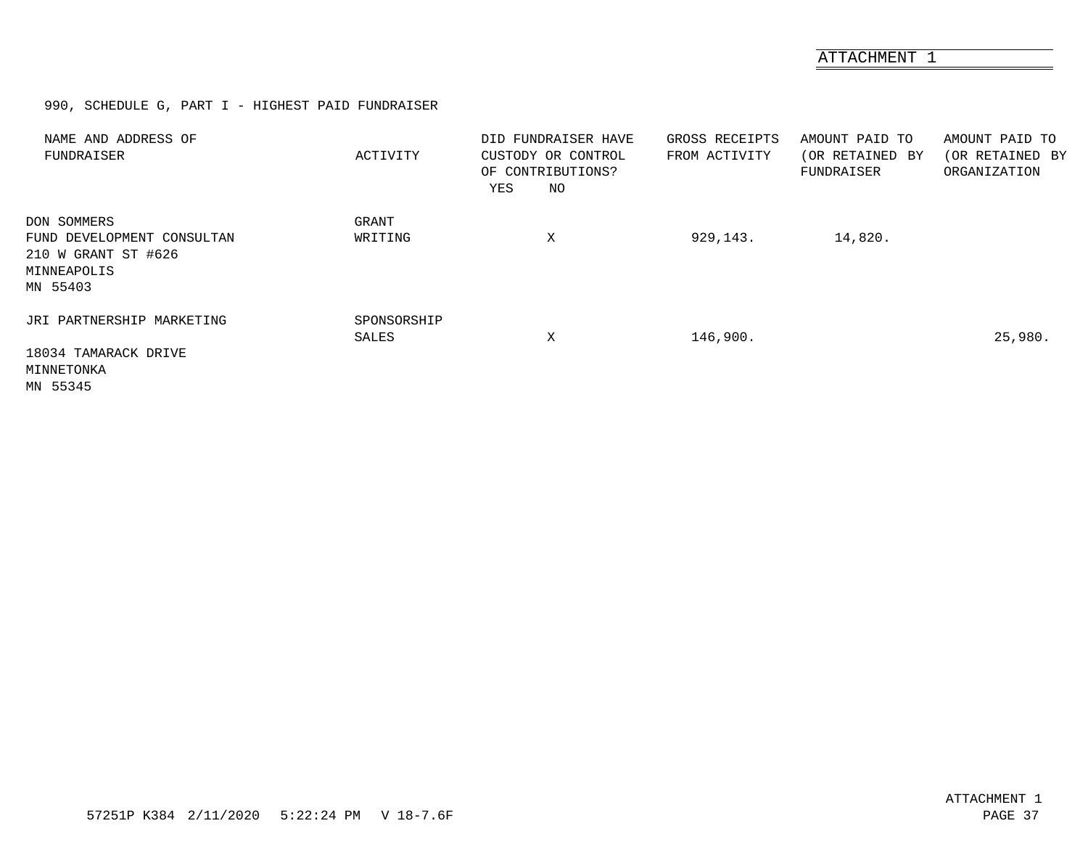ATTACHMENT 1

990, SCHEDULE G, PART I - HIGHEST PAID FUNDRAISER

<span id="page-35-0"></span>

| NAME AND ADDRESS OF<br>FUNDRAISER                                                           | ACTIVITY             | DID FUNDRAISER HAVE<br>CUSTODY OR CONTROL<br>OF CONTRIBUTIONS?<br>ΝO<br>YES | GROSS RECEIPTS<br>FROM ACTIVITY | AMOUNT PAID TO<br>(OR RETAINED BY<br>FUNDRAISER | AMOUNT PAID TO<br>(OR RETAINED BY<br>ORGANIZATION |
|---------------------------------------------------------------------------------------------|----------------------|-----------------------------------------------------------------------------|---------------------------------|-------------------------------------------------|---------------------------------------------------|
| DON SOMMERS<br>FUND DEVELOPMENT CONSULTAN<br>210 W GRANT ST #626<br>MINNEAPOLIS<br>MN 55403 | GRANT<br>WRITING     | Χ                                                                           | 929,143.                        | 14,820.                                         |                                                   |
| JRI PARTNERSHIP MARKETING<br>18034 TAMARACK DRIVE<br>MINNETONKA<br>MN 55345                 | SPONSORSHIP<br>SALES | Χ                                                                           | 146,900.                        |                                                 | 25,980.                                           |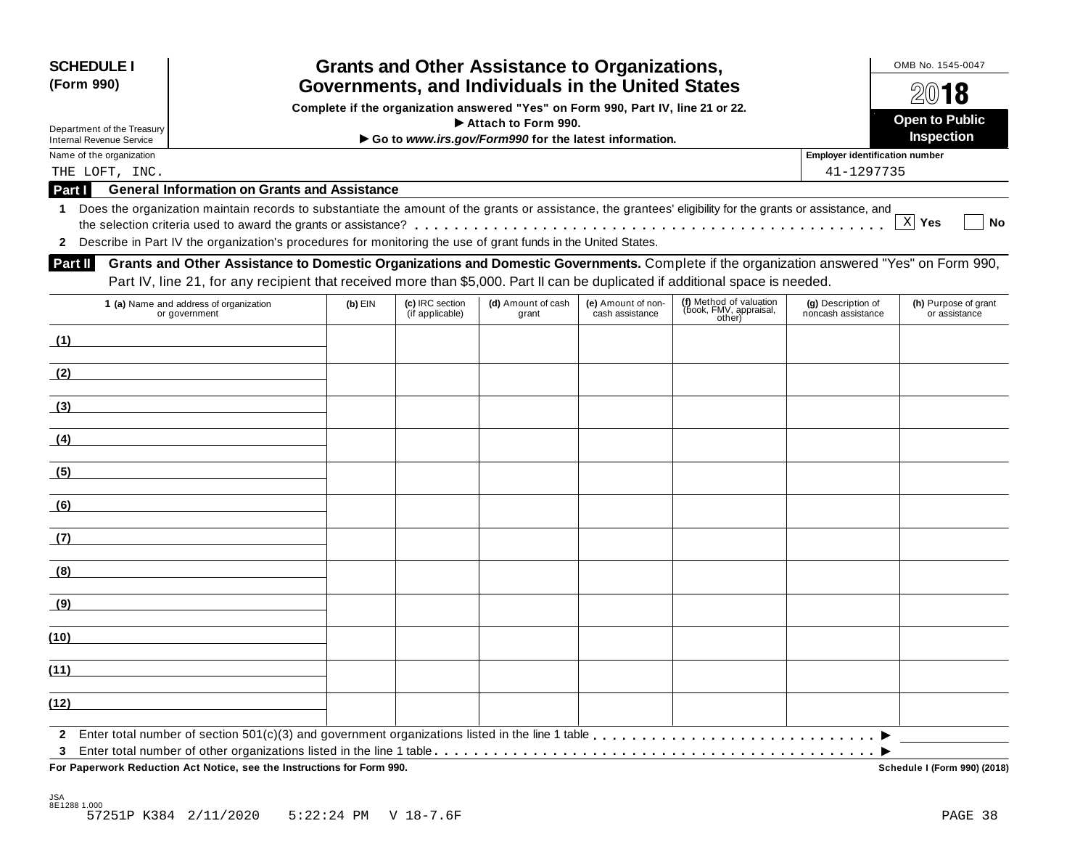| <b>SCHEDULE I</b><br>(Form 990)            |                                                                                                                                                            | OMB No. 1545-0047<br>2018 |                                    |                             |                                       |                                                             |                                                     |                                       |  |  |  |  |
|--------------------------------------------|------------------------------------------------------------------------------------------------------------------------------------------------------------|---------------------------|------------------------------------|-----------------------------|---------------------------------------|-------------------------------------------------------------|-----------------------------------------------------|---------------------------------------|--|--|--|--|
|                                            | Complete if the organization answered "Yes" on Form 990, Part IV, line 21 or 22.                                                                           |                           |                                    |                             |                                       |                                                             |                                                     |                                       |  |  |  |  |
| Department of the Treasury                 | Attach to Form 990.                                                                                                                                        |                           |                                    |                             |                                       |                                                             |                                                     |                                       |  |  |  |  |
| <b>Internal Revenue Service</b>            | Go to www.irs.gov/Form990 for the latest information.                                                                                                      |                           |                                    |                             |                                       |                                                             |                                                     |                                       |  |  |  |  |
| Name of the organization<br>THE LOFT, INC. |                                                                                                                                                            |                           |                                    |                             |                                       |                                                             | <b>Employer identification number</b><br>41-1297735 |                                       |  |  |  |  |
| Part I                                     | <b>General Information on Grants and Assistance</b>                                                                                                        |                           |                                    |                             |                                       |                                                             |                                                     |                                       |  |  |  |  |
| 1.                                         | Does the organization maintain records to substantiate the amount of the grants or assistance, the grantees' eligibility for the grants or assistance, and |                           |                                    |                             |                                       |                                                             |                                                     |                                       |  |  |  |  |
|                                            |                                                                                                                                                            |                           |                                    |                             |                                       |                                                             |                                                     | $X$ Yes<br><b>No</b>                  |  |  |  |  |
|                                            | 2 Describe in Part IV the organization's procedures for monitoring the use of grant funds in the United States.                                            |                           |                                    |                             |                                       |                                                             |                                                     |                                       |  |  |  |  |
| Part II                                    | Grants and Other Assistance to Domestic Organizations and Domestic Governments. Complete if the organization answered "Yes" on Form 990,                   |                           |                                    |                             |                                       |                                                             |                                                     |                                       |  |  |  |  |
|                                            | Part IV, line 21, for any recipient that received more than \$5,000. Part II can be duplicated if additional space is needed.                              |                           |                                    |                             |                                       |                                                             |                                                     |                                       |  |  |  |  |
|                                            | 1 (a) Name and address of organization<br>or government                                                                                                    | $(b)$ EIN                 | (c) IRC section<br>(if applicable) | (d) Amount of cash<br>grant | (e) Amount of non-<br>cash assistance | (f) Method of valuation<br>(book, FMV, appraisal,<br>other) | (g) Description of<br>noncash assistance            | (h) Purpose of grant<br>or assistance |  |  |  |  |
| (1)                                        |                                                                                                                                                            |                           |                                    |                             |                                       |                                                             |                                                     |                                       |  |  |  |  |
| (2)                                        |                                                                                                                                                            |                           |                                    |                             |                                       |                                                             |                                                     |                                       |  |  |  |  |
| (3)                                        |                                                                                                                                                            |                           |                                    |                             |                                       |                                                             |                                                     |                                       |  |  |  |  |
| (4)                                        |                                                                                                                                                            |                           |                                    |                             |                                       |                                                             |                                                     |                                       |  |  |  |  |
| (5)                                        |                                                                                                                                                            |                           |                                    |                             |                                       |                                                             |                                                     |                                       |  |  |  |  |
| (6)                                        |                                                                                                                                                            |                           |                                    |                             |                                       |                                                             |                                                     |                                       |  |  |  |  |
| (7)                                        |                                                                                                                                                            |                           |                                    |                             |                                       |                                                             |                                                     |                                       |  |  |  |  |
| (8)                                        |                                                                                                                                                            |                           |                                    |                             |                                       |                                                             |                                                     |                                       |  |  |  |  |
| (9)                                        |                                                                                                                                                            |                           |                                    |                             |                                       |                                                             |                                                     |                                       |  |  |  |  |
| (10)                                       |                                                                                                                                                            |                           |                                    |                             |                                       |                                                             |                                                     |                                       |  |  |  |  |
| (11)                                       |                                                                                                                                                            |                           |                                    |                             |                                       |                                                             |                                                     |                                       |  |  |  |  |
| (12)                                       |                                                                                                                                                            |                           |                                    |                             |                                       |                                                             |                                                     |                                       |  |  |  |  |
|                                            |                                                                                                                                                            |                           |                                    |                             |                                       |                                                             |                                                     |                                       |  |  |  |  |

 $\overline{P}$  **For Paperwork Reduction Act Notice, see the Instructions for Form 990.** 

Schedule I (Form 990) (2018)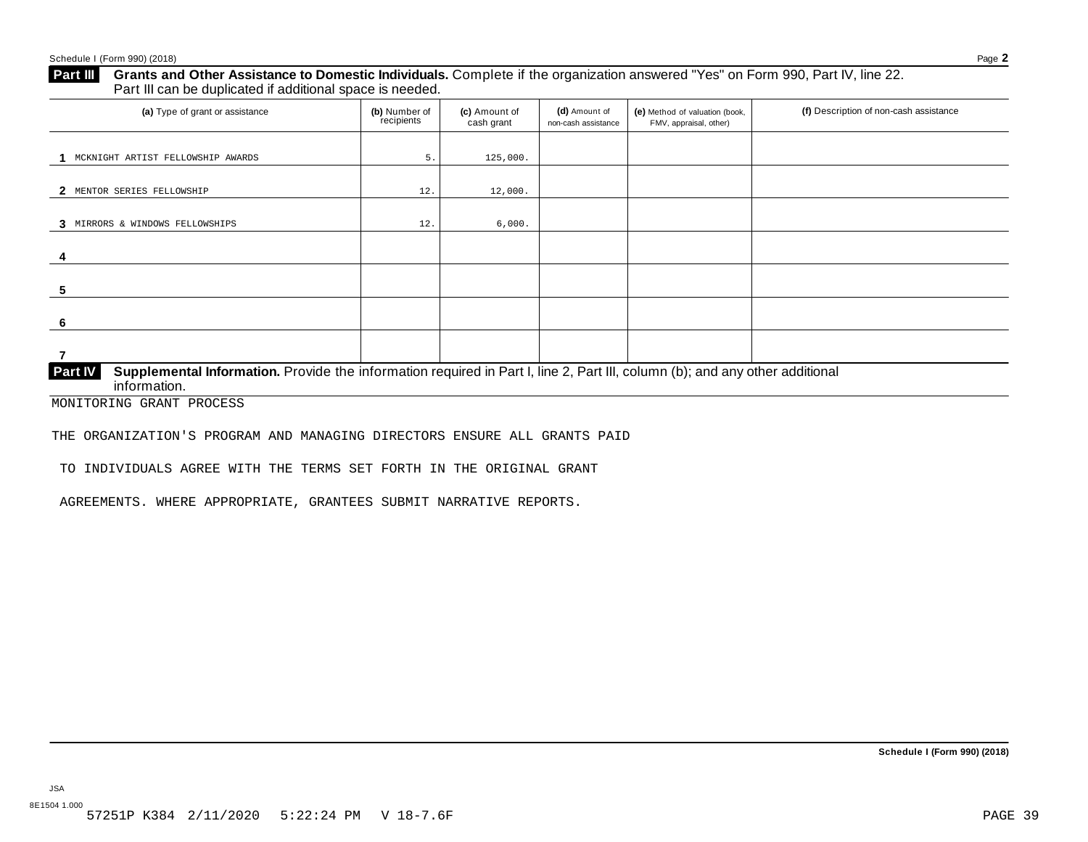## **Part III** Grants and Other Assistance to Domestic Individuals. Complete if the organization answered "Yes" on Form 990, Part IV, line 22.<br>Part III can be duplicated if additional space is needed.

| (a) Type of grant or assistance                                                                                                                                | (b) Number of<br>recipients | (c) Amount of<br>cash grant | (d) Amount of<br>non-cash assistance | (e) Method of valuation (book,<br>FMV, appraisal, other) | (f) Description of non-cash assistance |
|----------------------------------------------------------------------------------------------------------------------------------------------------------------|-----------------------------|-----------------------------|--------------------------------------|----------------------------------------------------------|----------------------------------------|
| MCKNIGHT ARTIST FELLOWSHIP AWARDS                                                                                                                              | 5.                          | 125,000.                    |                                      |                                                          |                                        |
| MENTOR SERIES FELLOWSHIP<br>2                                                                                                                                  | 12.                         | 12,000.                     |                                      |                                                          |                                        |
| 3 MIRRORS & WINDOWS FELLOWSHIPS                                                                                                                                | 12.                         | 6,000.                      |                                      |                                                          |                                        |
| 4                                                                                                                                                              |                             |                             |                                      |                                                          |                                        |
| 5                                                                                                                                                              |                             |                             |                                      |                                                          |                                        |
| 6                                                                                                                                                              |                             |                             |                                      |                                                          |                                        |
|                                                                                                                                                                |                             |                             |                                      |                                                          |                                        |
| Supplemental Information. Provide the information required in Part I, line 2, Part III, column (b); and any other additional<br><b>Part IV</b><br>information. |                             |                             |                                      |                                                          |                                        |

MONITORING GRANT PROCESS

THE ORGANIZATION'S PROGRAM AND MANAGING DIRECTORS ENSURE ALL GRANTS PAID

TO INDIVIDUALS AGREE WITH THE TERMS SET FORTH IN THE ORIGINAL GRANT

AGREEMENTS. WHERE APPROPRIATE, GRANTEES SUBMIT NARRATIVE REPORTS.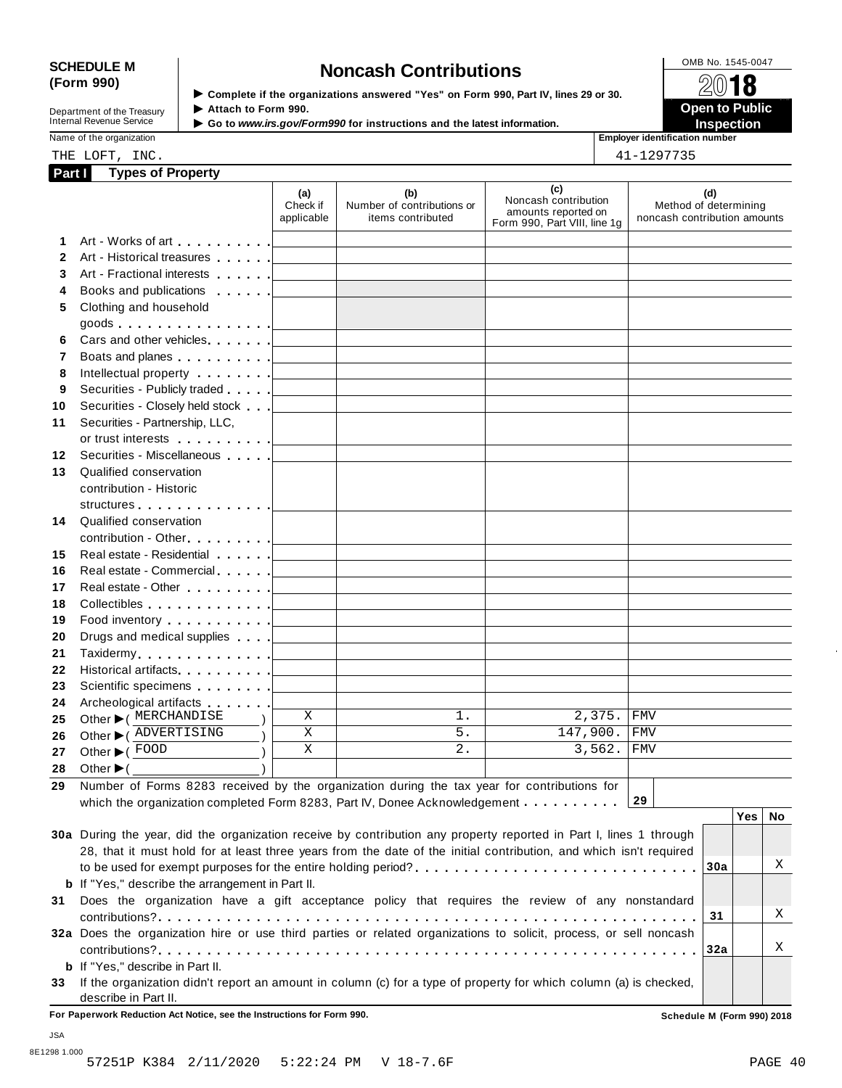# SCHEDULE M<br>
(Form 990) **Some Lightness of the organizations answered "Yes" on Form 990 Part IV lines 29 or 30<br>
<b>Some Lightness Contributions**

**Department of the Treasury<br>Internal Revenue Service** 

**Examplete** if the organizations answered "Yes" on Form 990, Part IV, lines 29 or 30. △<del>Ⅳ</del><br>▶ Attach to Form 990. **Department of the Treasury ▶ Attach to Form 990.**<br>Internal Revenue Service ▶ Go to *www.irs.gov/Form990* for instructions and the latest information.<br>Nome of the organization aumhor

Name of the organization **intervalse and the original contract of the original contract of the original contract of the original contract of the original contract of the original contract of the original contract of the or** 

| <b>Natile Of the Organization</b> |      | EINDIVER IGENTICATION I |  |
|-----------------------------------|------|-------------------------|--|
| THE LOFT                          | INC. | 41-1297735              |  |

| Part I | <b>Types of Property</b>                                                                                                                                                                                                      |                                                                                                                                                                                     |                                                                                                                       |                                                                                    |                                                              |
|--------|-------------------------------------------------------------------------------------------------------------------------------------------------------------------------------------------------------------------------------|-------------------------------------------------------------------------------------------------------------------------------------------------------------------------------------|-----------------------------------------------------------------------------------------------------------------------|------------------------------------------------------------------------------------|--------------------------------------------------------------|
|        |                                                                                                                                                                                                                               | (a)<br>Check if<br>applicable                                                                                                                                                       | (b)<br>Number of contributions or<br>items contributed                                                                | (c)<br>Noncash contribution<br>amounts reported on<br>Form 990, Part VIII, line 1g | (d)<br>Method of determining<br>noncash contribution amounts |
| 1      |                                                                                                                                                                                                                               |                                                                                                                                                                                     |                                                                                                                       |                                                                                    |                                                              |
| 2      | Art - Historical treasures                                                                                                                                                                                                    | $\mathcal{L}^{\mathcal{L}}(\mathcal{L}^{\mathcal{L}})$ and $\mathcal{L}^{\mathcal{L}}(\mathcal{L}^{\mathcal{L}})$ . Then, if $\mathcal{L}^{\mathcal{L}}(\mathcal{L}^{\mathcal{L}})$ |                                                                                                                       |                                                                                    |                                                              |
| 3      |                                                                                                                                                                                                                               |                                                                                                                                                                                     |                                                                                                                       |                                                                                    |                                                              |
| 4      | Books and publications [19]                                                                                                                                                                                                   |                                                                                                                                                                                     |                                                                                                                       |                                                                                    |                                                              |
| 5      | Clothing and household                                                                                                                                                                                                        |                                                                                                                                                                                     |                                                                                                                       |                                                                                    |                                                              |
|        | goods $\ldots \ldots \ldots \ldots$                                                                                                                                                                                           |                                                                                                                                                                                     |                                                                                                                       |                                                                                    |                                                              |
| 6      |                                                                                                                                                                                                                               |                                                                                                                                                                                     |                                                                                                                       |                                                                                    |                                                              |
| 7      | Boats and planes <u>  _ _ _ _ _ _ _ _ _ _ _ _ _ _ _ _</u>                                                                                                                                                                     |                                                                                                                                                                                     |                                                                                                                       |                                                                                    |                                                              |
| 8      |                                                                                                                                                                                                                               |                                                                                                                                                                                     |                                                                                                                       |                                                                                    |                                                              |
| 9      | Securities - Publicly traded                                                                                                                                                                                                  |                                                                                                                                                                                     | <u> 1989 - John Harry Harry Harry Harry Harry Harry Harry Harry Harry Harry Harry Harry Harry Harry Harry Harry H</u> |                                                                                    |                                                              |
| 10     | Securities - Closely held stock                                                                                                                                                                                               |                                                                                                                                                                                     |                                                                                                                       |                                                                                    |                                                              |
| 11     | Securities - Partnership, LLC,                                                                                                                                                                                                |                                                                                                                                                                                     |                                                                                                                       |                                                                                    |                                                              |
|        |                                                                                                                                                                                                                               |                                                                                                                                                                                     |                                                                                                                       |                                                                                    |                                                              |
| 12     | Securities - Miscellaneous                                                                                                                                                                                                    |                                                                                                                                                                                     |                                                                                                                       |                                                                                    |                                                              |
| 13     | Qualified conservation                                                                                                                                                                                                        |                                                                                                                                                                                     |                                                                                                                       |                                                                                    |                                                              |
|        | contribution - Historic                                                                                                                                                                                                       |                                                                                                                                                                                     |                                                                                                                       |                                                                                    |                                                              |
|        |                                                                                                                                                                                                                               |                                                                                                                                                                                     |                                                                                                                       |                                                                                    |                                                              |
| 14     | Qualified conservation                                                                                                                                                                                                        |                                                                                                                                                                                     |                                                                                                                       |                                                                                    |                                                              |
|        | contribution - Other [19] Dental Property and Dental Property and Dental Property and Dental Property and Dental Property and Dental Property and Dental Property and Dental Property and Dental Property and Dental Property |                                                                                                                                                                                     |                                                                                                                       |                                                                                    |                                                              |
| 15     | Real estate - Residential [1994]                                                                                                                                                                                              |                                                                                                                                                                                     |                                                                                                                       |                                                                                    |                                                              |
| 16     |                                                                                                                                                                                                                               |                                                                                                                                                                                     |                                                                                                                       |                                                                                    |                                                              |
| 17     |                                                                                                                                                                                                                               |                                                                                                                                                                                     |                                                                                                                       |                                                                                    |                                                              |
| 18     |                                                                                                                                                                                                                               |                                                                                                                                                                                     |                                                                                                                       |                                                                                    |                                                              |
| 19     | Food inventory $\ldots \ldots \ldots$                                                                                                                                                                                         |                                                                                                                                                                                     |                                                                                                                       |                                                                                    |                                                              |
| 20     |                                                                                                                                                                                                                               |                                                                                                                                                                                     |                                                                                                                       |                                                                                    |                                                              |
| 21     |                                                                                                                                                                                                                               |                                                                                                                                                                                     |                                                                                                                       |                                                                                    |                                                              |
| 22     | Historical artifacts. <u>  _ _ _ _ _ _</u> _ _ _ _ _ _ _ _ _ _ _ _                                                                                                                                                            |                                                                                                                                                                                     |                                                                                                                       |                                                                                    |                                                              |
| 23     |                                                                                                                                                                                                                               |                                                                                                                                                                                     |                                                                                                                       |                                                                                    |                                                              |
| 24     | Archeological artifacts <b>Archeological</b>                                                                                                                                                                                  |                                                                                                                                                                                     |                                                                                                                       |                                                                                    |                                                              |
| 25     | Other $\blacktriangleright$ ( MERCHANDISE                                                                                                                                                                                     | X                                                                                                                                                                                   | $1$ .                                                                                                                 | 2,375.                                                                             | <b>FMV</b>                                                   |
| 26     | Other C ADVERTISING                                                                                                                                                                                                           | Χ                                                                                                                                                                                   | $5.$                                                                                                                  | 147,900.                                                                           | <b>FMV</b>                                                   |
| 27     | Other ▶ (FOOD                                                                                                                                                                                                                 | X                                                                                                                                                                                   | 2.                                                                                                                    | 3,562.                                                                             | <b>FMV</b>                                                   |
| 28     | Other $\blacktriangleright$ (                                                                                                                                                                                                 |                                                                                                                                                                                     |                                                                                                                       |                                                                                    |                                                              |
| 29     | Number of Forms 8283 received by the organization during the tax year for contributions for                                                                                                                                   |                                                                                                                                                                                     |                                                                                                                       |                                                                                    |                                                              |
|        | which the organization completed Form 8283, Part IV, Donee Acknowledgement                                                                                                                                                    |                                                                                                                                                                                     |                                                                                                                       |                                                                                    | 29                                                           |
|        |                                                                                                                                                                                                                               |                                                                                                                                                                                     |                                                                                                                       |                                                                                    | <b>Yes</b><br>No                                             |
|        | 30a During the year, did the organization receive by contribution any property reported in Part I, lines 1 through                                                                                                            |                                                                                                                                                                                     |                                                                                                                       |                                                                                    |                                                              |
|        | 28, that it must hold for at least three years from the date of the initial contribution, and which isn't required                                                                                                            |                                                                                                                                                                                     |                                                                                                                       |                                                                                    |                                                              |
|        | to be used for exempt purposes for the entire holding period?                                                                                                                                                                 |                                                                                                                                                                                     |                                                                                                                       |                                                                                    | Χ<br>30a                                                     |
|        | <b>b</b> If "Yes," describe the arrangement in Part II.                                                                                                                                                                       |                                                                                                                                                                                     |                                                                                                                       |                                                                                    |                                                              |
|        | 31 Does the organization have a gift acceptance policy that requires the review of any nonstandard                                                                                                                            |                                                                                                                                                                                     |                                                                                                                       |                                                                                    |                                                              |
|        |                                                                                                                                                                                                                               |                                                                                                                                                                                     |                                                                                                                       |                                                                                    | Χ<br>31                                                      |
|        | 32a Does the organization hire or use third parties or related organizations to solicit, process, or sell noncash                                                                                                             |                                                                                                                                                                                     |                                                                                                                       |                                                                                    |                                                              |
|        |                                                                                                                                                                                                                               |                                                                                                                                                                                     |                                                                                                                       |                                                                                    | Χ<br>32a                                                     |
|        | <b>b</b> If "Yes," describe in Part II.                                                                                                                                                                                       |                                                                                                                                                                                     |                                                                                                                       |                                                                                    |                                                              |
|        | 33 If the organization didn't report an amount in column (c) for a type of property for which column (a) is checked,                                                                                                          |                                                                                                                                                                                     |                                                                                                                       |                                                                                    |                                                              |
|        | describe in Part II.                                                                                                                                                                                                          |                                                                                                                                                                                     |                                                                                                                       |                                                                                    |                                                              |
|        | For Paperwork Reduction Act Notice, see the Instructions for Form 990.                                                                                                                                                        |                                                                                                                                                                                     |                                                                                                                       |                                                                                    | Schedule M (Form 990) 2018                                   |

JSA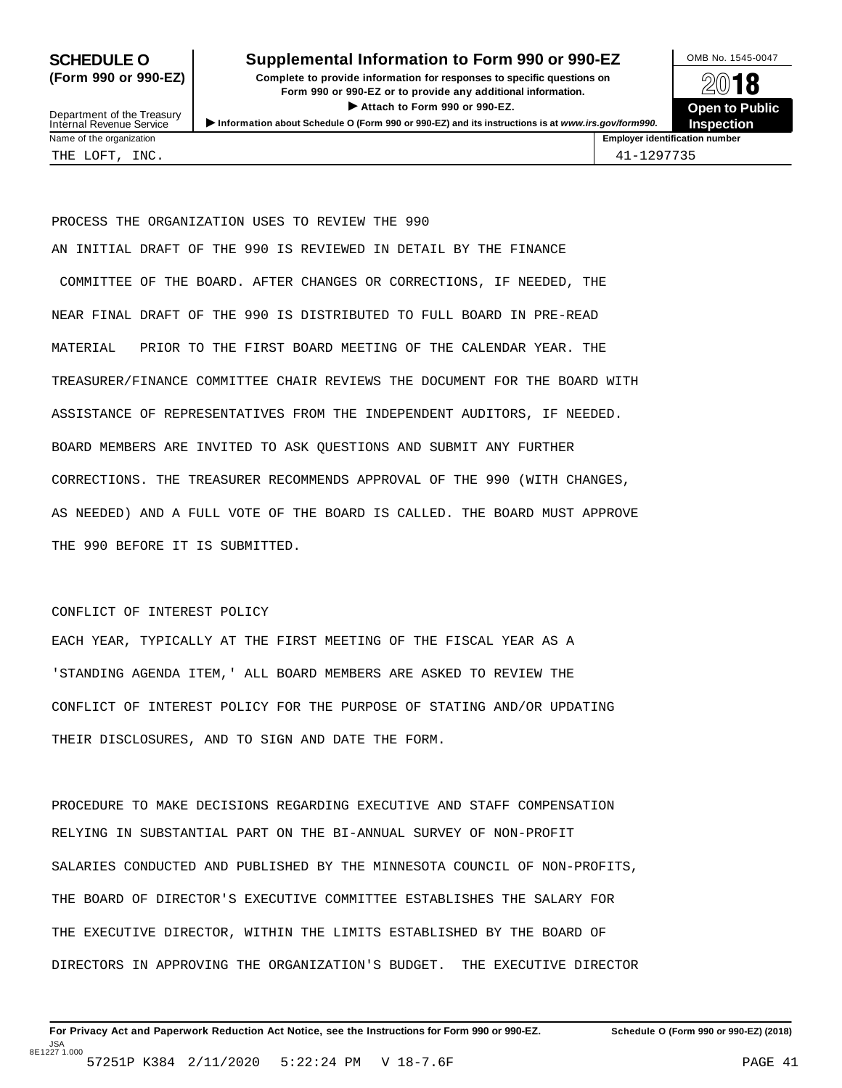## **SCHEDULE O** Supplemental Information to Form 990 or 990-EZ DAMB No. 1545-0047

**(Form 990 or 990-EZ) Complete to provide information for responses to specific questions on** plete to provide information for responses to specific questions on  $\mathbb{Z}^{0}$  **18 EV I O**<br>
■ Attach to Form 990 or 990-EZ. Depen to Public<br>
■ Public Corporation of the Security of the Security of the Security of the Security of the Security of the Security of the Security of the Security of the Securi Department of the Treasury <br>Depen to Public<br>Name of the organization<br>Name of the organization<br>Name of the organization<br>Name of the organization



Department of the Treasury<br>Internal Revenue Service

PROCESS THE ORGANIZATION USES TO REVIEW THE 990 AN INITIAL DRAFT OF THE 990 IS REVIEWED IN DETAIL BY THE FINANCE COMMITTEE OF THE BOARD. AFTER CHANGES OR CORRECTIONS, IF NEEDED, THE NEAR FINAL DRAFT OF THE 990 IS DISTRIBUTED TO FULL BOARD IN PRE-READ MATERIAL PRIOR TO THE FIRST BOARD MEETING OF THE CALENDAR YEAR. THE TREASURER/FINANCE COMMITTEE CHAIR REVIEWS THE DOCUMENT FOR THE BOARD WITH ASSISTANCE OF REPRESENTATIVES FROM THE INDEPENDENT AUDITORS, IF NEEDED. BOARD MEMBERS ARE INVITED TO ASK QUESTIONS AND SUBMIT ANY FURTHER CORRECTIONS. THE TREASURER RECOMMENDS APPROVAL OF THE 990 (WITH CHANGES, AS NEEDED) AND A FULL VOTE OF THE BOARD IS CALLED. THE BOARD MUST APPROVE THE 990 BEFORE IT IS SUBMITTED.

## CONFLICT OF INTEREST POLICY

EACH YEAR, TYPICALLY AT THE FIRST MEETING OF THE FISCAL YEAR AS A 'STANDING AGENDA ITEM,' ALL BOARD MEMBERS ARE ASKED TO REVIEW THE CONFLICT OF INTEREST POLICY FOR THE PURPOSE OF STATING AND/OR UPDATING THEIR DISCLOSURES, AND TO SIGN AND DATE THE FORM.

PROCEDURE TO MAKE DECISIONS REGARDING EXECUTIVE AND STAFF COMPENSATION RELYING IN SUBSTANTIAL PART ON THE BI-ANNUAL SURVEY OF NON-PROFIT SALARIES CONDUCTED AND PUBLISHED BY THE MINNESOTA COUNCIL OF NON-PROFITS, THE BOARD OF DIRECTOR'S EXECUTIVE COMMITTEE ESTABLISHES THE SALARY FOR THE EXECUTIVE DIRECTOR, WITHIN THE LIMITS ESTABLISHED BY THE BOARD OF DIRECTORS IN APPROVING THE ORGANIZATION'S BUDGET. THE EXECUTIVE DIRECTOR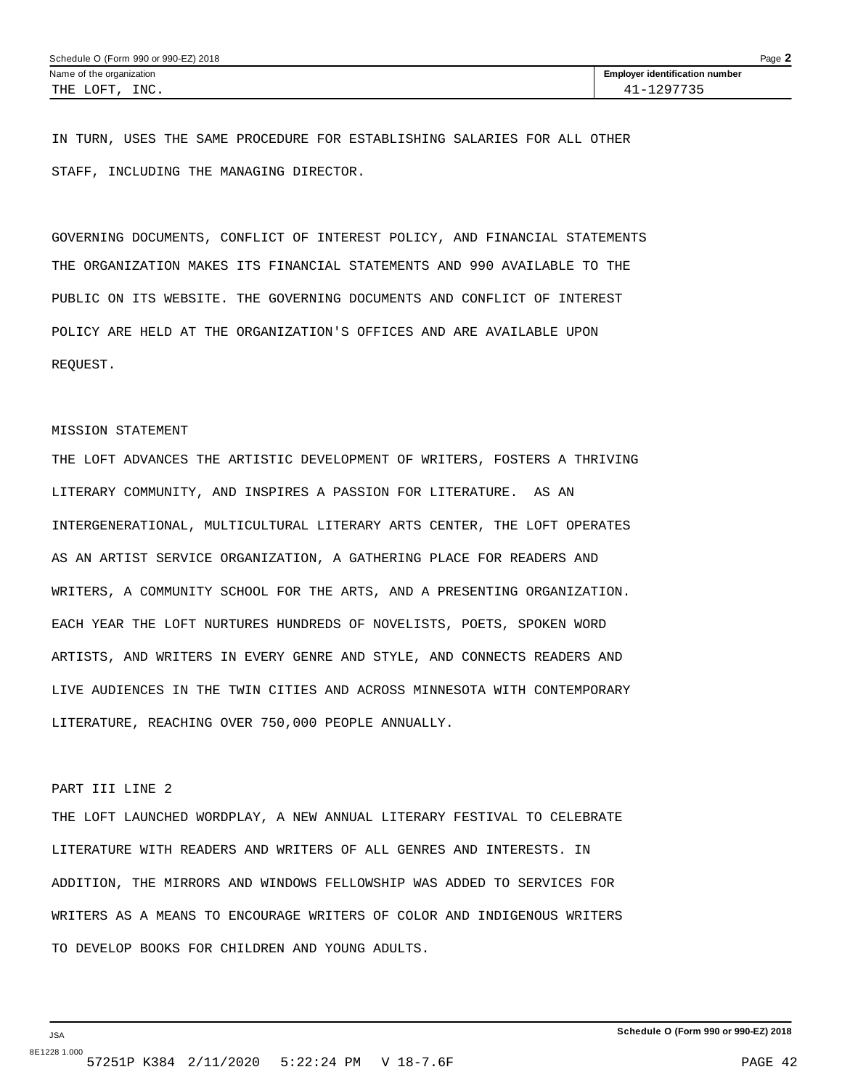IN TURN, USES THE SAME PROCEDURE FOR ESTABLISHING SALARIES FOR ALL OTHER STAFF, INCLUDING THE MANAGING DIRECTOR.

GOVERNING DOCUMENTS, CONFLICT OF INTEREST POLICY, AND FINANCIAL STATEMENTS THE ORGANIZATION MAKES ITS FINANCIAL STATEMENTS AND 990 AVAILABLE TO THE PUBLIC ON ITS WEBSITE. THE GOVERNING DOCUMENTS AND CONFLICT OF INTEREST POLICY ARE HELD AT THE ORGANIZATION'S OFFICES AND ARE AVAILABLE UPON REQUEST.

### MISSION STATEMENT

THE LOFT ADVANCES THE ARTISTIC DEVELOPMENT OF WRITERS, FOSTERS A THRIVING LITERARY COMMUNITY, AND INSPIRES A PASSION FOR LITERATURE. AS AN INTERGENERATIONAL, MULTICULTURAL LITERARY ARTS CENTER, THE LOFT OPERATES AS AN ARTIST SERVICE ORGANIZATION, A GATHERING PLACE FOR READERS AND WRITERS, A COMMUNITY SCHOOL FOR THE ARTS, AND A PRESENTING ORGANIZATION. EACH YEAR THE LOFT NURTURES HUNDREDS OF NOVELISTS, POETS, SPOKEN WORD ARTISTS, AND WRITERS IN EVERY GENRE AND STYLE, AND CONNECTS READERS AND LIVE AUDIENCES IN THE TWIN CITIES AND ACROSS MINNESOTA WITH CONTEMPORARY LITERATURE, REACHING OVER 750,000 PEOPLE ANNUALLY.

## PART III LINE 2

THE LOFT LAUNCHED WORDPLAY, A NEW ANNUAL LITERARY FESTIVAL TO CELEBRATE LITERATURE WITH READERS AND WRITERS OF ALL GENRES AND INTERESTS. IN ADDITION, THE MIRRORS AND WINDOWS FELLOWSHIP WAS ADDED TO SERVICES FOR WRITERS AS A MEANS TO ENCOURAGE WRITERS OF COLOR AND INDIGENOUS WRITERS TO DEVELOP BOOKS FOR CHILDREN AND YOUNG ADULTS.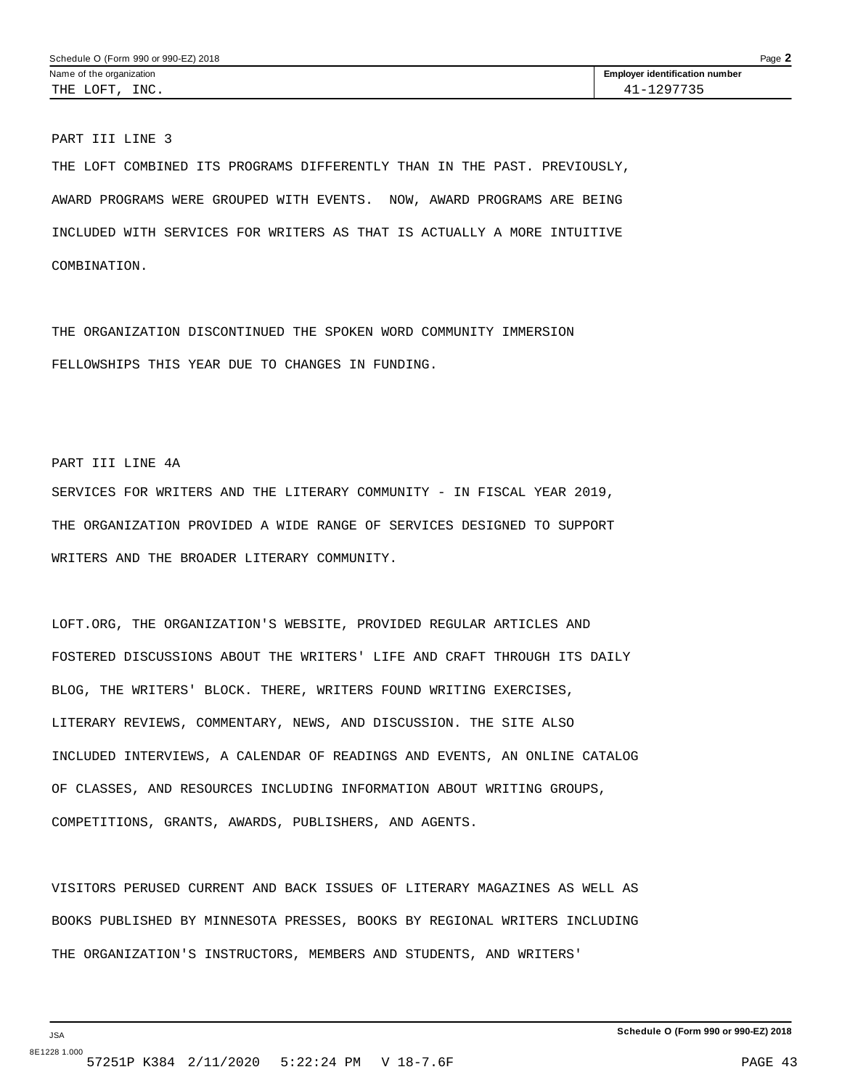PART III LINE 3

THE LOFT COMBINED ITS PROGRAMS DIFFERENTLY THAN IN THE PAST. PREVIOUSLY, AWARD PROGRAMS WERE GROUPED WITH EVENTS. NOW, AWARD PROGRAMS ARE BEING INCLUDED WITH SERVICES FOR WRITERS AS THAT IS ACTUALLY A MORE INTUITIVE COMBINATION.

THE ORGANIZATION DISCONTINUED THE SPOKEN WORD COMMUNITY IMMERSION FELLOWSHIPS THIS YEAR DUE TO CHANGES IN FUNDING.

PART III LINE 4A

JSA

SERVICES FOR WRITERS AND THE LITERARY COMMUNITY - IN FISCAL YEAR 2019, THE ORGANIZATION PROVIDED A WIDE RANGE OF SERVICES DESIGNED TO SUPPORT WRITERS AND THE BROADER LITERARY COMMUNITY.

LOFT.ORG, THE ORGANIZATION'S WEBSITE, PROVIDED REGULAR ARTICLES AND FOSTERED DISCUSSIONS ABOUT THE WRITERS' LIFE AND CRAFT THROUGH ITS DAILY BLOG, THE WRITERS' BLOCK. THERE, WRITERS FOUND WRITING EXERCISES, LITERARY REVIEWS, COMMENTARY, NEWS, AND DISCUSSION. THE SITE ALSO INCLUDED INTERVIEWS, A CALENDAR OF READINGS AND EVENTS, AN ONLINE CATALOG OF CLASSES, AND RESOURCES INCLUDING INFORMATION ABOUT WRITING GROUPS, COMPETITIONS, GRANTS, AWARDS, PUBLISHERS, AND AGENTS.

VISITORS PERUSED CURRENT AND BACK ISSUES OF LITERARY MAGAZINES AS WELL AS BOOKS PUBLISHED BY MINNESOTA PRESSES, BOOKS BY REGIONAL WRITERS INCLUDING THE ORGANIZATION'S INSTRUCTORS, MEMBERS AND STUDENTS, AND WRITERS'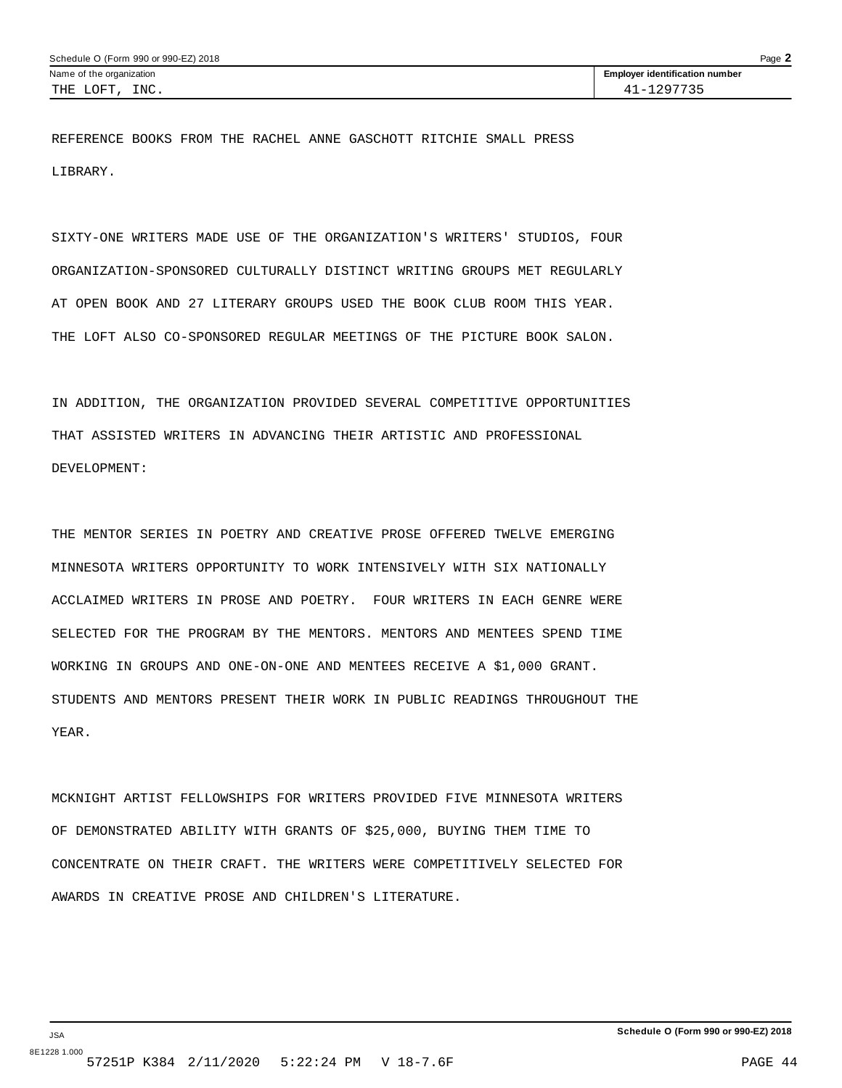REFERENCE BOOKS FROM THE RACHEL ANNE GASCHOTT RITCHIE SMALL PRESS LIBRARY.

SIXTY-ONE WRITERS MADE USE OF THE ORGANIZATION'S WRITERS' STUDIOS, FOUR ORGANIZATION-SPONSORED CULTURALLY DISTINCT WRITING GROUPS MET REGULARLY AT OPEN BOOK AND 27 LITERARY GROUPS USED THE BOOK CLUB ROOM THIS YEAR. THE LOFT ALSO CO-SPONSORED REGULAR MEETINGS OF THE PICTURE BOOK SALON.

IN ADDITION, THE ORGANIZATION PROVIDED SEVERAL COMPETITIVE OPPORTUNITIES THAT ASSISTED WRITERS IN ADVANCING THEIR ARTISTIC AND PROFESSIONAL DEVELOPMENT:

THE MENTOR SERIES IN POETRY AND CREATIVE PROSE OFFERED TWELVE EMERGING MINNESOTA WRITERS OPPORTUNITY TO WORK INTENSIVELY WITH SIX NATIONALLY ACCLAIMED WRITERS IN PROSE AND POETRY. FOUR WRITERS IN EACH GENRE WERE SELECTED FOR THE PROGRAM BY THE MENTORS. MENTORS AND MENTEES SPEND TIME WORKING IN GROUPS AND ONE-ON-ONE AND MENTEES RECEIVE A \$1,000 GRANT. STUDENTS AND MENTORS PRESENT THEIR WORK IN PUBLIC READINGS THROUGHOUT THE YEAR.

MCKNIGHT ARTIST FELLOWSHIPS FOR WRITERS PROVIDED FIVE MINNESOTA WRITERS OF DEMONSTRATED ABILITY WITH GRANTS OF \$25,000, BUYING THEM TIME TO CONCENTRATE ON THEIR CRAFT. THE WRITERS WERE COMPETITIVELY SELECTED FOR AWARDS IN CREATIVE PROSE AND CHILDREN'S LITERATURE.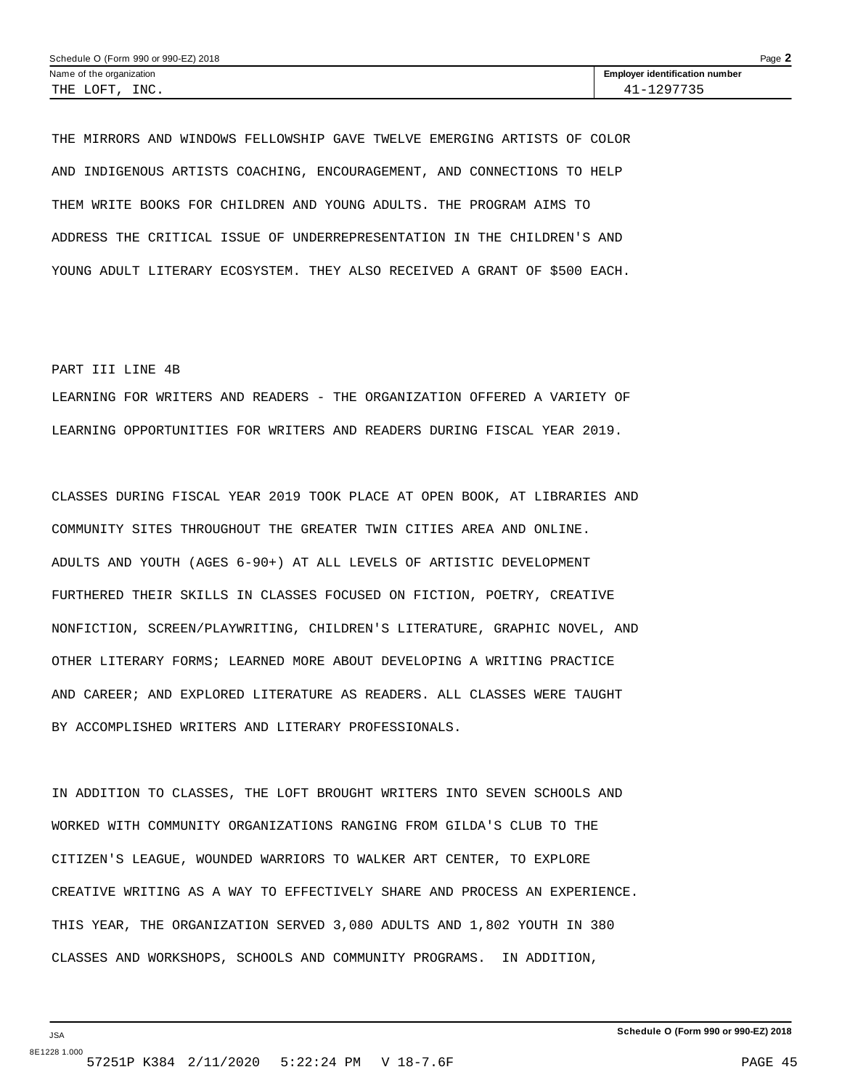THE MIRRORS AND WINDOWS FELLOWSHIP GAVE TWELVE EMERGING ARTISTS OF COLOR AND INDIGENOUS ARTISTS COACHING, ENCOURAGEMENT, AND CONNECTIONS TO HELP THEM WRITE BOOKS FOR CHILDREN AND YOUNG ADULTS. THE PROGRAM AIMS TO ADDRESS THE CRITICAL ISSUE OF UNDERREPRESENTATION IN THE CHILDREN'S AND YOUNG ADULT LITERARY ECOSYSTEM. THEY ALSO RECEIVED A GRANT OF \$500 EACH.

### PART III LINE 4B

LEARNING FOR WRITERS AND READERS - THE ORGANIZATION OFFERED A VARIETY OF LEARNING OPPORTUNITIES FOR WRITERS AND READERS DURING FISCAL YEAR 2019.

CLASSES DURING FISCAL YEAR 2019 TOOK PLACE AT OPEN BOOK, AT LIBRARIES AND COMMUNITY SITES THROUGHOUT THE GREATER TWIN CITIES AREA AND ONLINE. ADULTS AND YOUTH (AGES 6-90+) AT ALL LEVELS OF ARTISTIC DEVELOPMENT FURTHERED THEIR SKILLS IN CLASSES FOCUSED ON FICTION, POETRY, CREATIVE NONFICTION, SCREEN/PLAYWRITING, CHILDREN'S LITERATURE, GRAPHIC NOVEL, AND OTHER LITERARY FORMS; LEARNED MORE ABOUT DEVELOPING A WRITING PRACTICE AND CAREER; AND EXPLORED LITERATURE AS READERS. ALL CLASSES WERE TAUGHT BY ACCOMPLISHED WRITERS AND LITERARY PROFESSIONALS.

IN ADDITION TO CLASSES, THE LOFT BROUGHT WRITERS INTO SEVEN SCHOOLS AND WORKED WITH COMMUNITY ORGANIZATIONS RANGING FROM GILDA'S CLUB TO THE CITIZEN'S LEAGUE, WOUNDED WARRIORS TO WALKER ART CENTER, TO EXPLORE CREATIVE WRITING AS A WAY TO EFFECTIVELY SHARE AND PROCESS AN EXPERIENCE. THIS YEAR, THE ORGANIZATION SERVED 3,080 ADULTS AND 1,802 YOUTH IN 380 CLASSES AND WORKSHOPS, SCHOOLS AND COMMUNITY PROGRAMS. IN ADDITION,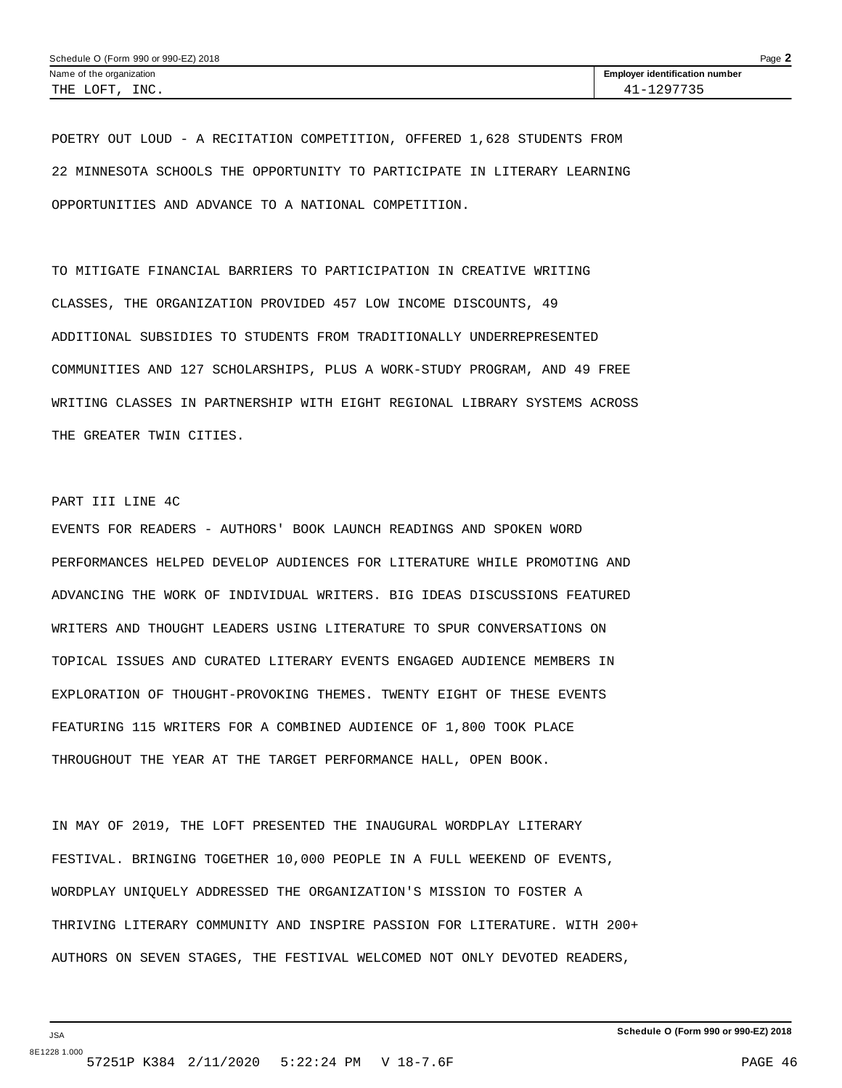POETRY OUT LOUD - A RECITATION COMPETITION, OFFERED 1,628 STUDENTS FROM 22 MINNESOTA SCHOOLS THE OPPORTUNITY TO PARTICIPATE IN LITERARY LEARNING OPPORTUNITIES AND ADVANCE TO A NATIONAL COMPETITION.

TO MITIGATE FINANCIAL BARRIERS TO PARTICIPATION IN CREATIVE WRITING CLASSES, THE ORGANIZATION PROVIDED 457 LOW INCOME DISCOUNTS, 49 ADDITIONAL SUBSIDIES TO STUDENTS FROM TRADITIONALLY UNDERREPRESENTED COMMUNITIES AND 127 SCHOLARSHIPS, PLUS A WORK-STUDY PROGRAM, AND 49 FREE WRITING CLASSES IN PARTNERSHIP WITH EIGHT REGIONAL LIBRARY SYSTEMS ACROSS THE GREATER TWIN CITIES.

## PART III LINE 4C

EVENTS FOR READERS - AUTHORS' BOOK LAUNCH READINGS AND SPOKEN WORD PERFORMANCES HELPED DEVELOP AUDIENCES FOR LITERATURE WHILE PROMOTING AND ADVANCING THE WORK OF INDIVIDUAL WRITERS. BIG IDEAS DISCUSSIONS FEATURED WRITERS AND THOUGHT LEADERS USING LITERATURE TO SPUR CONVERSATIONS ON TOPICAL ISSUES AND CURATED LITERARY EVENTS ENGAGED AUDIENCE MEMBERS IN EXPLORATION OF THOUGHT-PROVOKING THEMES. TWENTY EIGHT OF THESE EVENTS FEATURING 115 WRITERS FOR A COMBINED AUDIENCE OF 1,800 TOOK PLACE THROUGHOUT THE YEAR AT THE TARGET PERFORMANCE HALL, OPEN BOOK.

IN MAY OF 2019, THE LOFT PRESENTED THE INAUGURAL WORDPLAY LITERARY FESTIVAL. BRINGING TOGETHER 10,000 PEOPLE IN A FULL WEEKEND OF EVENTS, WORDPLAY UNIQUELY ADDRESSED THE ORGANIZATION'S MISSION TO FOSTER A THRIVING LITERARY COMMUNITY AND INSPIRE PASSION FOR LITERATURE. WITH 200+ AUTHORS ON SEVEN STAGES, THE FESTIVAL WELCOMED NOT ONLY DEVOTED READERS,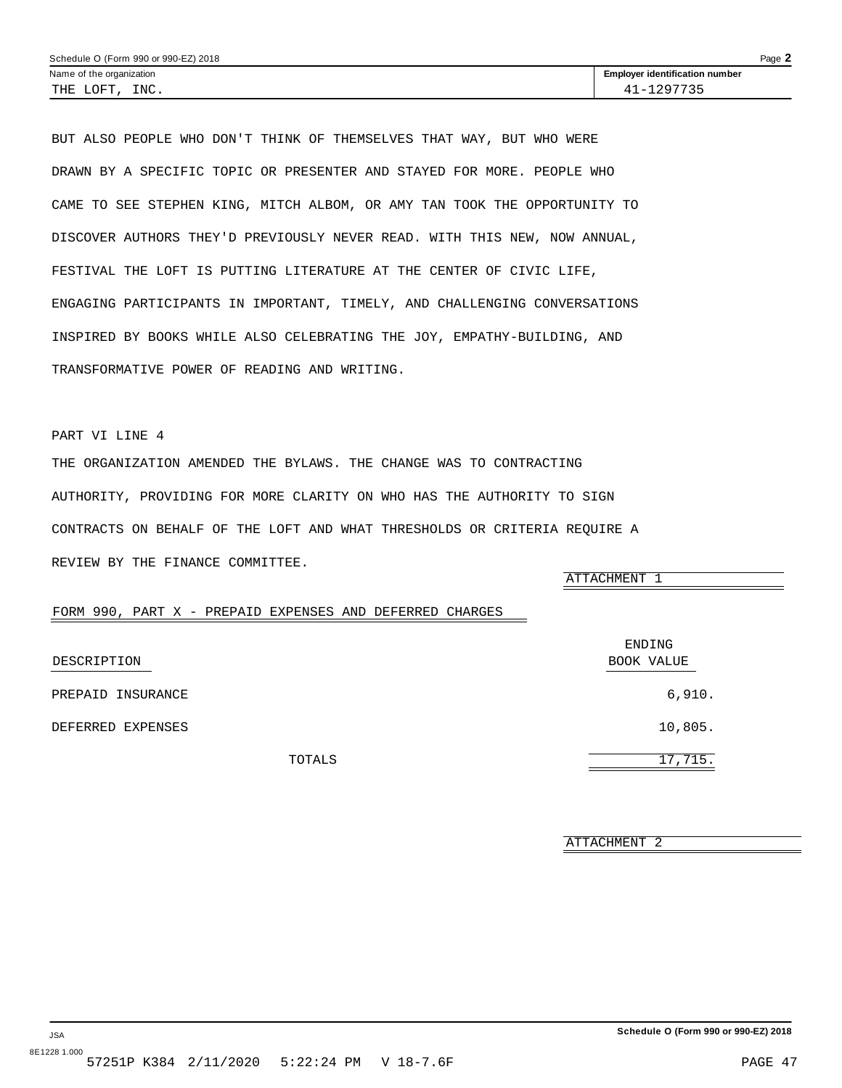<span id="page-45-0"></span>BUT ALSO PEOPLE WHO DON'T THINK OF THEMSELVES THAT WAY, BUT WHO WERE DRAWN BY A SPECIFIC TOPIC OR PRESENTER AND STAYED FOR MORE. PEOPLE WHO CAME TO SEE STEPHEN KING, MITCH ALBOM, OR AMY TAN TOOK THE OPPORTUNITY TO DISCOVER AUTHORS THEY'D PREVIOUSLY NEVER READ. WITH THIS NEW, NOW ANNUAL, FESTIVAL THE LOFT IS PUTTING LITERATURE AT THE CENTER OF CIVIC LIFE, ENGAGING PARTICIPANTS IN IMPORTANT, TIMELY, AND CHALLENGING CONVERSATIONS INSPIRED BY BOOKS WHILE ALSO CELEBRATING THE JOY, EMPATHY-BUILDING, AND TRANSFORMATIVE POWER OF READING AND WRITING.

## PART VI LINE 4

THE ORGANIZATION AMENDED THE BYLAWS. THE CHANGE WAS TO CONTRACTING AUTHORITY, PROVIDING FOR MORE CLARITY ON WHO HAS THE AUTHORITY TO SIGN CONTRACTS ON BEHALF OF THE LOFT AND WHAT THRESHOLDS OR CRITERIA REQUIRE A REVIEW BY THE FINANCE COMMITTEE.

ATTACHMENT 1

## FORM 990, PART X - PREPAID EXPENSES AND DEFERRED CHARGES

| DESCRIPTION       | ENDING<br>BOOK VALUE |  |
|-------------------|----------------------|--|
|                   |                      |  |
| PREPAID INSURANCE | 6,910.               |  |
| DEFERRED EXPENSES | 10,805.              |  |
| TOTALS            | 17,715.              |  |

ATTACHMENT 2